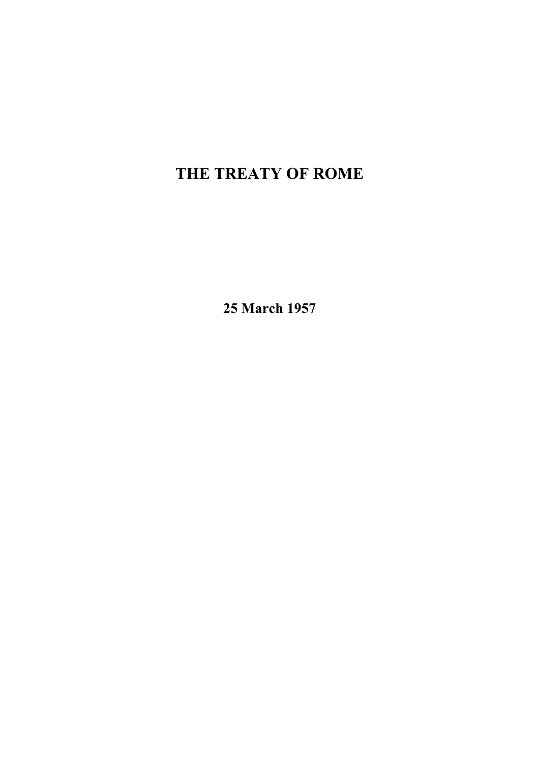# **THE TREATY OF ROME**

**25 March 1957**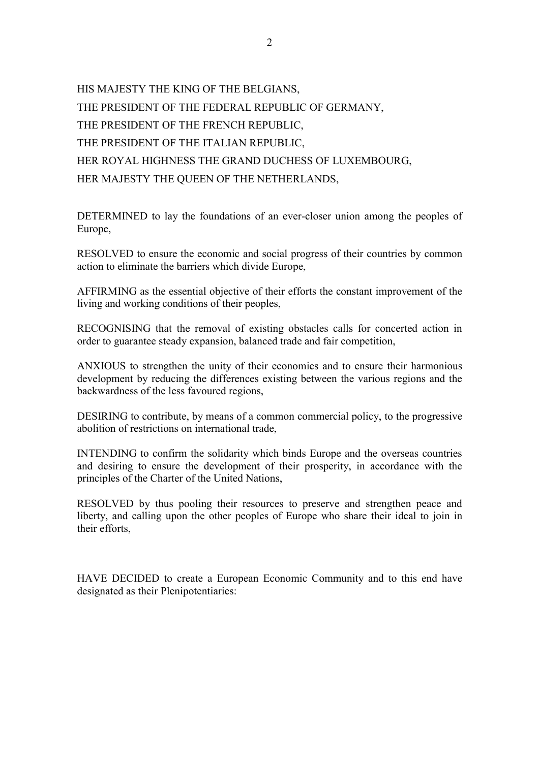HIS MAJESTY THE KING OF THE BELGIANS, THE PRESIDENT OF THE FEDERAL REPUBLIC OF GERMANY, THE PRESIDENT OF THE FRENCH REPUBLIC, THE PRESIDENT OF THE ITALIAN REPUBLIC, HER ROYAL HIGHNESS THE GRAND DUCHESS OF LUXEMBOURG, HER MAJESTY THE QUEEN OF THE NETHERLANDS,

DETERMINED to lay the foundations of an ever-closer union among the peoples of Europe,

RESOLVED to ensure the economic and social progress of their countries by common action to eliminate the barriers which divide Europe,

AFFIRMING as the essential objective of their efforts the constant improvement of the living and working conditions of their peoples,

RECOGNISING that the removal of existing obstacles calls for concerted action in order to guarantee steady expansion, balanced trade and fair competition,

ANXIOUS to strengthen the unity of their economies and to ensure their harmonious development by reducing the differences existing between the various regions and the backwardness of the less favoured regions,

DESIRING to contribute, by means of a common commercial policy, to the progressive abolition of restrictions on international trade,

INTENDING to confirm the solidarity which binds Europe and the overseas countries and desiring to ensure the development of their prosperity, in accordance with the principles of the Charter of the United Nations,

RESOLVED by thus pooling their resources to preserve and strengthen peace and liberty, and calling upon the other peoples of Europe who share their ideal to join in their efforts,

HAVE DECIDED to create a European Economic Community and to this end have designated as their Plenipotentiaries: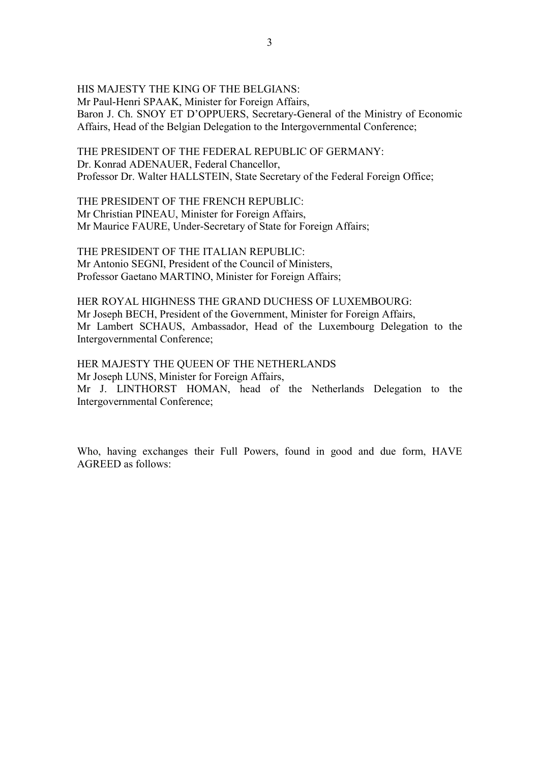HIS MAJESTY THE KING OF THE BELGIANS:

Mr Paul-Henri SPAAK, Minister for Foreign Affairs, Baron J. Ch. SNOY ET D'OPPUERS, Secretary-General of the Ministry of Economic Affairs, Head of the Belgian Delegation to the Intergovernmental Conference;

THE PRESIDENT OF THE FEDERAL REPUBLIC OF GERMANY: Dr. Konrad ADENAUER, Federal Chancellor, Professor Dr. Walter HALLSTEIN, State Secretary of the Federal Foreign Office;

THE PRESIDENT OF THE FRENCH REPUBLIC: Mr Christian PINEAU, Minister for Foreign Affairs, Mr Maurice FAURE, Under-Secretary of State for Foreign Affairs;

THE PRESIDENT OF THE ITALIAN REPUBLIC: Mr Antonio SEGNI, President of the Council of Ministers, Professor Gaetano MARTINO, Minister for Foreign Affairs;

HER ROYAL HIGHNESS THE GRAND DUCHESS OF LUXEMBOURG: Mr Joseph BECH, President of the Government, Minister for Foreign Affairs, Mr Lambert SCHAUS, Ambassador, Head of the Luxembourg Delegation to the Intergovernmental Conference;

HER MAJESTY THE QUEEN OF THE NETHERLANDS Mr Joseph LUNS, Minister for Foreign Affairs, Mr J. LINTHORST HOMAN, head of the Netherlands Delegation to the Intergovernmental Conference;

Who, having exchanges their Full Powers, found in good and due form, HAVE AGREED as follows: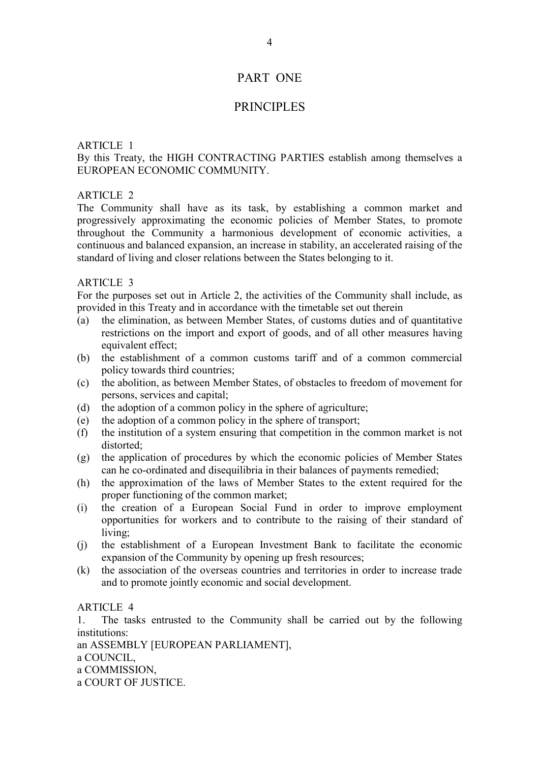# PART ONE

# PRINCIPLES

#### ARTICLE 1

#### By this Treaty, the HIGH CONTRACTING PARTIES establish among themselves a EUROPEAN ECONOMIC COMMUNITY.

## ARTICLE 2

The Community shall have as its task, by establishing a common market and progressively approximating the economic policies of Member States, to promote throughout the Community a harmonious development of economic activities, a continuous and balanced expansion, an increase in stability, an accelerated raising of the standard of living and closer relations between the States belonging to it.

#### ARTICLE 3

For the purposes set out in Article 2, the activities of the Community shall include, as provided in this Treaty and in accordance with the timetable set out therein

- (a) the elimination, as between Member States, of customs duties and of quantitative restrictions on the import and export of goods, and of all other measures having equivalent effect:
- (b) the establishment of a common customs tariff and of a common commercial policy towards third countries;
- (c) the abolition, as between Member States, of obstacles to freedom of movement for persons, services and capital;
- (d) the adoption of a common policy in the sphere of agriculture;
- (e) the adoption of a common policy in the sphere of transport;
- (f) the institution of a system ensuring that competition in the common market is not distorted;
- (g) the application of procedures by which the economic policies of Member States can he co-ordinated and disequilibria in their balances of payments remedied;
- (h) the approximation of the laws of Member States to the extent required for the proper functioning of the common market;
- (i) the creation of a European Social Fund in order to improve employment opportunities for workers and to contribute to the raising of their standard of living;
- (j) the establishment of a European Investment Bank to facilitate the economic expansion of the Community by opening up fresh resources;
- (k) the association of the overseas countries and territories in order to increase trade and to promote jointly economic and social development.

#### ARTICLE 4

1. The tasks entrusted to the Community shall be carried out by the following institutions:

an ASSEMBLY [EUROPEAN PARLIAMENT],

a COUNCIL,

a COMMISSION,

a COURT OF JUSTICE.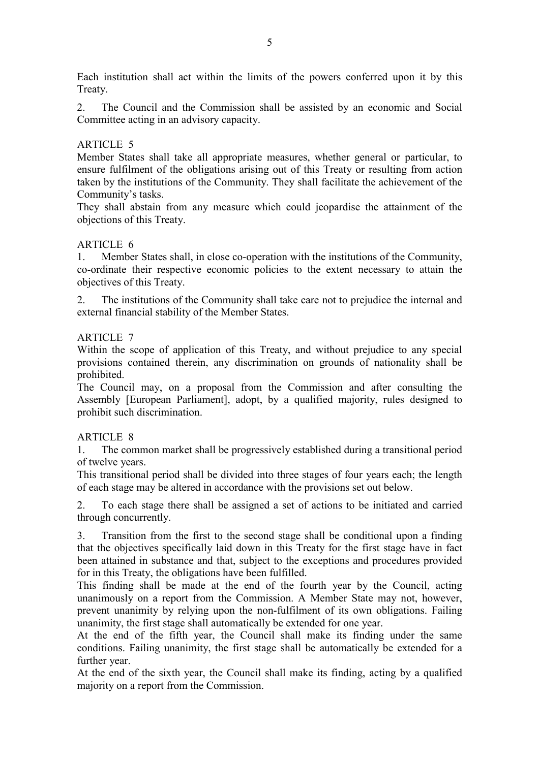Each institution shall act within the limits of the powers conferred upon it by this Treaty.

2. The Council and the Commission shall be assisted by an economic and Social Committee acting in an advisory capacity.

# ARTICLE 5

Member States shall take all appropriate measures, whether general or particular, to ensure fulfilment of the obligations arising out of this Treaty or resulting from action taken by the institutions of the Community. They shall facilitate the achievement of the Community's tasks.

They shall abstain from any measure which could jeopardise the attainment of the objections of this Treaty.

# ARTICLE 6

1. Member States shall, in close co-operation with the institutions of the Community, co-ordinate their respective economic policies to the extent necessary to attain the objectives of this Treaty.

2. The institutions of the Community shall take care not to prejudice the internal and external financial stability of the Member States.

# ARTICLE 7

Within the scope of application of this Treaty, and without prejudice to any special provisions contained therein, any discrimination on grounds of nationality shall be prohibited.

The Council may, on a proposal from the Commission and after consulting the Assembly [European Parliament], adopt, by a qualified majority, rules designed to prohibit such discrimination.

# ARTICLE 8

1. The common market shall be progressively established during a transitional period of twelve years.

This transitional period shall be divided into three stages of four years each; the length of each stage may be altered in accordance with the provisions set out below.

2. To each stage there shall be assigned a set of actions to be initiated and carried through concurrently.

3. Transition from the first to the second stage shall be conditional upon a finding that the objectives specifically laid down in this Treaty for the first stage have in fact been attained in substance and that, subject to the exceptions and procedures provided for in this Treaty, the obligations have been fulfilled.

This finding shall be made at the end of the fourth year by the Council, acting unanimously on a report from the Commission. A Member State may not, however, prevent unanimity by relying upon the non-fulfilment of its own obligations. Failing unanimity, the first stage shall automatically be extended for one year.

At the end of the fifth year, the Council shall make its finding under the same conditions. Failing unanimity, the first stage shall be automatically be extended for a further year.

At the end of the sixth year, the Council shall make its finding, acting by a qualified majority on a report from the Commission.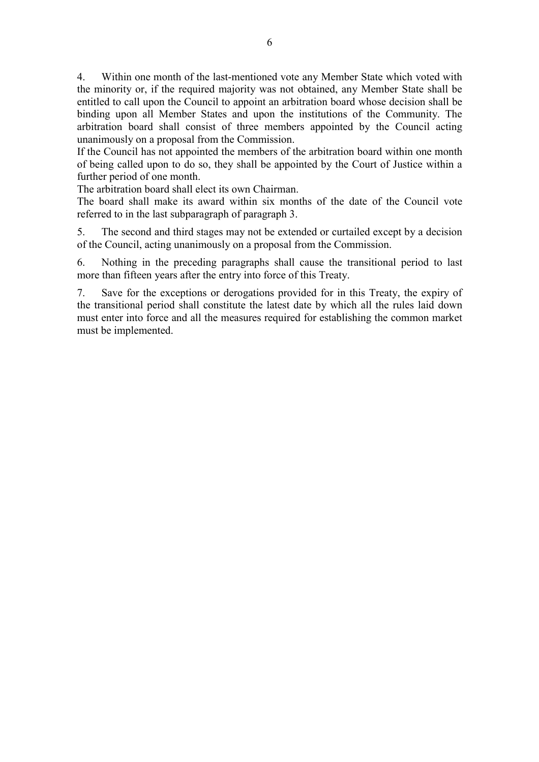4. Within one month of the last-mentioned vote any Member State which voted with the minority or, if the required majority was not obtained, any Member State shall be entitled to call upon the Council to appoint an arbitration board whose decision shall be binding upon all Member States and upon the institutions of the Community. The arbitration board shall consist of three members appointed by the Council acting unanimously on a proposal from the Commission.

If the Council has not appointed the members of the arbitration board within one month of being called upon to do so, they shall be appointed by the Court of Justice within a further period of one month.

The arbitration board shall elect its own Chairman.

The board shall make its award within six months of the date of the Council vote referred to in the last subparagraph of paragraph 3.

5. The second and third stages may not be extended or curtailed except by a decision of the Council, acting unanimously on a proposal from the Commission.

6. Nothing in the preceding paragraphs shall cause the transitional period to last more than fifteen years after the entry into force of this Treaty.

7. Save for the exceptions or derogations provided for in this Treaty, the expiry of the transitional period shall constitute the latest date by which all the rules laid down must enter into force and all the measures required for establishing the common market must be implemented.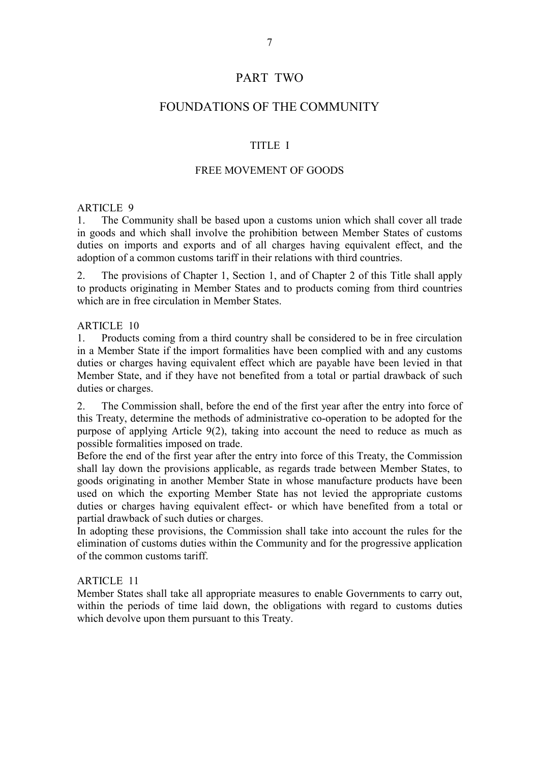# PART TWO

# FOUNDATIONS OF THE COMMUNITY

## TITLE I

#### FREE MOVEMENT OF GOODS

#### ARTICLE 9

1. The Community shall be based upon a customs union which shall cover all trade in goods and which shall involve the prohibition between Member States of customs duties on imports and exports and of all charges having equivalent effect, and the adoption of a common customs tariff in their relations with third countries.

2. The provisions of Chapter 1, Section 1, and of Chapter 2 of this Title shall apply to products originating in Member States and to products coming from third countries which are in free circulation in Member States.

#### ARTICLE 10

1. Products coming from a third country shall be considered to be in free circulation in a Member State if the import formalities have been complied with and any customs duties or charges having equivalent effect which are payable have been levied in that Member State, and if they have not benefited from a total or partial drawback of such duties or charges.

2. The Commission shall, before the end of the first year after the entry into force of this Treaty, determine the methods of administrative co-operation to be adopted for the purpose of applying Article 9(2), taking into account the need to reduce as much as possible formalities imposed on trade.

Before the end of the first year after the entry into force of this Treaty, the Commission shall lay down the provisions applicable, as regards trade between Member States, to goods originating in another Member State in whose manufacture products have been used on which the exporting Member State has not levied the appropriate customs duties or charges having equivalent effect- or which have benefited from a total or partial drawback of such duties or charges.

In adopting these provisions, the Commission shall take into account the rules for the elimination of customs duties within the Community and for the progressive application of the common customs tariff.

#### ARTICLE 11

Member States shall take all appropriate measures to enable Governments to carry out, within the periods of time laid down, the obligations with regard to customs duties which devolve upon them pursuant to this Treaty.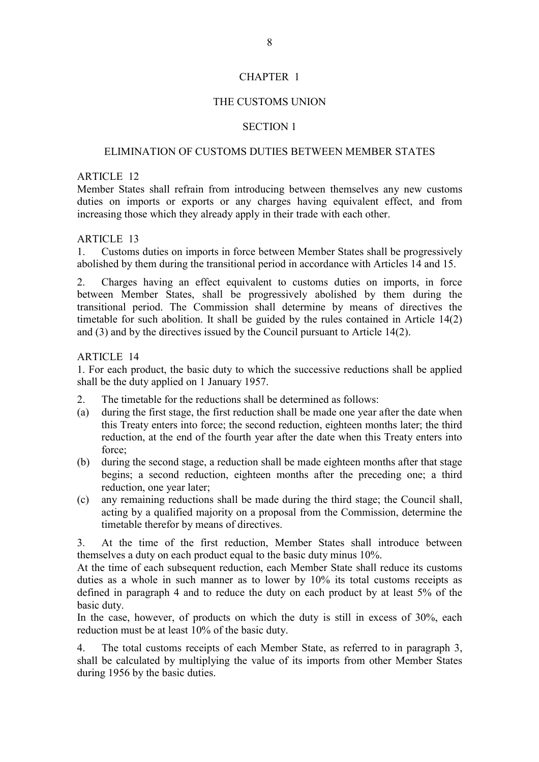# CHAPTER 1

# THE CUSTOMS UNION

## SECTION 1

## ELIMINATION OF CUSTOMS DUTIES BETWEEN MEMBER STATES

#### ARTICLE 12

Member States shall refrain from introducing between themselves any new customs duties on imports or exports or any charges having equivalent effect, and from increasing those which they already apply in their trade with each other.

## ARTICLE 13

1. Customs duties on imports in force between Member States shall be progressively abolished by them during the transitional period in accordance with Articles 14 and 15.

2. Charges having an effect equivalent to customs duties on imports, in force between Member States, shall be progressively abolished by them during the transitional period. The Commission shall determine by means of directives the timetable for such abolition. It shall be guided by the rules contained in Article 14(2) and (3) and by the directives issued by the Council pursuant to Article 14(2).

## ARTICLE 14

1. For each product, the basic duty to which the successive reductions shall be applied shall be the duty applied on 1 January 1957.

- 2. The timetable for the reductions shall be determined as follows:
- (a) during the first stage, the first reduction shall be made one year after the date when this Treaty enters into force; the second reduction, eighteen months later; the third reduction, at the end of the fourth year after the date when this Treaty enters into force;
- (b) during the second stage, a reduction shall be made eighteen months after that stage begins; a second reduction, eighteen months after the preceding one; a third reduction, one year later;
- (c) any remaining reductions shall be made during the third stage; the Council shall, acting by a qualified majority on a proposal from the Commission, determine the timetable therefor by means of directives.

3. At the time of the first reduction, Member States shall introduce between themselves a duty on each product equal to the basic duty minus 10%.

At the time of each subsequent reduction, each Member State shall reduce its customs duties as a whole in such manner as to lower by 10% its total customs receipts as defined in paragraph 4 and to reduce the duty on each product by at least 5% of the basic duty.

In the case, however, of products on which the duty is still in excess of 30%, each reduction must be at least 10% of the basic duty.

4. The total customs receipts of each Member State, as referred to in paragraph 3, shall be calculated by multiplying the value of its imports from other Member States during 1956 by the basic duties.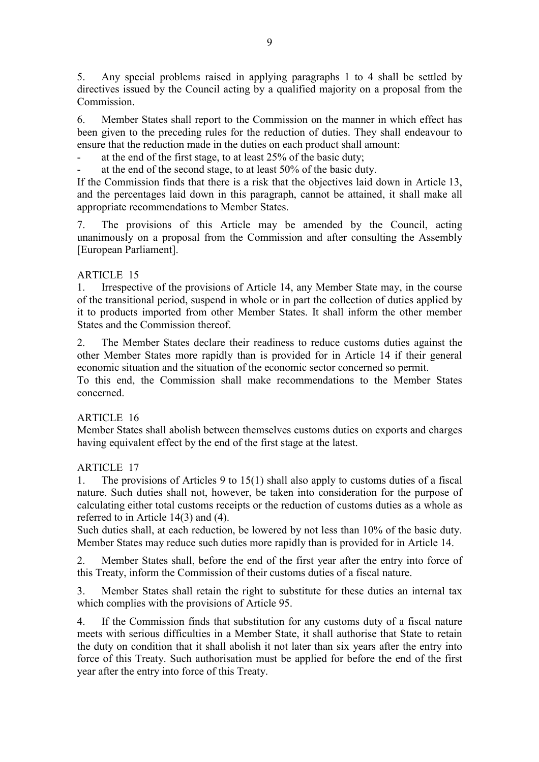5. Any special problems raised in applying paragraphs 1 to 4 shall be settled by directives issued by the Council acting by a qualified majority on a proposal from the Commission.

6. Member States shall report to the Commission on the manner in which effect has been given to the preceding rules for the reduction of duties. They shall endeavour to ensure that the reduction made in the duties on each product shall amount:

at the end of the first stage, to at least 25% of the basic duty;

at the end of the second stage, to at least 50% of the basic duty.

If the Commission finds that there is a risk that the objectives laid down in Article 13, and the percentages laid down in this paragraph, cannot be attained, it shall make all appropriate recommendations to Member States.

7. The provisions of this Article may be amended by the Council, acting unanimously on a proposal from the Commission and after consulting the Assembly [European Parliament].

# ARTICLE 15

1. Irrespective of the provisions of Article 14, any Member State may, in the course of the transitional period, suspend in whole or in part the collection of duties applied by it to products imported from other Member States. It shall inform the other member States and the Commission thereof.

2. The Member States declare their readiness to reduce customs duties against the other Member States more rapidly than is provided for in Article 14 if their general economic situation and the situation of the economic sector concerned so permit.

To this end, the Commission shall make recommendations to the Member States concerned.

ARTICLE 16

Member States shall abolish between themselves customs duties on exports and charges having equivalent effect by the end of the first stage at the latest.

# ARTICLE 17

1. The provisions of Articles 9 to 15(1) shall also apply to customs duties of a fiscal nature. Such duties shall not, however, be taken into consideration for the purpose of calculating either total customs receipts or the reduction of customs duties as a whole as referred to in Article 14(3) and (4).

Such duties shall, at each reduction, be lowered by not less than 10% of the basic duty. Member States may reduce such duties more rapidly than is provided for in Article 14.

2. Member States shall, before the end of the first year after the entry into force of this Treaty, inform the Commission of their customs duties of a fiscal nature.

3. Member States shall retain the right to substitute for these duties an internal tax which complies with the provisions of Article 95.

4. If the Commission finds that substitution for any customs duty of a fiscal nature meets with serious difficulties in a Member State, it shall authorise that State to retain the duty on condition that it shall abolish it not later than six years after the entry into force of this Treaty. Such authorisation must be applied for before the end of the first year after the entry into force of this Treaty.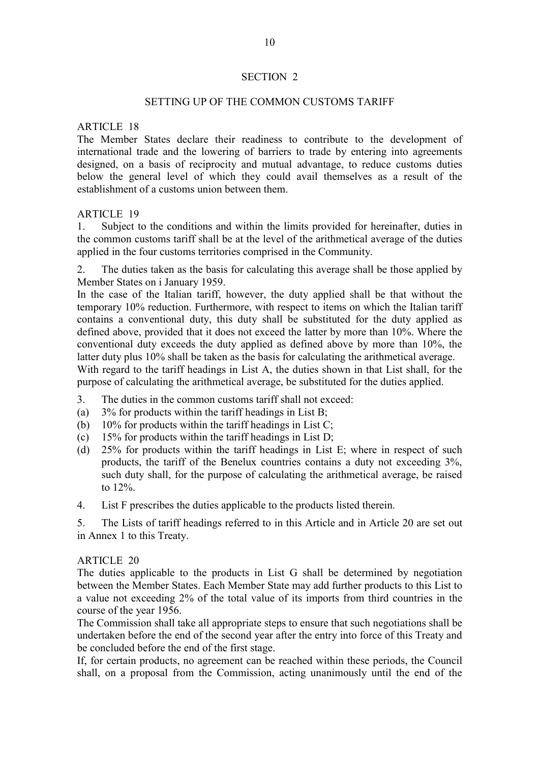#### SECTION 2

#### SETTING UP OF THE COMMON CUSTOMS TARIFF

#### ARTICLE 18

The Member States declare their readiness to contribute to the development of international trade and the lowering of barriers to trade by entering into agreements designed, on a basis of reciprocity and mutual advantage, to reduce customs duties below the general level of which they could avail themselves as a result of the establishment of a customs union between them.

#### ARTICLE 19

1. Subject to the conditions and within the limits provided for hereinafter, duties in the common customs tariff shall be at the level of the arithmetical average of the duties applied in the four customs territories comprised in the Community.

2. The duties taken as the basis for calculating this average shall be those applied by Member States on i January 1959.

In the case of the Italian tariff, however, the duty applied shall be that without the temporary 10% reduction. Furthermore, with respect to items on which the Italian tariff contains a conventional duty, this duty shall be substituted for the duty applied as defined above, provided that it does not exceed the latter by more than 10%. Where the conventional duty exceeds the duty applied as defined above by more than 10%, the latter duty plus 10% shall be taken as the basis for calculating the arithmetical average.

With regard to the tariff headings in List A, the duties shown in that List shall, for the purpose of calculating the arithmetical average, be substituted for the duties applied.

- 3. The duties in the common customs tariff shall not exceed:
- (a)  $3\%$  for products within the tariff headings in List B;
- (b)  $10\%$  for products within the tariff headings in List C;
- (c) 15% for products within the tariff headings in List D;
- (d) 25% for products within the tariff headings in List E; where in respect of such products, the tariff of the Benelux countries contains a duty not exceeding 3%, such duty shall, for the purpose of calculating the arithmetical average, be raised to 12%.

4. List F prescribes the duties applicable to the products listed therein.

5. The Lists of tariff headings referred to in this Article and in Article 20 are set out in Annex 1 to this Treaty.

#### ARTICLE 20

The duties applicable to the products in List G shall be determined by negotiation between the Member States. Each Member State may add further products to this List to a value not exceeding 2% of the total value of its imports from third countries in the course of the year 1956.

The Commission shall take all appropriate steps to ensure that such negotiations shall be undertaken before the end of the second year after the entry into force of this Treaty and be concluded before the end of the first stage.

If, for certain products, no agreement can be reached within these periods, the Council shall, on a proposal from the Commission, acting unanimously until the end of the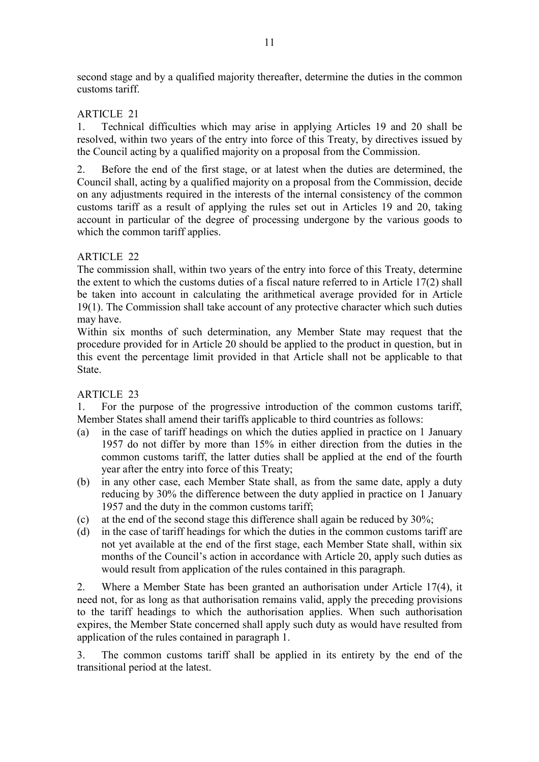second stage and by a qualified majority thereafter, determine the duties in the common customs tariff.

# ARTICLE 21

1. Technical difficulties which may arise in applying Articles 19 and 20 shall be resolved, within two years of the entry into force of this Treaty, by directives issued by the Council acting by a qualified majority on a proposal from the Commission.

2. Before the end of the first stage, or at latest when the duties are determined, the Council shall, acting by a qualified majority on a proposal from the Commission, decide on any adjustments required in the interests of the internal consistency of the common customs tariff as a result of applying the rules set out in Articles 19 and 20, taking account in particular of the degree of processing undergone by the various goods to which the common tariff applies.

# ARTICLE 22

The commission shall, within two years of the entry into force of this Treaty, determine the extent to which the customs duties of a fiscal nature referred to in Article 17(2) shall be taken into account in calculating the arithmetical average provided for in Article 19(1). The Commission shall take account of any protective character which such duties may have.

Within six months of such determination, any Member State may request that the procedure provided for in Article 20 should be applied to the product in question, but in this event the percentage limit provided in that Article shall not be applicable to that State.

# ARTICLE 23

1. For the purpose of the progressive introduction of the common customs tariff, Member States shall amend their tariffs applicable to third countries as follows:

- (a) in the case of tariff headings on which the duties applied in practice on 1 January 1957 do not differ by more than 15% in either direction from the duties in the common customs tariff, the latter duties shall be applied at the end of the fourth year after the entry into force of this Treaty;
- (b) in any other case, each Member State shall, as from the same date, apply a duty reducing by 30% the difference between the duty applied in practice on 1 January 1957 and the duty in the common customs tariff;
- (c) at the end of the second stage this difference shall again be reduced by 30%;
- (d) in the case of tariff headings for which the duties in the common customs tariff are not yet available at the end of the first stage, each Member State shall, within six months of the Council's action in accordance with Article 20, apply such duties as would result from application of the rules contained in this paragraph.

2. Where a Member State has been granted an authorisation under Article 17(4), it need not, for as long as that authorisation remains valid, apply the preceding provisions to the tariff headings to which the authorisation applies. When such authorisation expires, the Member State concerned shall apply such duty as would have resulted from application of the rules contained in paragraph 1.

3. The common customs tariff shall be applied in its entirety by the end of the transitional period at the latest.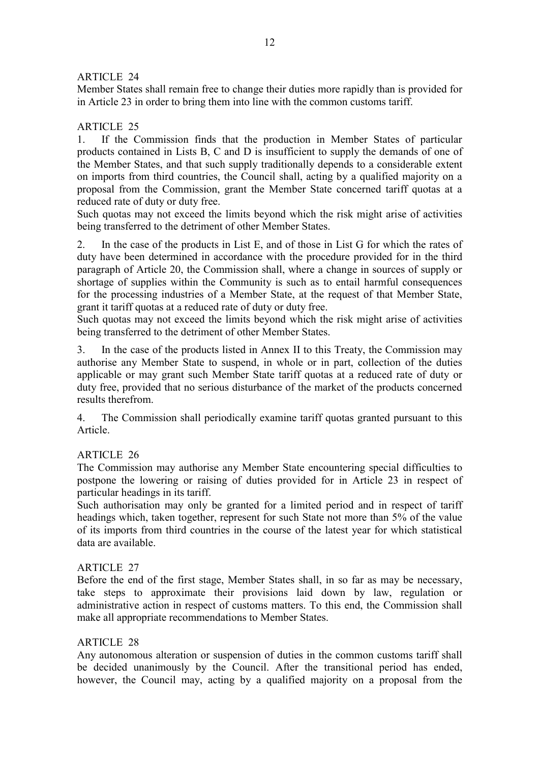Member States shall remain free to change their duties more rapidly than is provided for in Article 23 in order to bring them into line with the common customs tariff.

## ARTICLE 25

1. If the Commission finds that the production in Member States of particular products contained in Lists B, C and D is insufficient to supply the demands of one of the Member States, and that such supply traditionally depends to a considerable extent on imports from third countries, the Council shall, acting by a qualified majority on a proposal from the Commission, grant the Member State concerned tariff quotas at a reduced rate of duty or duty free.

Such quotas may not exceed the limits beyond which the risk might arise of activities being transferred to the detriment of other Member States.

2. In the case of the products in List E, and of those in List G for which the rates of duty have been determined in accordance with the procedure provided for in the third paragraph of Article 20, the Commission shall, where a change in sources of supply or shortage of supplies within the Community is such as to entail harmful consequences for the processing industries of a Member State, at the request of that Member State, grant it tariff quotas at a reduced rate of duty or duty free.

Such quotas may not exceed the limits beyond which the risk might arise of activities being transferred to the detriment of other Member States.

3. In the case of the products listed in Annex II to this Treaty, the Commission may authorise any Member State to suspend, in whole or in part, collection of the duties applicable or may grant such Member State tariff quotas at a reduced rate of duty or duty free, provided that no serious disturbance of the market of the products concerned results therefrom.

4. The Commission shall periodically examine tariff quotas granted pursuant to this Article.

# ARTICLE 26

The Commission may authorise any Member State encountering special difficulties to postpone the lowering or raising of duties provided for in Article 23 in respect of particular headings in its tariff.

Such authorisation may only be granted for a limited period and in respect of tariff headings which, taken together, represent for such State not more than 5% of the value of its imports from third countries in the course of the latest year for which statistical data are available.

## ARTICLE 27

Before the end of the first stage, Member States shall, in so far as may be necessary, take steps to approximate their provisions laid down by law, regulation or administrative action in respect of customs matters. To this end, the Commission shall make all appropriate recommendations to Member States.

## ARTICLE 28

Any autonomous alteration or suspension of duties in the common customs tariff shall be decided unanimously by the Council. After the transitional period has ended, however, the Council may, acting by a qualified majority on a proposal from the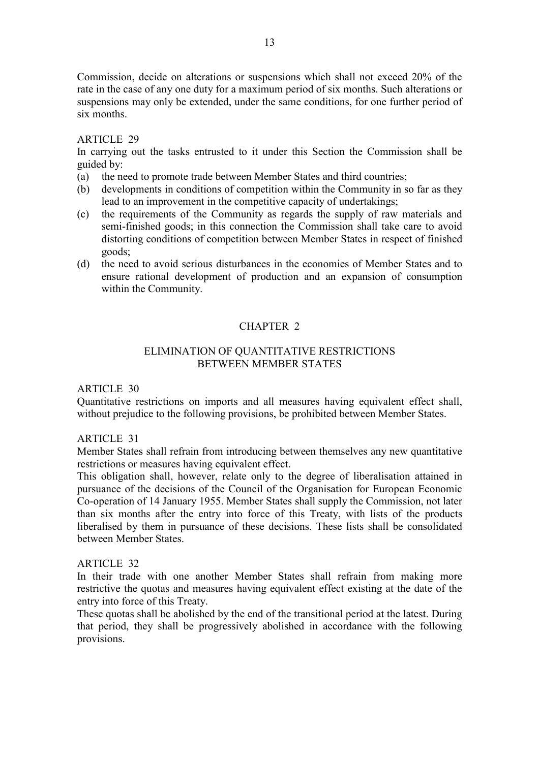Commission, decide on alterations or suspensions which shall not exceed 20% of the rate in the case of any one duty for a maximum period of six months. Such alterations or suspensions may only be extended, under the same conditions, for one further period of six months.

# ARTICLE 29

In carrying out the tasks entrusted to it under this Section the Commission shall be guided by:

- (a) the need to promote trade between Member States and third countries;
- (b) developments in conditions of competition within the Community in so far as they lead to an improvement in the competitive capacity of undertakings;
- (c) the requirements of the Community as regards the supply of raw materials and semi-finished goods; in this connection the Commission shall take care to avoid distorting conditions of competition between Member States in respect of finished goods;
- (d) the need to avoid serious disturbances in the economies of Member States and to ensure rational development of production and an expansion of consumption within the Community.

# CHAPTER 2

# ELIMINATION OF QUANTITATIVE RESTRICTIONS BETWEEN MEMBER STATES

## ARTICLE 30

Quantitative restrictions on imports and all measures having equivalent effect shall, without prejudice to the following provisions, be prohibited between Member States.

## ARTICLE 31

Member States shall refrain from introducing between themselves any new quantitative restrictions or measures having equivalent effect.

This obligation shall, however, relate only to the degree of liberalisation attained in pursuance of the decisions of the Council of the Organisation for European Economic Co-operation of 14 January 1955. Member States shall supply the Commission, not later than six months after the entry into force of this Treaty, with lists of the products liberalised by them in pursuance of these decisions. These lists shall be consolidated between Member States.

## ARTICLE 32

In their trade with one another Member States shall refrain from making more restrictive the quotas and measures having equivalent effect existing at the date of the entry into force of this Treaty.

These quotas shall be abolished by the end of the transitional period at the latest. During that period, they shall be progressively abolished in accordance with the following provisions.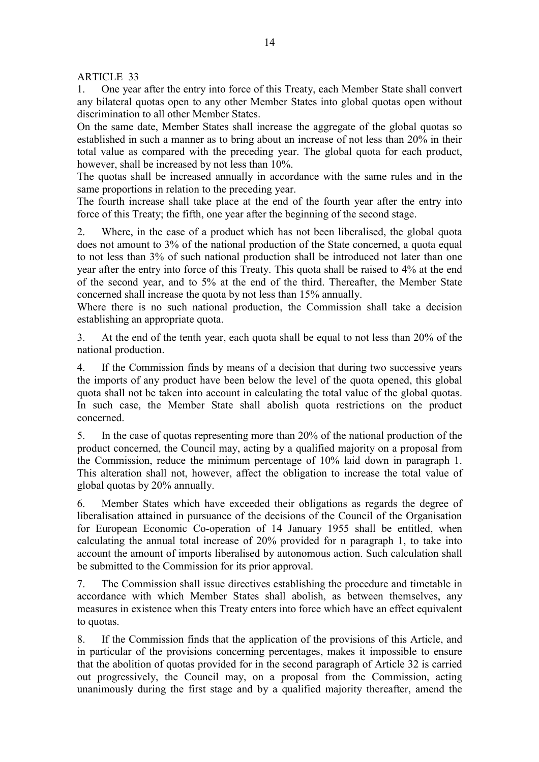1. One year after the entry into force of this Treaty, each Member State shall convert any bilateral quotas open to any other Member States into global quotas open without discrimination to all other Member States.

On the same date, Member States shall increase the aggregate of the global quotas so established in such a manner as to bring about an increase of not less than 20% in their total value as compared with the preceding year. The global quota for each product, however, shall be increased by not less than 10%.

The quotas shall be increased annually in accordance with the same rules and in the same proportions in relation to the preceding year.

The fourth increase shall take place at the end of the fourth year after the entry into force of this Treaty; the fifth, one year after the beginning of the second stage.

2. Where, in the case of a product which has not been liberalised, the global quota does not amount to 3% of the national production of the State concerned, a quota equal to not less than 3% of such national production shall be introduced not later than one year after the entry into force of this Treaty. This quota shall be raised to 4% at the end of the second year, and to 5% at the end of the third. Thereafter, the Member State concerned shall increase the quota by not less than 15% annually.

Where there is no such national production, the Commission shall take a decision establishing an appropriate quota.

3. At the end of the tenth year, each quota shall be equal to not less than 20% of the national production.

4. If the Commission finds by means of a decision that during two successive years the imports of any product have been below the level of the quota opened, this global quota shall not be taken into account in calculating the total value of the global quotas. In such case, the Member State shall abolish quota restrictions on the product concerned.

5. In the case of quotas representing more than 20% of the national production of the product concerned, the Council may, acting by a qualified majority on a proposal from the Commission, reduce the minimum percentage of 10% laid down in paragraph 1. This alteration shall not, however, affect the obligation to increase the total value of global quotas by 20% annually.

6. Member States which have exceeded their obligations as regards the degree of liberalisation attained in pursuance of the decisions of the Council of the Organisation for European Economic Co-operation of 14 January 1955 shall be entitled, when calculating the annual total increase of 20% provided for n paragraph 1, to take into account the amount of imports liberalised by autonomous action. Such calculation shall be submitted to the Commission for its prior approval.

7. The Commission shall issue directives establishing the procedure and timetable in accordance with which Member States shall abolish, as between themselves, any measures in existence when this Treaty enters into force which have an effect equivalent to quotas.

8. If the Commission finds that the application of the provisions of this Article, and in particular of the provisions concerning percentages, makes it impossible to ensure that the abolition of quotas provided for in the second paragraph of Article 32 is carried out progressively, the Council may, on a proposal from the Commission, acting unanimously during the first stage and by a qualified majority thereafter, amend the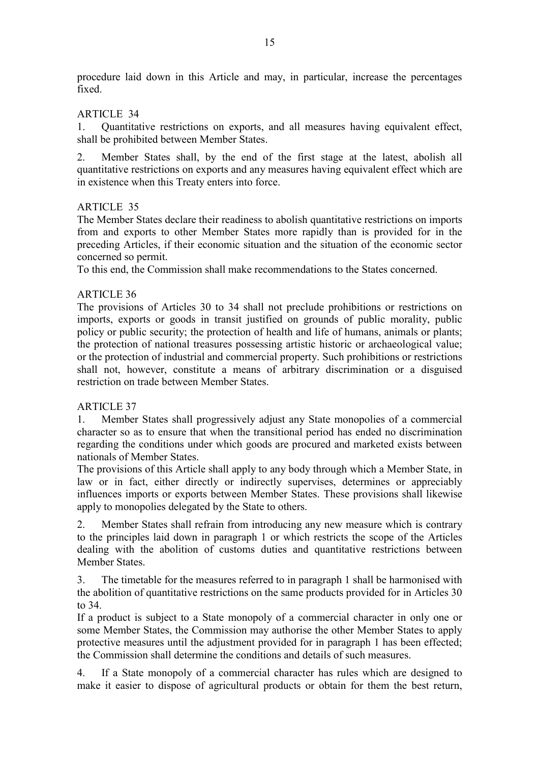procedure laid down in this Article and may, in particular, increase the percentages fixed.

# ARTICLE 34

1. Quantitative restrictions on exports, and all measures having equivalent effect, shall be prohibited between Member States.

2. Member States shall, by the end of the first stage at the latest, abolish all quantitative restrictions on exports and any measures having equivalent effect which are in existence when this Treaty enters into force.

# ARTICLE 35

The Member States declare their readiness to abolish quantitative restrictions on imports from and exports to other Member States more rapidly than is provided for in the preceding Articles, if their economic situation and the situation of the economic sector concerned so permit.

To this end, the Commission shall make recommendations to the States concerned.

# ARTICLE 36

The provisions of Articles 30 to 34 shall not preclude prohibitions or restrictions on imports, exports or goods in transit justified on grounds of public morality, public policy or public security; the protection of health and life of humans, animals or plants; the protection of national treasures possessing artistic historic or archaeological value; or the protection of industrial and commercial property. Such prohibitions or restrictions shall not, however, constitute a means of arbitrary discrimination or a disguised restriction on trade between Member States.

# ARTICLE 37

1. Member States shall progressively adjust any State monopolies of a commercial character so as to ensure that when the transitional period has ended no discrimination regarding the conditions under which goods are procured and marketed exists between nationals of Member States.

The provisions of this Article shall apply to any body through which a Member State, in law or in fact, either directly or indirectly supervises, determines or appreciably influences imports or exports between Member States. These provisions shall likewise apply to monopolies delegated by the State to others.

2. Member States shall refrain from introducing any new measure which is contrary to the principles laid down in paragraph 1 or which restricts the scope of the Articles dealing with the abolition of customs duties and quantitative restrictions between Member States.

3. The timetable for the measures referred to in paragraph 1 shall be harmonised with the abolition of quantitative restrictions on the same products provided for in Articles 30 to 34.

If a product is subject to a State monopoly of a commercial character in only one or some Member States, the Commission may authorise the other Member States to apply protective measures until the adjustment provided for in paragraph 1 has been effected; the Commission shall determine the conditions and details of such measures.

4. If a State monopoly of a commercial character has rules which are designed to make it easier to dispose of agricultural products or obtain for them the best return,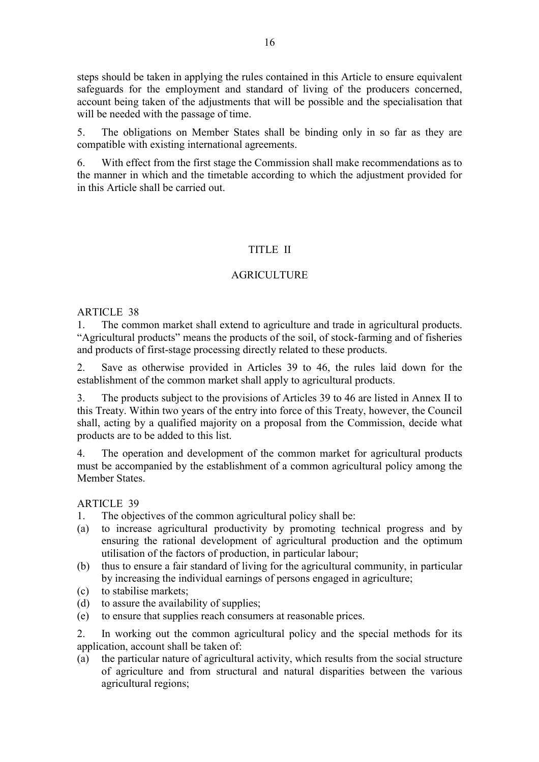steps should be taken in applying the rules contained in this Article to ensure equivalent safeguards for the employment and standard of living of the producers concerned, account being taken of the adjustments that will be possible and the specialisation that will be needed with the passage of time.

5. The obligations on Member States shall be binding only in so far as they are compatible with existing international agreements.

6. With effect from the first stage the Commission shall make recommendations as to the manner in which and the timetable according to which the adjustment provided for in this Article shall be carried out.

# TITLE II

# **AGRICULTURE**

# ARTICLE 38

1. The common market shall extend to agriculture and trade in agricultural products. "Agricultural products" means the products of the soil, of stock-farming and of fisheries and products of first-stage processing directly related to these products.

2. Save as otherwise provided in Articles 39 to 46, the rules laid down for the establishment of the common market shall apply to agricultural products.

3. The products subject to the provisions of Articles 39 to 46 are listed in Annex II to this Treaty. Within two years of the entry into force of this Treaty, however, the Council shall, acting by a qualified majority on a proposal from the Commission, decide what products are to be added to this list.

4. The operation and development of the common market for agricultural products must be accompanied by the establishment of a common agricultural policy among the Member States.

ARTICLE 39

- 1. The objectives of the common agricultural policy shall be:
- (a) to increase agricultural productivity by promoting technical progress and by ensuring the rational development of agricultural production and the optimum utilisation of the factors of production, in particular labour;
- (b) thus to ensure a fair standard of living for the agricultural community, in particular by increasing the individual earnings of persons engaged in agriculture;
- (c) to stabilise markets;
- (d) to assure the availability of supplies;
- (e) to ensure that supplies reach consumers at reasonable prices.

2. In working out the common agricultural policy and the special methods for its application, account shall be taken of:

(a) the particular nature of agricultural activity, which results from the social structure of agriculture and from structural and natural disparities between the various agricultural regions;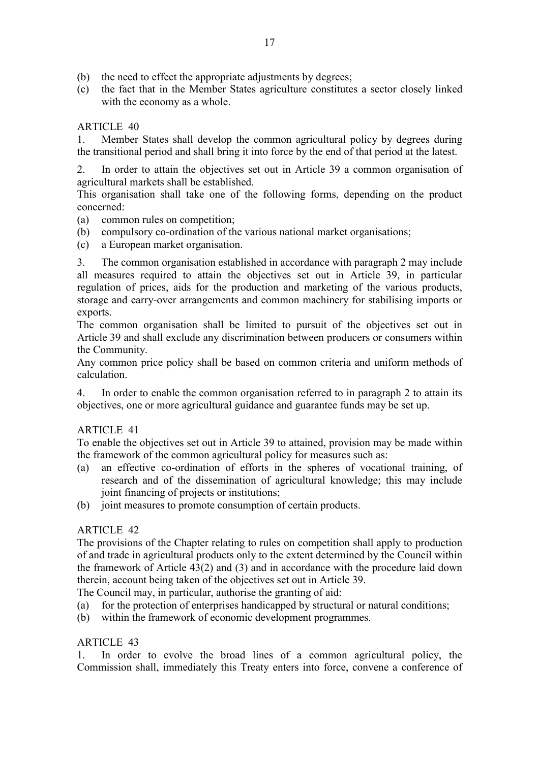- (b) the need to effect the appropriate adjustments by degrees;
- (c) the fact that in the Member States agriculture constitutes a sector closely linked with the economy as a whole.

1. Member States shall develop the common agricultural policy by degrees during the transitional period and shall bring it into force by the end of that period at the latest.

2. In order to attain the objectives set out in Article 39 a common organisation of agricultural markets shall be established.

This organisation shall take one of the following forms, depending on the product concerned:

- (a) common rules on competition;
- (b) compulsory co-ordination of the various national market organisations;
- (c) a European market organisation.

3. The common organisation established in accordance with paragraph 2 may include all measures required to attain the objectives set out in Article 39, in particular regulation of prices, aids for the production and marketing of the various products, storage and carry-over arrangements and common machinery for stabilising imports or exports.

The common organisation shall be limited to pursuit of the objectives set out in Article 39 and shall exclude any discrimination between producers or consumers within the Community.

Any common price policy shall be based on common criteria and uniform methods of calculation.

4. In order to enable the common organisation referred to in paragraph 2 to attain its objectives, one or more agricultural guidance and guarantee funds may be set up.

## ARTICLE 41

To enable the objectives set out in Article 39 to attained, provision may be made within the framework of the common agricultural policy for measures such as:

- (a) an effective co-ordination of efforts in the spheres of vocational training, of research and of the dissemination of agricultural knowledge; this may include joint financing of projects or institutions;
- (b) joint measures to promote consumption of certain products.

# ARTICLE 42

The provisions of the Chapter relating to rules on competition shall apply to production of and trade in agricultural products only to the extent determined by the Council within the framework of Article 43(2) and (3) and in accordance with the procedure laid down therein, account being taken of the objectives set out in Article 39.

The Council may, in particular, authorise the granting of aid:

- (a) for the protection of enterprises handicapped by structural or natural conditions;
- (b) within the framework of economic development programmes.

# ARTICLE 43

1. In order to evolve the broad lines of a common agricultural policy, the Commission shall, immediately this Treaty enters into force, convene a conference of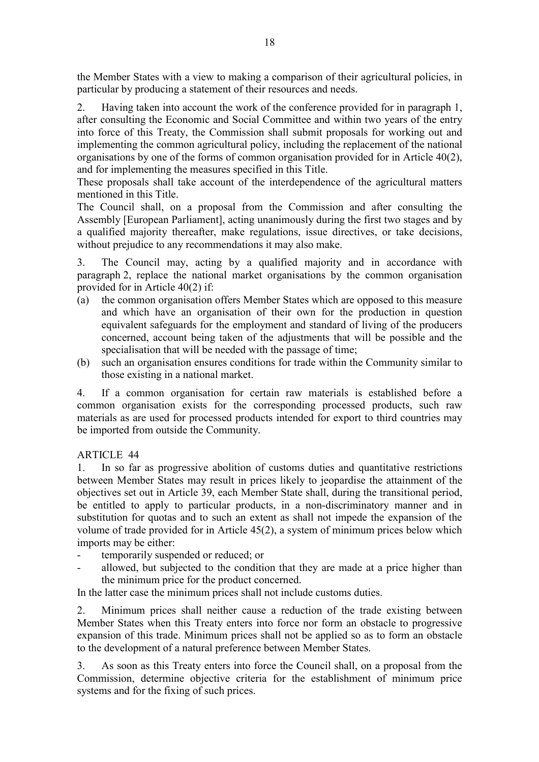the Member States with a view to making a comparison of their agricultural policies, in particular by producing a statement of their resources and needs.

2. Having taken into account the work of the conference provided for in paragraph 1, after consulting the Economic and Social Committee and within two years of the entry into force of this Treaty, the Commission shall submit proposals for working out and implementing the common agricultural policy, including the replacement of the national organisations by one of the forms of common organisation provided for in Article 40(2), and for implementing the measures specified in this Title.

These proposals shall take account of the interdependence of the agricultural matters mentioned in this Title.

The Council shall, on a proposal from the Commission and after consulting the Assembly [European Parliament], acting unanimously during the first two stages and by a qualified majority thereafter, make regulations, issue directives, or take decisions, without prejudice to any recommendations it may also make.

3. The Council may, acting by a qualified majority and in accordance with paragraph 2, replace the national market organisations by the common organisation provided for in Article 40(2) if:

- (a) the common organisation offers Member States which are opposed to this measure and which have an organisation of their own for the production in question equivalent safeguards for the employment and standard of living of the producers concerned, account being taken of the adjustments that will be possible and the specialisation that will be needed with the passage of time;
- (b) such an organisation ensures conditions for trade within the Community similar to those existing in a national market.

4. If a common organisation for certain raw materials is established before a common organisation exists for the corresponding processed products, such raw materials as are used for processed products intended for export to third countries may be imported from outside the Community.

ARTICLE 44

1. In so far as progressive abolition of customs duties and quantitative restrictions between Member States may result in prices likely to jeopardise the attainment of the objectives set out in Article 39, each Member State shall, during the transitional period, be entitled to apply to particular products, in a non-discriminatory manner and in substitution for quotas and to such an extent as shall not impede the expansion of the volume of trade provided for in Article 45(2), a system of minimum prices below which imports may be either:

- temporarily suspended or reduced; or
- allowed, but subjected to the condition that they are made at a price higher than the minimum price for the product concerned.

In the latter case the minimum prices shall not include customs duties.

2. Minimum prices shall neither cause a reduction of the trade existing between Member States when this Treaty enters into force nor form an obstacle to progressive expansion of this trade. Minimum prices shall not be applied so as to form an obstacle to the development of a natural preference between Member States.

3. As soon as this Treaty enters into force the Council shall, on a proposal from the Commission, determine objective criteria for the establishment of minimum price systems and for the fixing of such prices.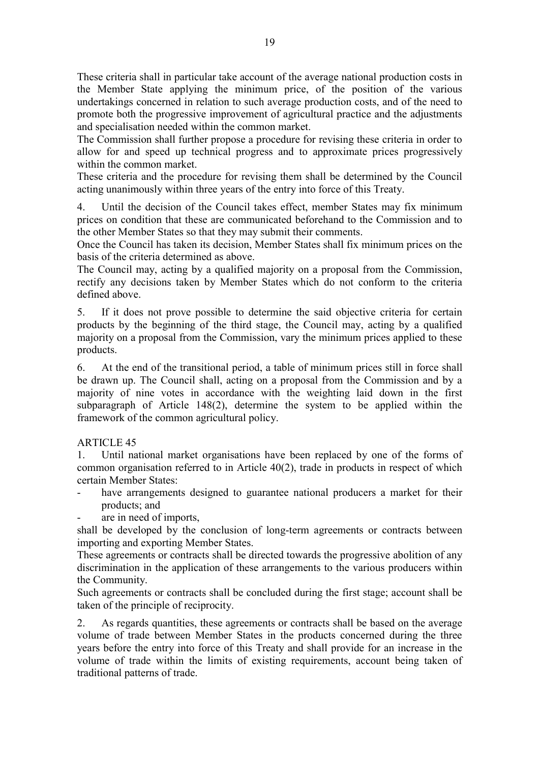These criteria shall in particular take account of the average national production costs in the Member State applying the minimum price, of the position of the various undertakings concerned in relation to such average production costs, and of the need to promote both the progressive improvement of agricultural practice and the adjustments and specialisation needed within the common market.

The Commission shall further propose a procedure for revising these criteria in order to allow for and speed up technical progress and to approximate prices progressively within the common market.

These criteria and the procedure for revising them shall be determined by the Council acting unanimously within three years of the entry into force of this Treaty.

4. Until the decision of the Council takes effect, member States may fix minimum prices on condition that these are communicated beforehand to the Commission and to the other Member States so that they may submit their comments.

Once the Council has taken its decision, Member States shall fix minimum prices on the basis of the criteria determined as above.

The Council may, acting by a qualified majority on a proposal from the Commission, rectify any decisions taken by Member States which do not conform to the criteria defined above.

5. If it does not prove possible to determine the said objective criteria for certain products by the beginning of the third stage, the Council may, acting by a qualified majority on a proposal from the Commission, vary the minimum prices applied to these products.

6. At the end of the transitional period, a table of minimum prices still in force shall be drawn up. The Council shall, acting on a proposal from the Commission and by a majority of nine votes in accordance with the weighting laid down in the first subparagraph of Article 148(2), determine the system to be applied within the framework of the common agricultural policy.

# ARTICLE 45

1. Until national market organisations have been replaced by one of the forms of common organisation referred to in Article 40(2), trade in products in respect of which certain Member States:

- have arrangements designed to guarantee national producers a market for their products; and
- are in need of imports,

shall be developed by the conclusion of long-term agreements or contracts between importing and exporting Member States.

These agreements or contracts shall be directed towards the progressive abolition of any discrimination in the application of these arrangements to the various producers within the Community.

Such agreements or contracts shall be concluded during the first stage; account shall be taken of the principle of reciprocity.

2. As regards quantities, these agreements or contracts shall be based on the average volume of trade between Member States in the products concerned during the three years before the entry into force of this Treaty and shall provide for an increase in the volume of trade within the limits of existing requirements, account being taken of traditional patterns of trade.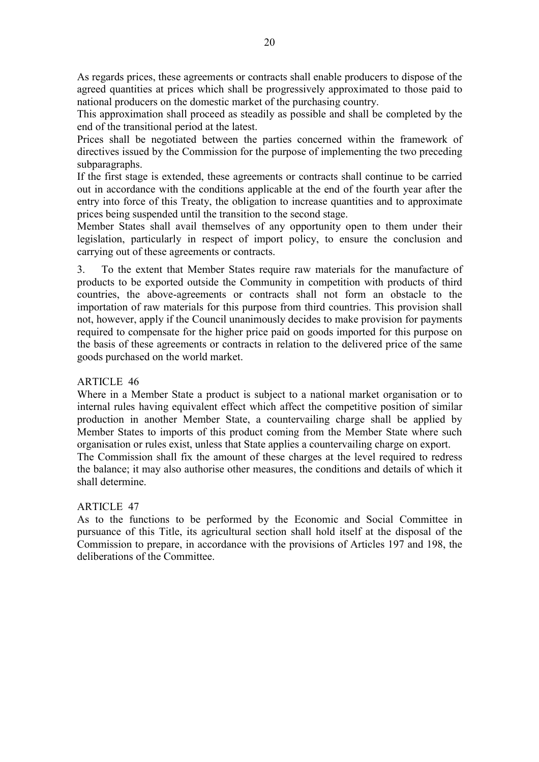As regards prices, these agreements or contracts shall enable producers to dispose of the agreed quantities at prices which shall be progressively approximated to those paid to national producers on the domestic market of the purchasing country.

This approximation shall proceed as steadily as possible and shall be completed by the end of the transitional period at the latest.

Prices shall be negotiated between the parties concerned within the framework of directives issued by the Commission for the purpose of implementing the two preceding subparagraphs.

If the first stage is extended, these agreements or contracts shall continue to be carried out in accordance with the conditions applicable at the end of the fourth year after the entry into force of this Treaty, the obligation to increase quantities and to approximate prices being suspended until the transition to the second stage.

Member States shall avail themselves of any opportunity open to them under their legislation, particularly in respect of import policy, to ensure the conclusion and carrying out of these agreements or contracts.

3. To the extent that Member States require raw materials for the manufacture of products to be exported outside the Community in competition with products of third countries, the above-agreements or contracts shall not form an obstacle to the importation of raw materials for this purpose from third countries. This provision shall not, however, apply if the Council unanimously decides to make provision for payments required to compensate for the higher price paid on goods imported for this purpose on the basis of these agreements or contracts in relation to the delivered price of the same goods purchased on the world market.

## ARTICLE 46

Where in a Member State a product is subject to a national market organisation or to internal rules having equivalent effect which affect the competitive position of similar production in another Member State, a countervailing charge shall be applied by Member States to imports of this product coming from the Member State where such organisation or rules exist, unless that State applies a countervailing charge on export. The Commission shall fix the amount of these charges at the level required to redress the balance; it may also authorise other measures, the conditions and details of which it shall determine.

## ARTICLE 47

As to the functions to be performed by the Economic and Social Committee in pursuance of this Title, its agricultural section shall hold itself at the disposal of the Commission to prepare, in accordance with the provisions of Articles 197 and 198, the deliberations of the Committee.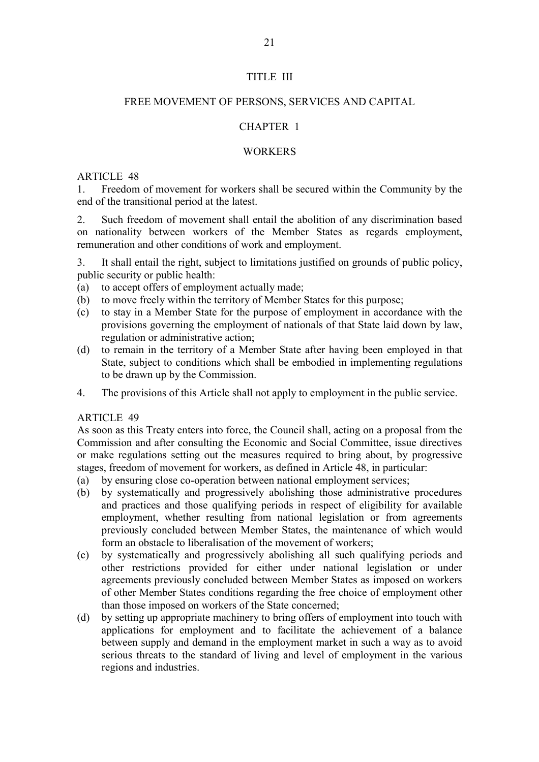## TITLE III

## FREE MOVEMENT OF PERSONS, SERVICES AND CAPITAL

# CHAPTER 1

#### **WORKERS**

#### ARTICLE 48

1. Freedom of movement for workers shall be secured within the Community by the end of the transitional period at the latest.

2. Such freedom of movement shall entail the abolition of any discrimination based on nationality between workers of the Member States as regards employment, remuneration and other conditions of work and employment.

3. It shall entail the right, subject to limitations justified on grounds of public policy, public security or public health:

- (a) to accept offers of employment actually made;
- (b) to move freely within the territory of Member States for this purpose;
- (c) to stay in a Member State for the purpose of employment in accordance with the provisions governing the employment of nationals of that State laid down by law, regulation or administrative action;
- (d) to remain in the territory of a Member State after having been employed in that State, subject to conditions which shall be embodied in implementing regulations to be drawn up by the Commission.
- 4. The provisions of this Article shall not apply to employment in the public service.

## ARTICLE 49

As soon as this Treaty enters into force, the Council shall, acting on a proposal from the Commission and after consulting the Economic and Social Committee, issue directives or make regulations setting out the measures required to bring about, by progressive stages, freedom of movement for workers, as defined in Article 48, in particular:

- (a) by ensuring close co-operation between national employment services;
- (b) by systematically and progressively abolishing those administrative procedures and practices and those qualifying periods in respect of eligibility for available employment, whether resulting from national legislation or from agreements previously concluded between Member States, the maintenance of which would form an obstacle to liberalisation of the movement of workers;
- (c) by systematically and progressively abolishing all such qualifying periods and other restrictions provided for either under national legislation or under agreements previously concluded between Member States as imposed on workers of other Member States conditions regarding the free choice of employment other than those imposed on workers of the State concerned;
- (d) by setting up appropriate machinery to bring offers of employment into touch with applications for employment and to facilitate the achievement of a balance between supply and demand in the employment market in such a way as to avoid serious threats to the standard of living and level of employment in the various regions and industries.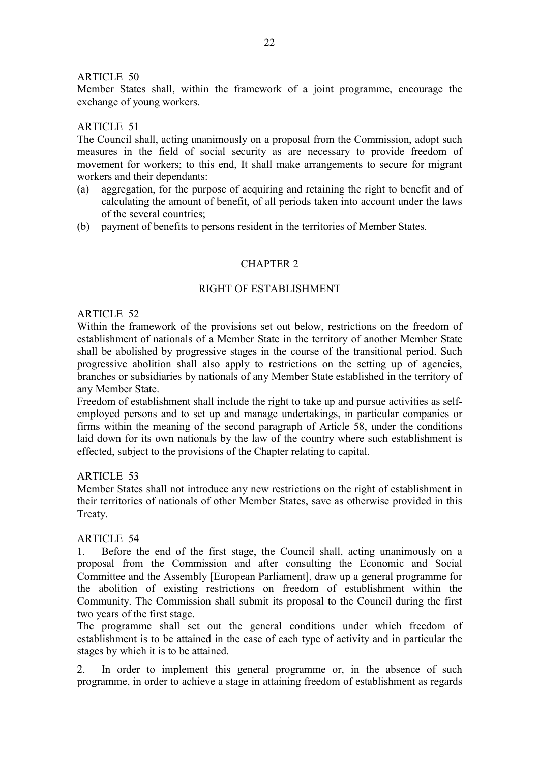Member States shall, within the framework of a joint programme, encourage the exchange of young workers.

#### ARTICLE 51

The Council shall, acting unanimously on a proposal from the Commission, adopt such measures in the field of social security as are necessary to provide freedom of movement for workers; to this end, It shall make arrangements to secure for migrant workers and their dependants:

- (a) aggregation, for the purpose of acquiring and retaining the right to benefit and of calculating the amount of benefit, of all periods taken into account under the laws of the several countries;
- (b) payment of benefits to persons resident in the territories of Member States.

# CHAPTER 2

#### RIGHT OF ESTABLISHMENT

#### ARTICLE 52

Within the framework of the provisions set out below, restrictions on the freedom of establishment of nationals of a Member State in the territory of another Member State shall be abolished by progressive stages in the course of the transitional period. Such progressive abolition shall also apply to restrictions on the setting up of agencies, branches or subsidiaries by nationals of any Member State established in the territory of any Member State.

Freedom of establishment shall include the right to take up and pursue activities as selfemployed persons and to set up and manage undertakings, in particular companies or firms within the meaning of the second paragraph of Article 58, under the conditions laid down for its own nationals by the law of the country where such establishment is effected, subject to the provisions of the Chapter relating to capital.

#### ARTICLE 53

Member States shall not introduce any new restrictions on the right of establishment in their territories of nationals of other Member States, save as otherwise provided in this Treaty.

#### ARTICLE 54

1. Before the end of the first stage, the Council shall, acting unanimously on a proposal from the Commission and after consulting the Economic and Social Committee and the Assembly [European Parliament], draw up a general programme for the abolition of existing restrictions on freedom of establishment within the Community. The Commission shall submit its proposal to the Council during the first two years of the first stage.

The programme shall set out the general conditions under which freedom of establishment is to be attained in the case of each type of activity and in particular the stages by which it is to be attained.

2. In order to implement this general programme or, in the absence of such programme, in order to achieve a stage in attaining freedom of establishment as regards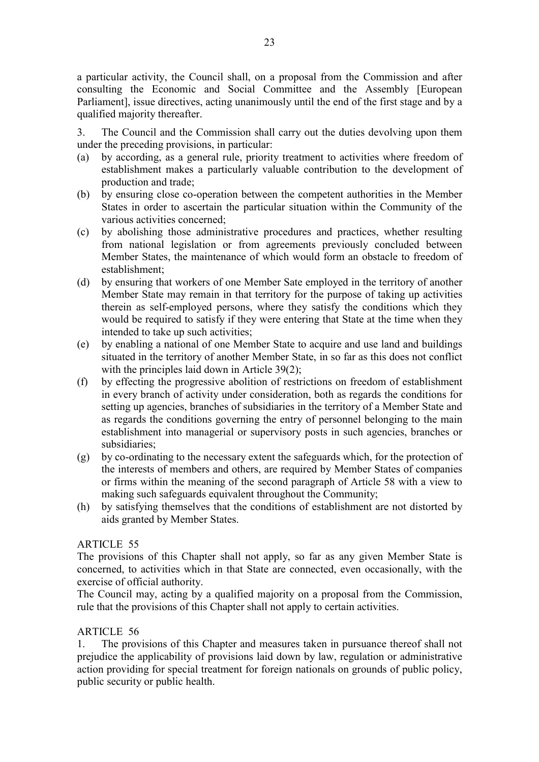a particular activity, the Council shall, on a proposal from the Commission and after consulting the Economic and Social Committee and the Assembly [European Parliament], issue directives, acting unanimously until the end of the first stage and by a qualified majority thereafter.

3. The Council and the Commission shall carry out the duties devolving upon them under the preceding provisions, in particular:

- (a) by according, as a general rule, priority treatment to activities where freedom of establishment makes a particularly valuable contribution to the development of production and trade;
- (b) by ensuring close co-operation between the competent authorities in the Member States in order to ascertain the particular situation within the Community of the various activities concerned;
- (c) by abolishing those administrative procedures and practices, whether resulting from national legislation or from agreements previously concluded between Member States, the maintenance of which would form an obstacle to freedom of establishment;
- (d) by ensuring that workers of one Member Sate employed in the territory of another Member State may remain in that territory for the purpose of taking up activities therein as self-employed persons, where they satisfy the conditions which they would be required to satisfy if they were entering that State at the time when they intended to take up such activities;
- (e) by enabling a national of one Member State to acquire and use land and buildings situated in the territory of another Member State, in so far as this does not conflict with the principles laid down in Article 39(2);
- (f) by effecting the progressive abolition of restrictions on freedom of establishment in every branch of activity under consideration, both as regards the conditions for setting up agencies, branches of subsidiaries in the territory of a Member State and as regards the conditions governing the entry of personnel belonging to the main establishment into managerial or supervisory posts in such agencies, branches or subsidiaries;
- (g) by co-ordinating to the necessary extent the safeguards which, for the protection of the interests of members and others, are required by Member States of companies or firms within the meaning of the second paragraph of Article 58 with a view to making such safeguards equivalent throughout the Community;
- (h) by satisfying themselves that the conditions of establishment are not distorted by aids granted by Member States.

# ARTICLE 55

The provisions of this Chapter shall not apply, so far as any given Member State is concerned, to activities which in that State are connected, even occasionally, with the exercise of official authority.

The Council may, acting by a qualified majority on a proposal from the Commission, rule that the provisions of this Chapter shall not apply to certain activities.

## ARTICLE 56

1. The provisions of this Chapter and measures taken in pursuance thereof shall not prejudice the applicability of provisions laid down by law, regulation or administrative action providing for special treatment for foreign nationals on grounds of public policy, public security or public health.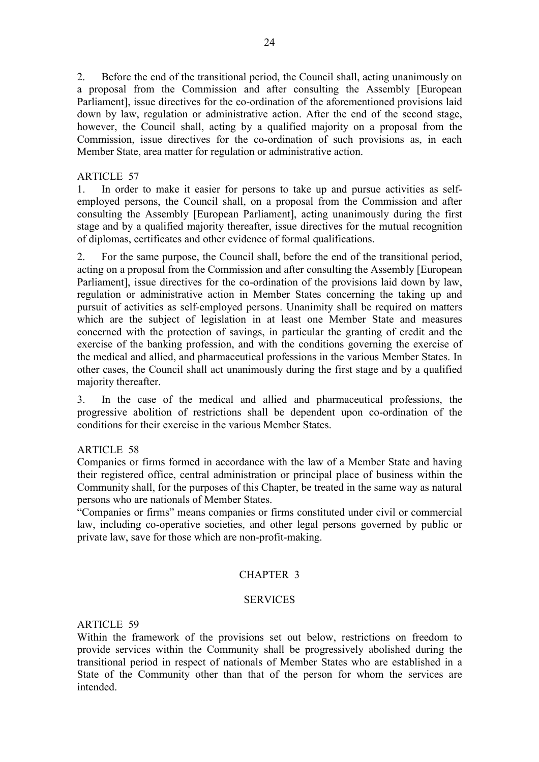2. Before the end of the transitional period, the Council shall, acting unanimously on a proposal from the Commission and after consulting the Assembly [European Parliament], issue directives for the co-ordination of the aforementioned provisions laid down by law, regulation or administrative action. After the end of the second stage, however, the Council shall, acting by a qualified majority on a proposal from the Commission, issue directives for the co-ordination of such provisions as, in each Member State, area matter for regulation or administrative action.

## ARTICLE 57

1. In order to make it easier for persons to take up and pursue activities as selfemployed persons, the Council shall, on a proposal from the Commission and after consulting the Assembly [European Parliament], acting unanimously during the first stage and by a qualified majority thereafter, issue directives for the mutual recognition of diplomas, certificates and other evidence of formal qualifications.

2. For the same purpose, the Council shall, before the end of the transitional period, acting on a proposal from the Commission and after consulting the Assembly [European Parliament], issue directives for the co-ordination of the provisions laid down by law, regulation or administrative action in Member States concerning the taking up and pursuit of activities as self-employed persons. Unanimity shall be required on matters which are the subject of legislation in at least one Member State and measures concerned with the protection of savings, in particular the granting of credit and the exercise of the banking profession, and with the conditions governing the exercise of the medical and allied, and pharmaceutical professions in the various Member States. In other cases, the Council shall act unanimously during the first stage and by a qualified majority thereafter.

3. In the case of the medical and allied and pharmaceutical professions, the progressive abolition of restrictions shall be dependent upon co-ordination of the conditions for their exercise in the various Member States.

## ARTICLE 58

Companies or firms formed in accordance with the law of a Member State and having their registered office, central administration or principal place of business within the Community shall, for the purposes of this Chapter, be treated in the same way as natural persons who are nationals of Member States.

"Companies or firms" means companies or firms constituted under civil or commercial law, including co-operative societies, and other legal persons governed by public or private law, save for those which are non-profit-making.

# CHAPTER 3

# **SERVICES**

ARTICLE 59

Within the framework of the provisions set out below, restrictions on freedom to provide services within the Community shall be progressively abolished during the transitional period in respect of nationals of Member States who are established in a State of the Community other than that of the person for whom the services are intended.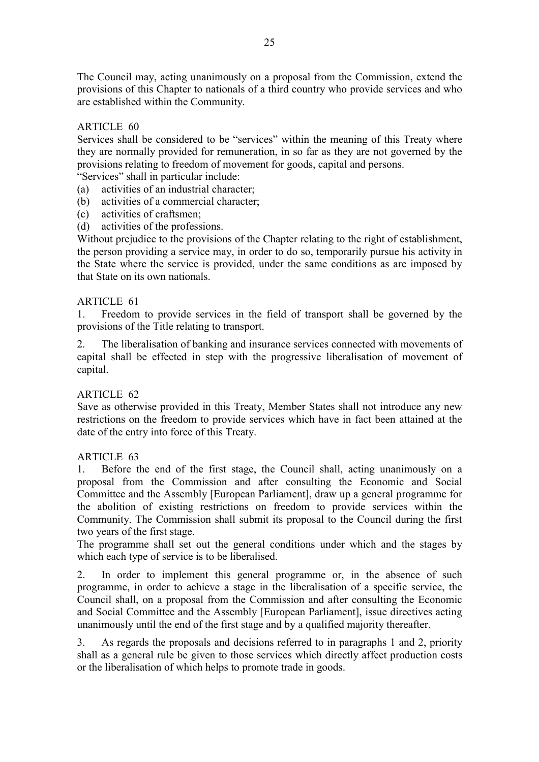The Council may, acting unanimously on a proposal from the Commission, extend the provisions of this Chapter to nationals of a third country who provide services and who are established within the Community.

# ARTICLE 60

Services shall be considered to be "services" within the meaning of this Treaty where they are normally provided for remuneration, in so far as they are not governed by the provisions relating to freedom of movement for goods, capital and persons.

"Services" shall in particular include:

- (a) activities of an industrial character;
- (b) activities of a commercial character;
- (c) activities of craftsmen;
- (d) activities of the professions.

Without prejudice to the provisions of the Chapter relating to the right of establishment, the person providing a service may, in order to do so, temporarily pursue his activity in the State where the service is provided, under the same conditions as are imposed by that State on its own nationals.

# ARTICLE 61

1. Freedom to provide services in the field of transport shall be governed by the provisions of the Title relating to transport.

2. The liberalisation of banking and insurance services connected with movements of capital shall be effected in step with the progressive liberalisation of movement of capital.

## ARTICLE 62

Save as otherwise provided in this Treaty, Member States shall not introduce any new restrictions on the freedom to provide services which have in fact been attained at the date of the entry into force of this Treaty.

## ARTICLE 63

1. Before the end of the first stage, the Council shall, acting unanimously on a proposal from the Commission and after consulting the Economic and Social Committee and the Assembly [European Parliament], draw up a general programme for the abolition of existing restrictions on freedom to provide services within the Community. The Commission shall submit its proposal to the Council during the first two years of the first stage.

The programme shall set out the general conditions under which and the stages by which each type of service is to be liberalised.

2. In order to implement this general programme or, in the absence of such programme, in order to achieve a stage in the liberalisation of a specific service, the Council shall, on a proposal from the Commission and after consulting the Economic and Social Committee and the Assembly [European Parliament], issue directives acting unanimously until the end of the first stage and by a qualified majority thereafter.

3. As regards the proposals and decisions referred to in paragraphs 1 and 2, priority shall as a general rule be given to those services which directly affect production costs or the liberalisation of which helps to promote trade in goods.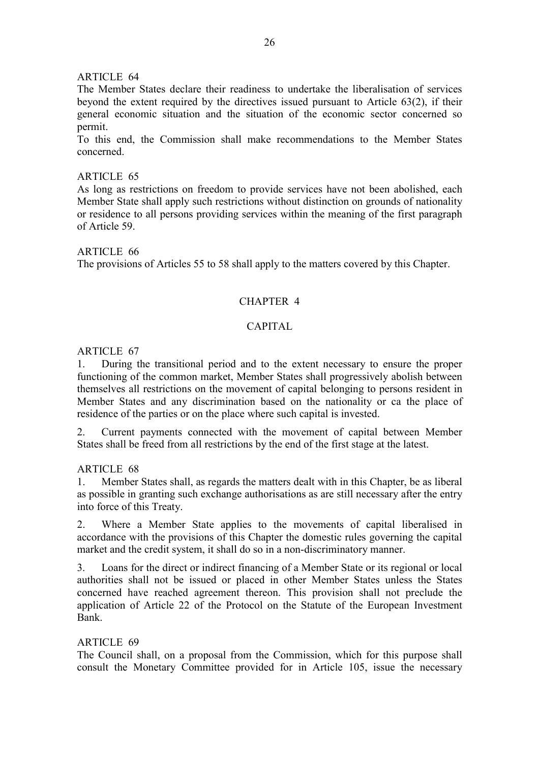The Member States declare their readiness to undertake the liberalisation of services beyond the extent required by the directives issued pursuant to Article 63(2), if their general economic situation and the situation of the economic sector concerned so permit.

To this end, the Commission shall make recommendations to the Member States concerned.

#### ARTICLE 65

As long as restrictions on freedom to provide services have not been abolished, each Member State shall apply such restrictions without distinction on grounds of nationality or residence to all persons providing services within the meaning of the first paragraph of Article 59.

#### ARTICLE 66

The provisions of Articles 55 to 58 shall apply to the matters covered by this Chapter.

## CHAPTER 4

## CAPITAL

## ARTICLE 67

1. During the transitional period and to the extent necessary to ensure the proper functioning of the common market, Member States shall progressively abolish between themselves all restrictions on the movement of capital belonging to persons resident in Member States and any discrimination based on the nationality or ca the place of residence of the parties or on the place where such capital is invested.

2. Current payments connected with the movement of capital between Member States shall be freed from all restrictions by the end of the first stage at the latest.

#### ARTICLE 68

1. Member States shall, as regards the matters dealt with in this Chapter, be as liberal as possible in granting such exchange authorisations as are still necessary after the entry into force of this Treaty.

2. Where a Member State applies to the movements of capital liberalised in accordance with the provisions of this Chapter the domestic rules governing the capital market and the credit system, it shall do so in a non-discriminatory manner.

3. Loans for the direct or indirect financing of a Member State or its regional or local authorities shall not be issued or placed in other Member States unless the States concerned have reached agreement thereon. This provision shall not preclude the application of Article 22 of the Protocol on the Statute of the European Investment Bank.

#### ARTICLE 69

The Council shall, on a proposal from the Commission, which for this purpose shall consult the Monetary Committee provided for in Article 105, issue the necessary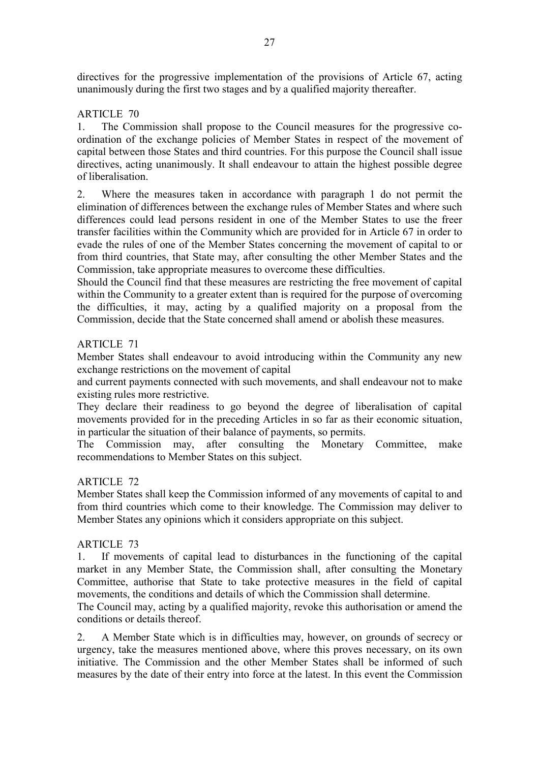directives for the progressive implementation of the provisions of Article 67, acting unanimously during the first two stages and by a qualified majority thereafter.

# ARTICLE 70

1. The Commission shall propose to the Council measures for the progressive coordination of the exchange policies of Member States in respect of the movement of capital between those States and third countries. For this purpose the Council shall issue directives, acting unanimously. It shall endeavour to attain the highest possible degree of liberalisation.

2. Where the measures taken in accordance with paragraph 1 do not permit the elimination of differences between the exchange rules of Member States and where such differences could lead persons resident in one of the Member States to use the freer transfer facilities within the Community which are provided for in Article 67 in order to evade the rules of one of the Member States concerning the movement of capital to or from third countries, that State may, after consulting the other Member States and the Commission, take appropriate measures to overcome these difficulties.

Should the Council find that these measures are restricting the free movement of capital within the Community to a greater extent than is required for the purpose of overcoming the difficulties, it may, acting by a qualified majority on a proposal from the Commission, decide that the State concerned shall amend or abolish these measures.

# ARTICLE 71

Member States shall endeavour to avoid introducing within the Community any new exchange restrictions on the movement of capital

and current payments connected with such movements, and shall endeavour not to make existing rules more restrictive.

They declare their readiness to go beyond the degree of liberalisation of capital movements provided for in the preceding Articles in so far as their economic situation, in particular the situation of their balance of payments, so permits.

The Commission may, after consulting the Monetary Committee, make recommendations to Member States on this subject.

## ARTICLE 72

Member States shall keep the Commission informed of any movements of capital to and from third countries which come to their knowledge. The Commission may deliver to Member States any opinions which it considers appropriate on this subject.

## ARTICLE 73

1. If movements of capital lead to disturbances in the functioning of the capital market in any Member State, the Commission shall, after consulting the Monetary Committee, authorise that State to take protective measures in the field of capital movements, the conditions and details of which the Commission shall determine.

The Council may, acting by a qualified majority, revoke this authorisation or amend the conditions or details thereof.

2. A Member State which is in difficulties may, however, on grounds of secrecy or urgency, take the measures mentioned above, where this proves necessary, on its own initiative. The Commission and the other Member States shall be informed of such measures by the date of their entry into force at the latest. In this event the Commission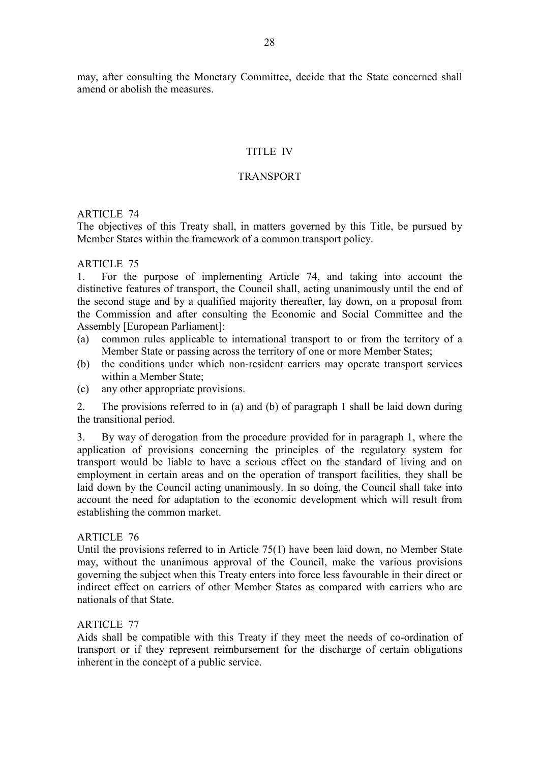may, after consulting the Monetary Committee, decide that the State concerned shall amend or abolish the measures.

# TITLE IV

## TRANSPORT

## ARTICLE 74

The objectives of this Treaty shall, in matters governed by this Title, be pursued by Member States within the framework of a common transport policy.

## ARTICLE 75

1. For the purpose of implementing Article 74, and taking into account the distinctive features of transport, the Council shall, acting unanimously until the end of the second stage and by a qualified majority thereafter, lay down, on a proposal from the Commission and after consulting the Economic and Social Committee and the Assembly [European Parliament]:

- (a) common rules applicable to international transport to or from the territory of a Member State or passing across the territory of one or more Member States;
- (b) the conditions under which non-resident carriers may operate transport services within a Member State;
- (c) any other appropriate provisions.

2. The provisions referred to in (a) and (b) of paragraph 1 shall be laid down during the transitional period.

3. By way of derogation from the procedure provided for in paragraph 1, where the application of provisions concerning the principles of the regulatory system for transport would be liable to have a serious effect on the standard of living and on employment in certain areas and on the operation of transport facilities, they shall be laid down by the Council acting unanimously. In so doing, the Council shall take into account the need for adaptation to the economic development which will result from establishing the common market.

## ARTICLE 76

Until the provisions referred to in Article 75(1) have been laid down, no Member State may, without the unanimous approval of the Council, make the various provisions governing the subject when this Treaty enters into force less favourable in their direct or indirect effect on carriers of other Member States as compared with carriers who are nationals of that State.

#### ARTICLE 77

Aids shall be compatible with this Treaty if they meet the needs of co-ordination of transport or if they represent reimbursement for the discharge of certain obligations inherent in the concept of a public service.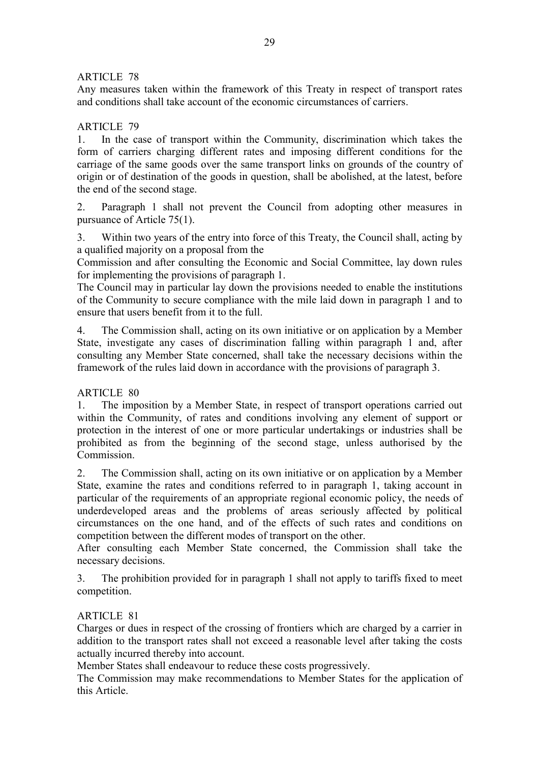Any measures taken within the framework of this Treaty in respect of transport rates and conditions shall take account of the economic circumstances of carriers.

## ARTICLE 79

1. In the case of transport within the Community, discrimination which takes the form of carriers charging different rates and imposing different conditions for the carriage of the same goods over the same transport links on grounds of the country of origin or of destination of the goods in question, shall be abolished, at the latest, before the end of the second stage.

2. Paragraph 1 shall not prevent the Council from adopting other measures in pursuance of Article 75(1).

3. Within two years of the entry into force of this Treaty, the Council shall, acting by a qualified majority on a proposal from the

Commission and after consulting the Economic and Social Committee, lay down rules for implementing the provisions of paragraph 1.

The Council may in particular lay down the provisions needed to enable the institutions of the Community to secure compliance with the mile laid down in paragraph 1 and to ensure that users benefit from it to the full.

4. The Commission shall, acting on its own initiative or on application by a Member State, investigate any cases of discrimination falling within paragraph 1 and, after consulting any Member State concerned, shall take the necessary decisions within the framework of the rules laid down in accordance with the provisions of paragraph 3.

## ARTICLE 80

1. The imposition by a Member State, in respect of transport operations carried out within the Community, of rates and conditions involving any element of support or protection in the interest of one or more particular undertakings or industries shall be prohibited as from the beginning of the second stage, unless authorised by the Commission.

2. The Commission shall, acting on its own initiative or on application by a Member State, examine the rates and conditions referred to in paragraph 1, taking account in particular of the requirements of an appropriate regional economic policy, the needs of underdeveloped areas and the problems of areas seriously affected by political circumstances on the one hand, and of the effects of such rates and conditions on competition between the different modes of transport on the other.

After consulting each Member State concerned, the Commission shall take the necessary decisions.

3. The prohibition provided for in paragraph 1 shall not apply to tariffs fixed to meet competition.

# ARTICLE 81

Charges or dues in respect of the crossing of frontiers which are charged by a carrier in addition to the transport rates shall not exceed a reasonable level after taking the costs actually incurred thereby into account.

Member States shall endeavour to reduce these costs progressively.

The Commission may make recommendations to Member States for the application of this Article.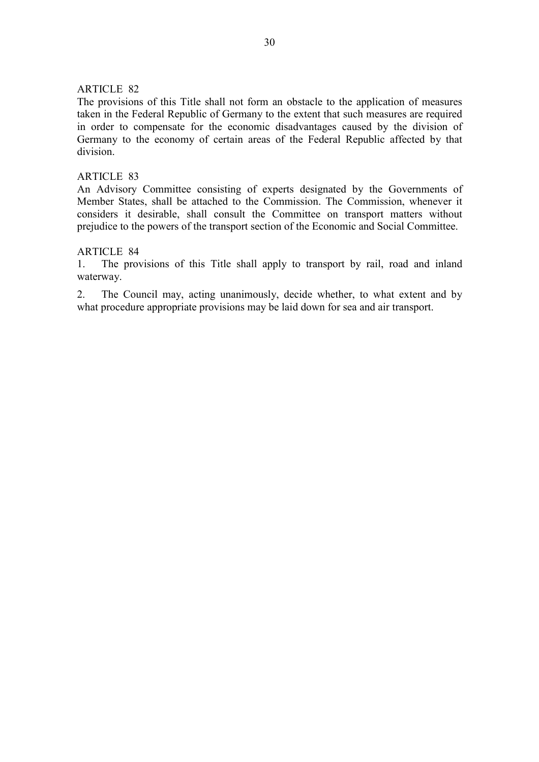The provisions of this Title shall not form an obstacle to the application of measures taken in the Federal Republic of Germany to the extent that such measures are required in order to compensate for the economic disadvantages caused by the division of Germany to the economy of certain areas of the Federal Republic affected by that division.

#### ARTICLE 83

An Advisory Committee consisting of experts designated by the Governments of Member States, shall be attached to the Commission. The Commission, whenever it considers it desirable, shall consult the Committee on transport matters without prejudice to the powers of the transport section of the Economic and Social Committee.

#### ARTICLE 84

1. The provisions of this Title shall apply to transport by rail, road and inland waterway.

2. The Council may, acting unanimously, decide whether, to what extent and by what procedure appropriate provisions may be laid down for sea and air transport.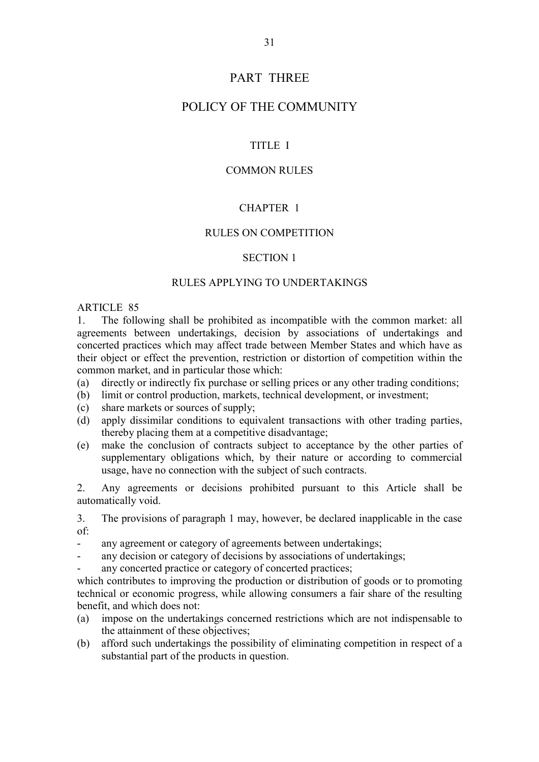# PART THREE

# POLICY OF THE COMMUNITY

# TITLE I

#### COMMON RULES

# CHAPTER 1

#### RULES ON COMPETITION

#### SECTION 1

## RULES APPLYING TO UNDERTAKINGS

#### ARTICLE 85

1. The following shall be prohibited as incompatible with the common market: all agreements between undertakings, decision by associations of undertakings and concerted practices which may affect trade between Member States and which have as their object or effect the prevention, restriction or distortion of competition within the common market, and in particular those which:

- (a) directly or indirectly fix purchase or selling prices or any other trading conditions;
- (b) limit or control production, markets, technical development, or investment;
- (c) share markets or sources of supply;
- (d) apply dissimilar conditions to equivalent transactions with other trading parties, thereby placing them at a competitive disadvantage;
- (e) make the conclusion of contracts subject to acceptance by the other parties of supplementary obligations which, by their nature or according to commercial usage, have no connection with the subject of such contracts.

2. Any agreements or decisions prohibited pursuant to this Article shall be automatically void.

3. The provisions of paragraph 1 may, however, be declared inapplicable in the case of:

any agreement or category of agreements between undertakings;

- any decision or category of decisions by associations of undertakings;
- any concerted practice or category of concerted practices;

which contributes to improving the production or distribution of goods or to promoting technical or economic progress, while allowing consumers a fair share of the resulting benefit, and which does not:

- (a) impose on the undertakings concerned restrictions which are not indispensable to the attainment of these objectives;
- (b) afford such undertakings the possibility of eliminating competition in respect of a substantial part of the products in question.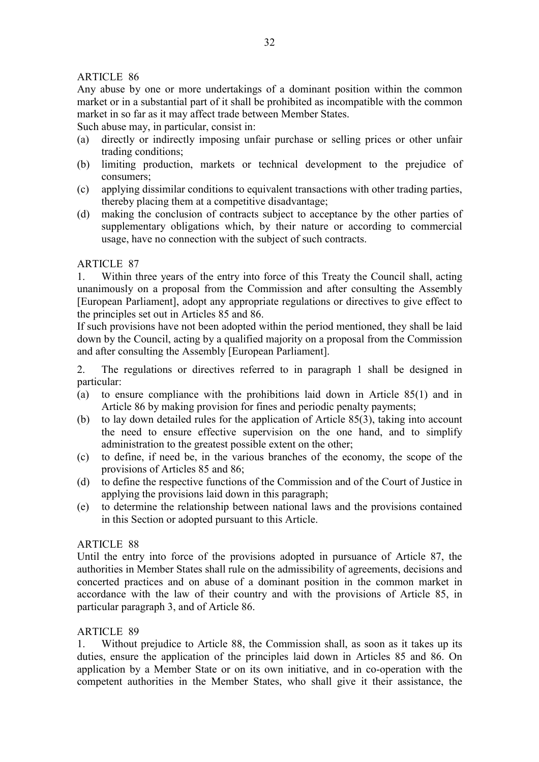Any abuse by one or more undertakings of a dominant position within the common market or in a substantial part of it shall be prohibited as incompatible with the common market in so far as it may affect trade between Member States.

Such abuse may, in particular, consist in:

- (a) directly or indirectly imposing unfair purchase or selling prices or other unfair trading conditions;
- (b) limiting production, markets or technical development to the prejudice of consumers;
- (c) applying dissimilar conditions to equivalent transactions with other trading parties, thereby placing them at a competitive disadvantage;
- (d) making the conclusion of contracts subject to acceptance by the other parties of supplementary obligations which, by their nature or according to commercial usage, have no connection with the subject of such contracts.

## ARTICLE 87

1. Within three years of the entry into force of this Treaty the Council shall, acting unanimously on a proposal from the Commission and after consulting the Assembly [European Parliament], adopt any appropriate regulations or directives to give effect to the principles set out in Articles 85 and 86.

If such provisions have not been adopted within the period mentioned, they shall be laid down by the Council, acting by a qualified majority on a proposal from the Commission and after consulting the Assembly [European Parliament].

2. The regulations or directives referred to in paragraph 1 shall be designed in particular:

- (a) to ensure compliance with the prohibitions laid down in Article 85(1) and in Article 86 by making provision for fines and periodic penalty payments;
- (b) to lay down detailed rules for the application of Article 85(3), taking into account the need to ensure effective supervision on the one hand, and to simplify administration to the greatest possible extent on the other;
- (c) to define, if need be, in the various branches of the economy, the scope of the provisions of Articles 85 and 86;
- (d) to define the respective functions of the Commission and of the Court of Justice in applying the provisions laid down in this paragraph;
- (e) to determine the relationship between national laws and the provisions contained in this Section or adopted pursuant to this Article.

## ARTICLE 88

Until the entry into force of the provisions adopted in pursuance of Article 87, the authorities in Member States shall rule on the admissibility of agreements, decisions and concerted practices and on abuse of a dominant position in the common market in accordance with the law of their country and with the provisions of Article 85, in particular paragraph 3, and of Article 86.

## ARTICLE 89

1. Without prejudice to Article 88, the Commission shall, as soon as it takes up its duties, ensure the application of the principles laid down in Articles 85 and 86. On application by a Member State or on its own initiative, and in co-operation with the competent authorities in the Member States, who shall give it their assistance, the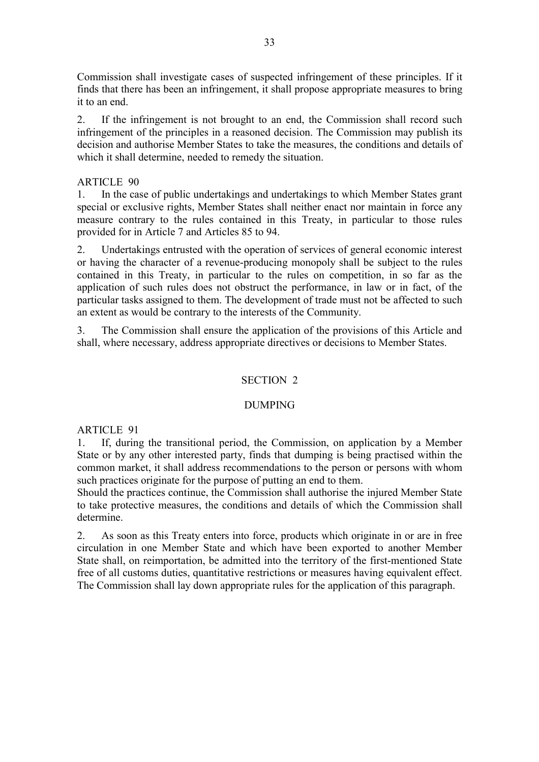Commission shall investigate cases of suspected infringement of these principles. If it finds that there has been an infringement, it shall propose appropriate measures to bring it to an end.

2. If the infringement is not brought to an end, the Commission shall record such infringement of the principles in a reasoned decision. The Commission may publish its decision and authorise Member States to take the measures, the conditions and details of which it shall determine, needed to remedy the situation.

# ARTICLE 90

1. In the case of public undertakings and undertakings to which Member States grant special or exclusive rights, Member States shall neither enact nor maintain in force any measure contrary to the rules contained in this Treaty, in particular to those rules provided for in Article 7 and Articles 85 to 94.

2. Undertakings entrusted with the operation of services of general economic interest or having the character of a revenue-producing monopoly shall be subject to the rules contained in this Treaty, in particular to the rules on competition, in so far as the application of such rules does not obstruct the performance, in law or in fact, of the particular tasks assigned to them. The development of trade must not be affected to such an extent as would be contrary to the interests of the Community.

3. The Commission shall ensure the application of the provisions of this Article and shall, where necessary, address appropriate directives or decisions to Member States.

# SECTION 2

## DUMPING

ARTICLE 91

1. If, during the transitional period, the Commission, on application by a Member State or by any other interested party, finds that dumping is being practised within the common market, it shall address recommendations to the person or persons with whom such practices originate for the purpose of putting an end to them.

Should the practices continue, the Commission shall authorise the injured Member State to take protective measures, the conditions and details of which the Commission shall determine.

2. As soon as this Treaty enters into force, products which originate in or are in free circulation in one Member State and which have been exported to another Member State shall, on reimportation, be admitted into the territory of the first-mentioned State free of all customs duties, quantitative restrictions or measures having equivalent effect. The Commission shall lay down appropriate rules for the application of this paragraph.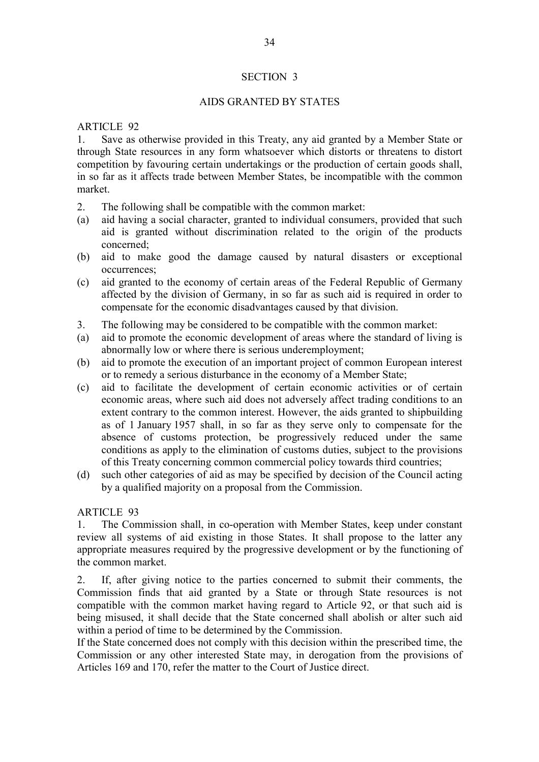#### SECTION 3

#### AIDS GRANTED BY STATES

#### ARTICLE 92

1. Save as otherwise provided in this Treaty, any aid granted by a Member State or through State resources in any form whatsoever which distorts or threatens to distort competition by favouring certain undertakings or the production of certain goods shall, in so far as it affects trade between Member States, be incompatible with the common market.

- 2. The following shall be compatible with the common market:
- (a) aid having a social character, granted to individual consumers, provided that such aid is granted without discrimination related to the origin of the products concerned;
- (b) aid to make good the damage caused by natural disasters or exceptional occurrences;
- (c) aid granted to the economy of certain areas of the Federal Republic of Germany affected by the division of Germany, in so far as such aid is required in order to compensate for the economic disadvantages caused by that division.
- 3. The following may be considered to be compatible with the common market:
- (a) aid to promote the economic development of areas where the standard of living is abnormally low or where there is serious underemployment;
- (b) aid to promote the execution of an important project of common European interest or to remedy a serious disturbance in the economy of a Member State;
- (c) aid to facilitate the development of certain economic activities or of certain economic areas, where such aid does not adversely affect trading conditions to an extent contrary to the common interest. However, the aids granted to shipbuilding as of 1 January 1957 shall, in so far as they serve only to compensate for the absence of customs protection, be progressively reduced under the same conditions as apply to the elimination of customs duties, subject to the provisions of this Treaty concerning common commercial policy towards third countries;
- (d) such other categories of aid as may be specified by decision of the Council acting by a qualified majority on a proposal from the Commission.

## ARTICLE 93

1. The Commission shall, in co-operation with Member States, keep under constant review all systems of aid existing in those States. It shall propose to the latter any appropriate measures required by the progressive development or by the functioning of the common market.

2. If, after giving notice to the parties concerned to submit their comments, the Commission finds that aid granted by a State or through State resources is not compatible with the common market having regard to Article 92, or that such aid is being misused, it shall decide that the State concerned shall abolish or alter such aid within a period of time to be determined by the Commission.

If the State concerned does not comply with this decision within the prescribed time, the Commission or any other interested State may, in derogation from the provisions of Articles 169 and 170, refer the matter to the Court of Justice direct.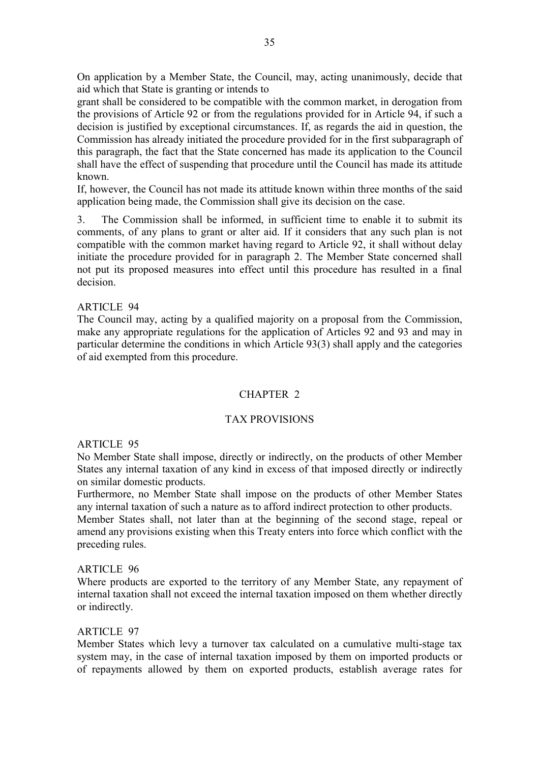On application by a Member State, the Council, may, acting unanimously, decide that aid which that State is granting or intends to

grant shall be considered to be compatible with the common market, in derogation from the provisions of Article 92 or from the regulations provided for in Article 94, if such a decision is justified by exceptional circumstances. If, as regards the aid in question, the Commission has already initiated the procedure provided for in the first subparagraph of this paragraph, the fact that the State concerned has made its application to the Council shall have the effect of suspending that procedure until the Council has made its attitude known.

If, however, the Council has not made its attitude known within three months of the said application being made, the Commission shall give its decision on the case.

3. The Commission shall be informed, in sufficient time to enable it to submit its comments, of any plans to grant or alter aid. If it considers that any such plan is not compatible with the common market having regard to Article 92, it shall without delay initiate the procedure provided for in paragraph 2. The Member State concerned shall not put its proposed measures into effect until this procedure has resulted in a final decision.

#### ARTICLE 94

The Council may, acting by a qualified majority on a proposal from the Commission, make any appropriate regulations for the application of Articles 92 and 93 and may in particular determine the conditions in which Article 93(3) shall apply and the categories of aid exempted from this procedure.

## CHAPTER<sub>2</sub>

#### TAX PROVISIONS

#### ARTICLE 95

No Member State shall impose, directly or indirectly, on the products of other Member States any internal taxation of any kind in excess of that imposed directly or indirectly on similar domestic products.

Furthermore, no Member State shall impose on the products of other Member States any internal taxation of such a nature as to afford indirect protection to other products.

Member States shall, not later than at the beginning of the second stage, repeal or amend any provisions existing when this Treaty enters into force which conflict with the preceding rules.

#### ARTICLE 96

Where products are exported to the territory of any Member State, any repayment of internal taxation shall not exceed the internal taxation imposed on them whether directly or indirectly.

#### ARTICLE 97

Member States which levy a turnover tax calculated on a cumulative multi-stage tax system may, in the case of internal taxation imposed by them on imported products or of repayments allowed by them on exported products, establish average rates for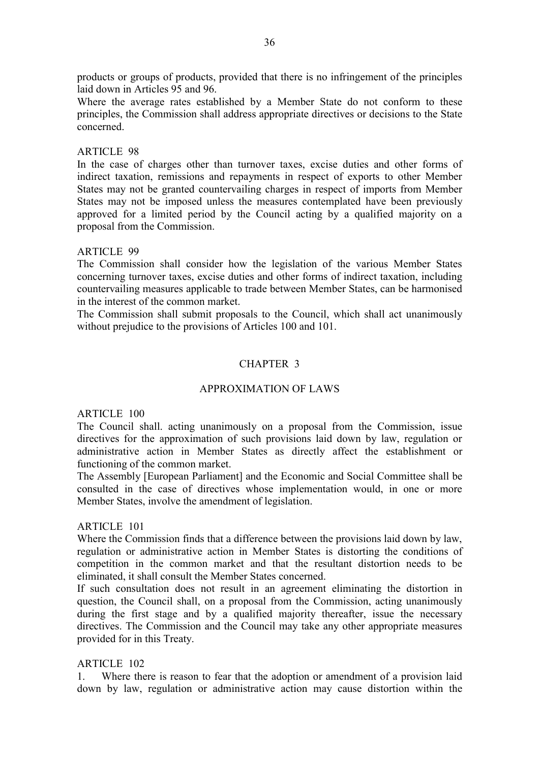products or groups of products, provided that there is no infringement of the principles laid down in Articles 95 and 96.

Where the average rates established by a Member State do not conform to these principles, the Commission shall address appropriate directives or decisions to the State concerned.

#### ARTICLE 98

In the case of charges other than turnover taxes, excise duties and other forms of indirect taxation, remissions and repayments in respect of exports to other Member States may not be granted countervailing charges in respect of imports from Member States may not be imposed unless the measures contemplated have been previously approved for a limited period by the Council acting by a qualified majority on a proposal from the Commission.

#### ARTICLE 99

The Commission shall consider how the legislation of the various Member States concerning turnover taxes, excise duties and other forms of indirect taxation, including countervailing measures applicable to trade between Member States, can be harmonised in the interest of the common market.

The Commission shall submit proposals to the Council, which shall act unanimously without prejudice to the provisions of Articles 100 and 101.

# CHAPTER 3

#### APPROXIMATION OF LAWS

## ARTICLE 100

The Council shall. acting unanimously on a proposal from the Commission, issue directives for the approximation of such provisions laid down by law, regulation or administrative action in Member States as directly affect the establishment or functioning of the common market.

The Assembly [European Parliament] and the Economic and Social Committee shall be consulted in the case of directives whose implementation would, in one or more Member States, involve the amendment of legislation.

#### ARTICLE 101

Where the Commission finds that a difference between the provisions laid down by law, regulation or administrative action in Member States is distorting the conditions of competition in the common market and that the resultant distortion needs to be eliminated, it shall consult the Member States concerned.

If such consultation does not result in an agreement eliminating the distortion in question, the Council shall, on a proposal from the Commission, acting unanimously during the first stage and by a qualified majority thereafter, issue the necessary directives. The Commission and the Council may take any other appropriate measures provided for in this Treaty.

## ARTICLE 102

1. Where there is reason to fear that the adoption or amendment of a provision laid down by law, regulation or administrative action may cause distortion within the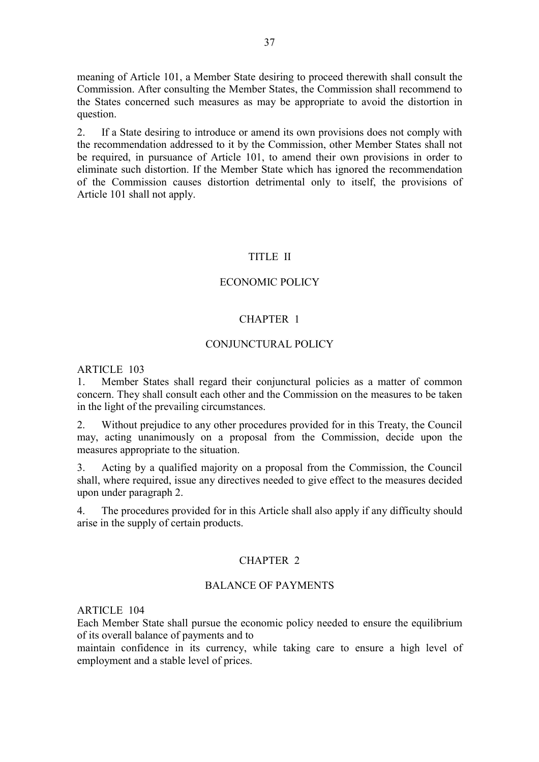meaning of Article 101, a Member State desiring to proceed therewith shall consult the Commission. After consulting the Member States, the Commission shall recommend to the States concerned such measures as may be appropriate to avoid the distortion in question.

2. If a State desiring to introduce or amend its own provisions does not comply with the recommendation addressed to it by the Commission, other Member States shall not be required, in pursuance of Article 101, to amend their own provisions in order to eliminate such distortion. If the Member State which has ignored the recommendation of the Commission causes distortion detrimental only to itself, the provisions of Article 101 shall not apply.

## TITLE II

## ECONOMIC POLICY

## CHAPTER 1

### CONJUNCTURAL POLICY

### ARTICLE 103

1. Member States shall regard their conjunctural policies as a matter of common concern. They shall consult each other and the Commission on the measures to be taken in the light of the prevailing circumstances.

2. Without prejudice to any other procedures provided for in this Treaty, the Council may, acting unanimously on a proposal from the Commission, decide upon the measures appropriate to the situation.

3. Acting by a qualified majority on a proposal from the Commission, the Council shall, where required, issue any directives needed to give effect to the measures decided upon under paragraph 2.

4. The procedures provided for in this Article shall also apply if any difficulty should arise in the supply of certain products.

## CHAPTER 2

## BALANCE OF PAYMENTS

## ARTICLE 104

Each Member State shall pursue the economic policy needed to ensure the equilibrium of its overall balance of payments and to

maintain confidence in its currency, while taking care to ensure a high level of employment and a stable level of prices.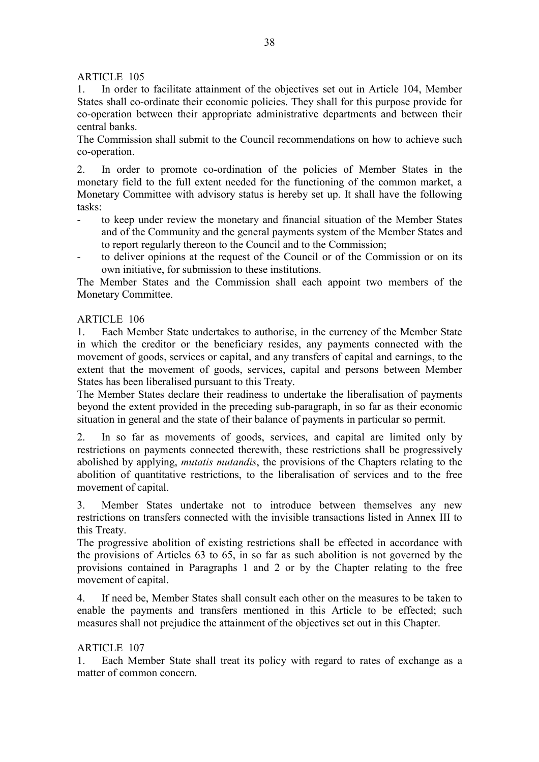## ARTICLE 105

1. In order to facilitate attainment of the objectives set out in Article 104, Member States shall co-ordinate their economic policies. They shall for this purpose provide for co-operation between their appropriate administrative departments and between their central banks.

The Commission shall submit to the Council recommendations on how to achieve such co-operation.

2. In order to promote co-ordination of the policies of Member States in the monetary field to the full extent needed for the functioning of the common market, a Monetary Committee with advisory status is hereby set up. It shall have the following tasks:

- to keep under review the monetary and financial situation of the Member States and of the Community and the general payments system of the Member States and to report regularly thereon to the Council and to the Commission;
- to deliver opinions at the request of the Council or of the Commission or on its own initiative, for submission to these institutions.

The Member States and the Commission shall each appoint two members of the Monetary Committee.

## ARTICLE 106

1. Each Member State undertakes to authorise, in the currency of the Member State in which the creditor or the beneficiary resides, any payments connected with the movement of goods, services or capital, and any transfers of capital and earnings, to the extent that the movement of goods, services, capital and persons between Member States has been liberalised pursuant to this Treaty.

The Member States declare their readiness to undertake the liberalisation of payments beyond the extent provided in the preceding sub-paragraph, in so far as their economic situation in general and the state of their balance of payments in particular so permit.

2. In so far as movements of goods, services, and capital are limited only by restrictions on payments connected therewith, these restrictions shall be progressively abolished by applying, *mutatis mutandis*, the provisions of the Chapters relating to the abolition of quantitative restrictions, to the liberalisation of services and to the free movement of capital.

3. Member States undertake not to introduce between themselves any new restrictions on transfers connected with the invisible transactions listed in Annex III to this Treaty.

The progressive abolition of existing restrictions shall be effected in accordance with the provisions of Articles 63 to 65, in so far as such abolition is not governed by the provisions contained in Paragraphs 1 and 2 or by the Chapter relating to the free movement of capital.

4. If need be, Member States shall consult each other on the measures to be taken to enable the payments and transfers mentioned in this Article to be effected; such measures shall not prejudice the attainment of the objectives set out in this Chapter.

## ARTICLE 107

1. Each Member State shall treat its policy with regard to rates of exchange as a matter of common concern.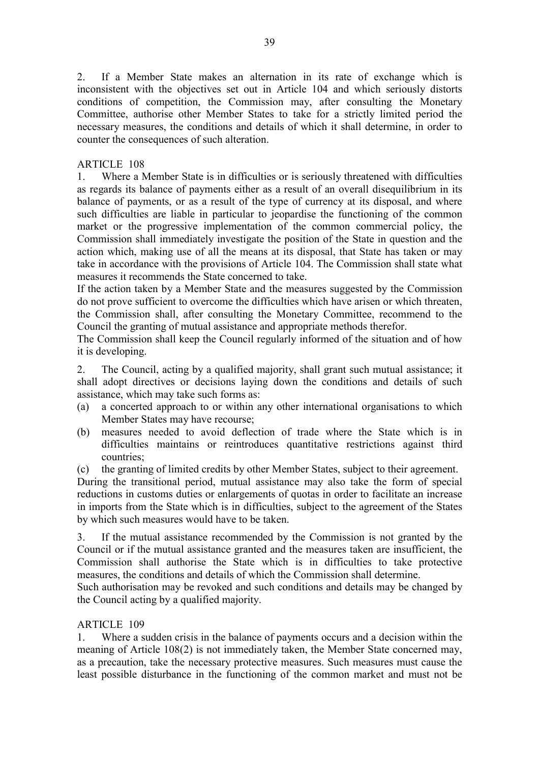2. If a Member State makes an alternation in its rate of exchange which is inconsistent with the objectives set out in Article 104 and which seriously distorts conditions of competition, the Commission may, after consulting the Monetary Committee, authorise other Member States to take for a strictly limited period the necessary measures, the conditions and details of which it shall determine, in order to counter the consequences of such alteration.

## ARTICLE 108

1. Where a Member State is in difficulties or is seriously threatened with difficulties as regards its balance of payments either as a result of an overall disequilibrium in its balance of payments, or as a result of the type of currency at its disposal, and where such difficulties are liable in particular to jeopardise the functioning of the common market or the progressive implementation of the common commercial policy, the Commission shall immediately investigate the position of the State in question and the action which, making use of all the means at its disposal, that State has taken or may take in accordance with the provisions of Article 104. The Commission shall state what measures it recommends the State concerned to take.

If the action taken by a Member State and the measures suggested by the Commission do not prove sufficient to overcome the difficulties which have arisen or which threaten, the Commission shall, after consulting the Monetary Committee, recommend to the Council the granting of mutual assistance and appropriate methods therefor.

The Commission shall keep the Council regularly informed of the situation and of how it is developing.

2. The Council, acting by a qualified majority, shall grant such mutual assistance; it shall adopt directives or decisions laying down the conditions and details of such assistance, which may take such forms as:

- (a) a concerted approach to or within any other international organisations to which Member States may have recourse;
- (b) measures needed to avoid deflection of trade where the State which is in difficulties maintains or reintroduces quantitative restrictions against third countries;
- (c) the granting of limited credits by other Member States, subject to their agreement.

During the transitional period, mutual assistance may also take the form of special reductions in customs duties or enlargements of quotas in order to facilitate an increase in imports from the State which is in difficulties, subject to the agreement of the States by which such measures would have to be taken.

3. If the mutual assistance recommended by the Commission is not granted by the Council or if the mutual assistance granted and the measures taken are insufficient, the Commission shall authorise the State which is in difficulties to take protective measures, the conditions and details of which the Commission shall determine.

Such authorisation may be revoked and such conditions and details may be changed by the Council acting by a qualified majority.

## ARTICLE 109

1. Where a sudden crisis in the balance of payments occurs and a decision within the meaning of Article 108(2) is not immediately taken, the Member State concerned may, as a precaution, take the necessary protective measures. Such measures must cause the least possible disturbance in the functioning of the common market and must not be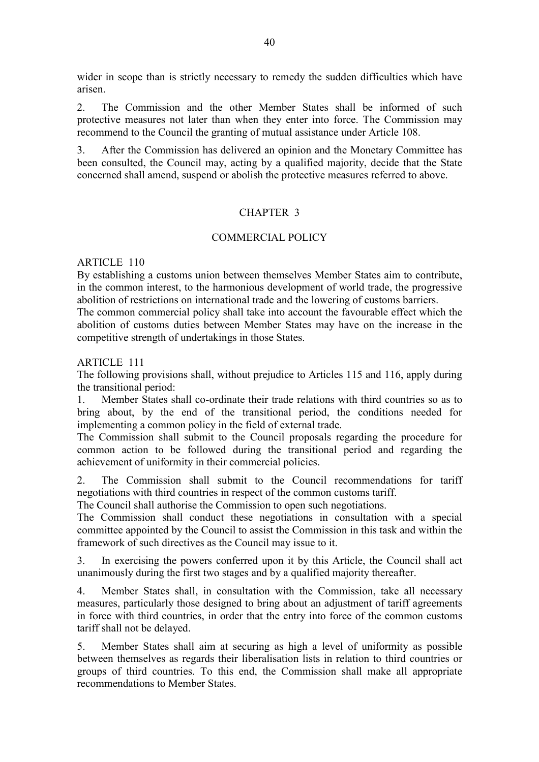wider in scope than is strictly necessary to remedy the sudden difficulties which have arisen.

2. The Commission and the other Member States shall be informed of such protective measures not later than when they enter into force. The Commission may recommend to the Council the granting of mutual assistance under Article 108.

3. After the Commission has delivered an opinion and the Monetary Committee has been consulted, the Council may, acting by a qualified majority, decide that the State concerned shall amend, suspend or abolish the protective measures referred to above.

## CHAPTER 3

### COMMERCIAL POLICY

### ARTICLE 110

By establishing a customs union between themselves Member States aim to contribute, in the common interest, to the harmonious development of world trade, the progressive abolition of restrictions on international trade and the lowering of customs barriers.

The common commercial policy shall take into account the favourable effect which the abolition of customs duties between Member States may have on the increase in the competitive strength of undertakings in those States.

## ARTICLE 111

The following provisions shall, without prejudice to Articles 115 and 116, apply during the transitional period:

1. Member States shall co-ordinate their trade relations with third countries so as to bring about, by the end of the transitional period, the conditions needed for implementing a common policy in the field of external trade.

The Commission shall submit to the Council proposals regarding the procedure for common action to be followed during the transitional period and regarding the achievement of uniformity in their commercial policies.

2. The Commission shall submit to the Council recommendations for tariff negotiations with third countries in respect of the common customs tariff.

The Council shall authorise the Commission to open such negotiations.

The Commission shall conduct these negotiations in consultation with a special committee appointed by the Council to assist the Commission in this task and within the framework of such directives as the Council may issue to it.

3. In exercising the powers conferred upon it by this Article, the Council shall act unanimously during the first two stages and by a qualified majority thereafter.

4. Member States shall, in consultation with the Commission, take all necessary measures, particularly those designed to bring about an adjustment of tariff agreements in force with third countries, in order that the entry into force of the common customs tariff shall not be delayed.

5. Member States shall aim at securing as high a level of uniformity as possible between themselves as regards their liberalisation lists in relation to third countries or groups of third countries. To this end, the Commission shall make all appropriate recommendations to Member States.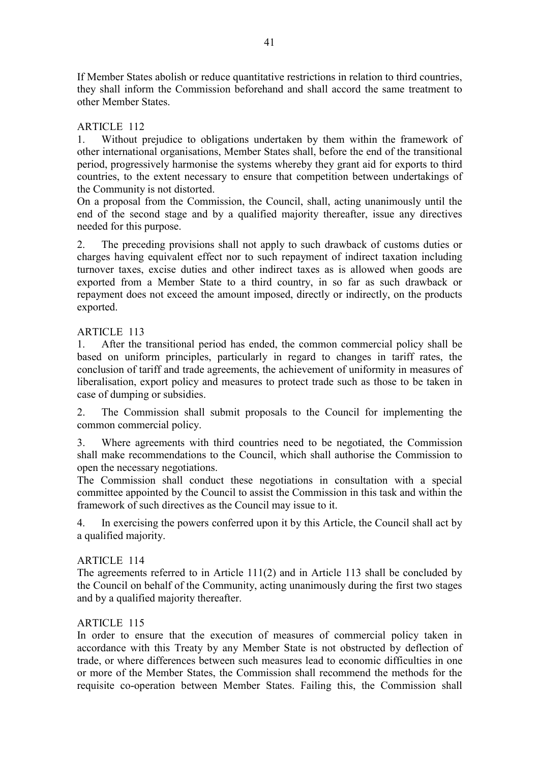If Member States abolish or reduce quantitative restrictions in relation to third countries, they shall inform the Commission beforehand and shall accord the same treatment to other Member States.

## ARTICLE 112

1. Without prejudice to obligations undertaken by them within the framework of other international organisations, Member States shall, before the end of the transitional period, progressively harmonise the systems whereby they grant aid for exports to third countries, to the extent necessary to ensure that competition between undertakings of the Community is not distorted.

On a proposal from the Commission, the Council, shall, acting unanimously until the end of the second stage and by a qualified majority thereafter, issue any directives needed for this purpose.

2. The preceding provisions shall not apply to such drawback of customs duties or charges having equivalent effect nor to such repayment of indirect taxation including turnover taxes, excise duties and other indirect taxes as is allowed when goods are exported from a Member State to a third country, in so far as such drawback or repayment does not exceed the amount imposed, directly or indirectly, on the products exported.

## ARTICLE 113

1. After the transitional period has ended, the common commercial policy shall be based on uniform principles, particularly in regard to changes in tariff rates, the conclusion of tariff and trade agreements, the achievement of uniformity in measures of liberalisation, export policy and measures to protect trade such as those to be taken in case of dumping or subsidies.

2. The Commission shall submit proposals to the Council for implementing the common commercial policy.

3. Where agreements with third countries need to be negotiated, the Commission shall make recommendations to the Council, which shall authorise the Commission to open the necessary negotiations.

The Commission shall conduct these negotiations in consultation with a special committee appointed by the Council to assist the Commission in this task and within the framework of such directives as the Council may issue to it.

4. In exercising the powers conferred upon it by this Article, the Council shall act by a qualified majority.

## ARTICLE 114

The agreements referred to in Article 111(2) and in Article 113 shall be concluded by the Council on behalf of the Community, acting unanimously during the first two stages and by a qualified majority thereafter.

## ARTICLE 115

In order to ensure that the execution of measures of commercial policy taken in accordance with this Treaty by any Member State is not obstructed by deflection of trade, or where differences between such measures lead to economic difficulties in one or more of the Member States, the Commission shall recommend the methods for the requisite co-operation between Member States. Failing this, the Commission shall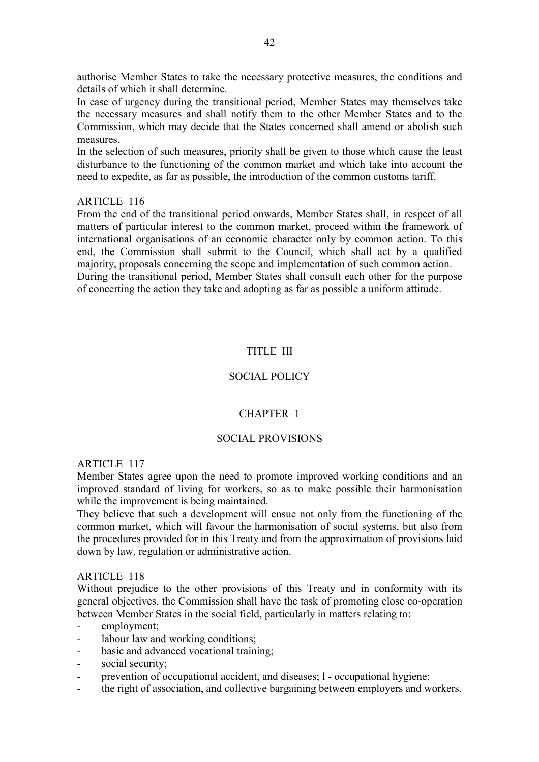authorise Member States to take the necessary protective measures, the conditions and details of which it shall determine.

In case of urgency during the transitional period, Member States may themselves take the necessary measures and shall notify them to the other Member States and to the Commission, which may decide that the States concerned shall amend or abolish such measures.

In the selection of such measures, priority shall be given to those which cause the least disturbance to the functioning of the common market and which take into account the need to expedite, as far as possible, the introduction of the common customs tariff.

## ARTICLE 116

From the end of the transitional period onwards, Member States shall, in respect of all matters of particular interest to the common market, proceed within the framework of international organisations of an economic character only by common action. To this end, the Commission shall submit to the Council, which shall act by a qualified majority, proposals concerning the scope and implementation of such common action. During the transitional period, Member States shall consult each other for the purpose of concerting the action they take and adopting as far as possible a uniform attitude.

## TITLE III

## SOCIAL POLICY

## CHAPTER 1

## SOCIAL PROVISIONS

ARTICLE 117

Member States agree upon the need to promote improved working conditions and an improved standard of living for workers, so as to make possible their harmonisation while the improvement is being maintained.

They believe that such a development will ensue not only from the functioning of the common market, which will favour the harmonisation of social systems, but also from the procedures provided for in this Treaty and from the approximation of provisions laid down by law, regulation or administrative action.

## ARTICLE 118

Without prejudice to the other provisions of this Treaty and in conformity with its general objectives, the Commission shall have the task of promoting close co-operation between Member States in the social field, particularly in matters relating to:

- employment;
- labour law and working conditions;
- basic and advanced vocational training;
- social security;
- prevention of occupational accident, and diseases; 1 occupational hygiene;
- the right of association, and collective bargaining between employers and workers.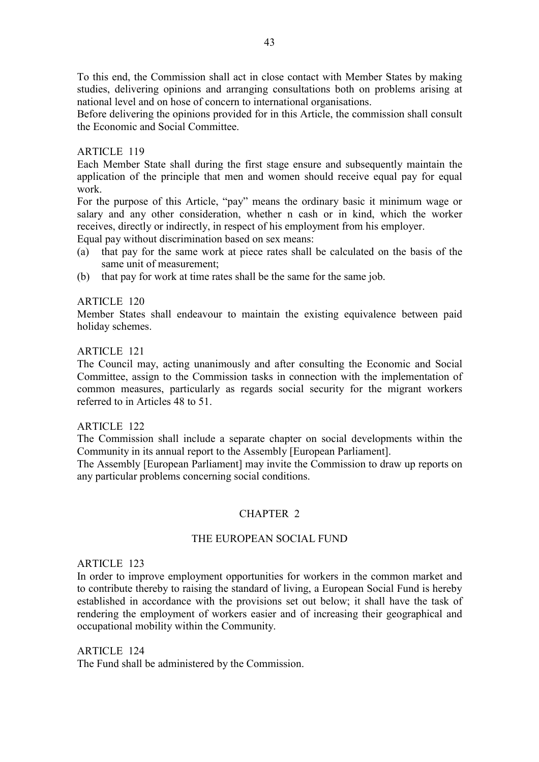To this end, the Commission shall act in close contact with Member States by making studies, delivering opinions and arranging consultations both on problems arising at national level and on hose of concern to international organisations.

Before delivering the opinions provided for in this Article, the commission shall consult the Economic and Social Committee.

## ARTICLE 119

Each Member State shall during the first stage ensure and subsequently maintain the application of the principle that men and women should receive equal pay for equal work.

For the purpose of this Article, "pay" means the ordinary basic it minimum wage or salary and any other consideration, whether n cash or in kind, which the worker receives, directly or indirectly, in respect of his employment from his employer.

Equal pay without discrimination based on sex means:

- (a) that pay for the same work at piece rates shall be calculated on the basis of the same unit of measurement;
- (b) that pay for work at time rates shall be the same for the same job.

## ARTICLE 120

Member States shall endeavour to maintain the existing equivalence between paid holiday schemes.

## ARTICLE 121

The Council may, acting unanimously and after consulting the Economic and Social Committee, assign to the Commission tasks in connection with the implementation of common measures, particularly as regards social security for the migrant workers referred to in Articles 48 to 51.

#### ARTICLE 122

The Commission shall include a separate chapter on social developments within the Community in its annual report to the Assembly [European Parliament].

The Assembly [European Parliament] may invite the Commission to draw up reports on any particular problems concerning social conditions.

## CHAPTER<sub>2</sub>

## THE EUROPEAN SOCIAL FUND

#### ARTICLE 123

In order to improve employment opportunities for workers in the common market and to contribute thereby to raising the standard of living, a European Social Fund is hereby established in accordance with the provisions set out below; it shall have the task of rendering the employment of workers easier and of increasing their geographical and occupational mobility within the Community.

#### ARTICLE 124

The Fund shall be administered by the Commission.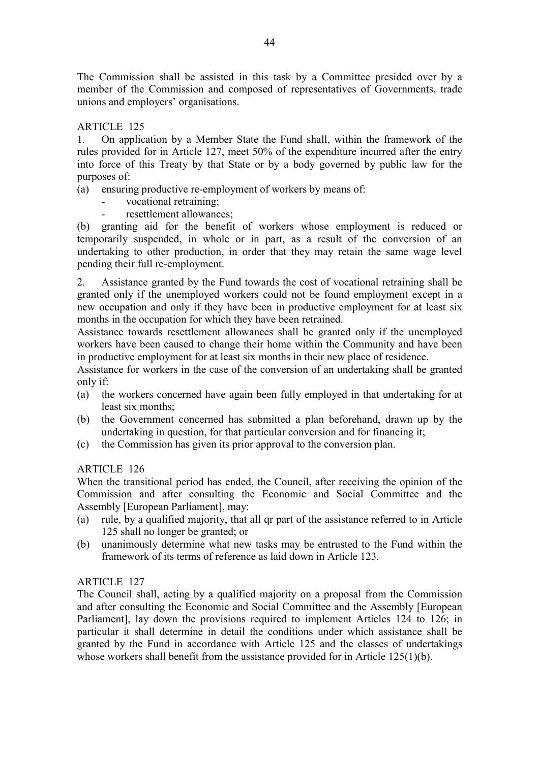The Commission shall be assisted in this task by a Committee presided over by a member of the Commission and composed of representatives of Governments, trade unions and employers' organisations.

ARTICLE 125

1. On application by a Member State the Fund shall, within the framework of the rules provided for in Article 127, meet 50% of the expenditure incurred after the entry into force of this Treaty by that State or by a body governed by public law for the purposes of:

(a) ensuring productive re-employment of workers by means of:

- vocational retraining:
- resettlement allowances:

(b) granting aid for the benefit of workers whose employment is reduced or temporarily suspended, in whole or in part, as a result of the conversion of an undertaking to other production, in order that they may retain the same wage level pending their full re-employment.

2. Assistance granted by the Fund towards the cost of vocational retraining shall be granted only if the unemployed workers could not be found employment except in a new occupation and only if they have been in productive employment for at least six months in the occupation for which they have been retrained.

Assistance towards resettlement allowances shall be granted only if the unemployed workers have been caused to change their home within the Community and have been in productive employment for at least six months in their new place of residence.

Assistance for workers in the case of the conversion of an undertaking shall be granted only if:

- (a) the workers concerned have again been fully employed in that undertaking for at least six months;
- (b) the Government concerned has submitted a plan beforehand, drawn up by the undertaking in question, for that particular conversion and for financing it;
- (c) the Commission has given its prior approval to the conversion plan.

## ARTICLE 126

When the transitional period has ended, the Council, after receiving the opinion of the Commission and after consulting the Economic and Social Committee and the Assembly [European Parliament], may:

- (a) rule, by a qualified majority, that all qr part of the assistance referred to in Article 125 shall no longer be granted; or
- (b) unanimously determine what new tasks may be entrusted to the Fund within the framework of its terms of reference as laid down in Article 123.

## ARTICLE 127

The Council shall, acting by a qualified majority on a proposal from the Commission and after consulting the Economic and Social Committee and the Assembly [European Parliament], lay down the provisions required to implement Articles 124 to 126; in particular it shall determine in detail the conditions under which assistance shall be granted by the Fund in accordance with Article 125 and the classes of undertakings whose workers shall benefit from the assistance provided for in Article 125(1)(b).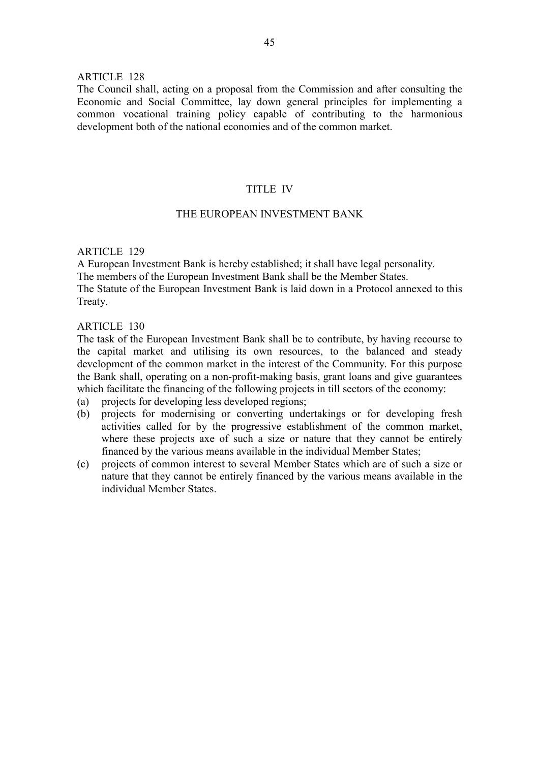### ARTICLE 128

The Council shall, acting on a proposal from the Commission and after consulting the Economic and Social Committee, lay down general principles for implementing a common vocational training policy capable of contributing to the harmonious development both of the national economies and of the common market.

## TITLE IV

### THE EUROPEAN INVESTMENT BANK

#### ARTICLE 129

A European Investment Bank is hereby established; it shall have legal personality. The members of the European Investment Bank shall be the Member States. The Statute of the European Investment Bank is laid down in a Protocol annexed to this Treaty.

### ARTICLE 130

The task of the European Investment Bank shall be to contribute, by having recourse to the capital market and utilising its own resources, to the balanced and steady development of the common market in the interest of the Community. For this purpose the Bank shall, operating on a non-profit-making basis, grant loans and give guarantees which facilitate the financing of the following projects in till sectors of the economy:

- (a) projects for developing less developed regions;
- (b) projects for modernising or converting undertakings or for developing fresh activities called for by the progressive establishment of the common market, where these projects axe of such a size or nature that they cannot be entirely financed by the various means available in the individual Member States;
- (c) projects of common interest to several Member States which are of such a size or nature that they cannot be entirely financed by the various means available in the individual Member States.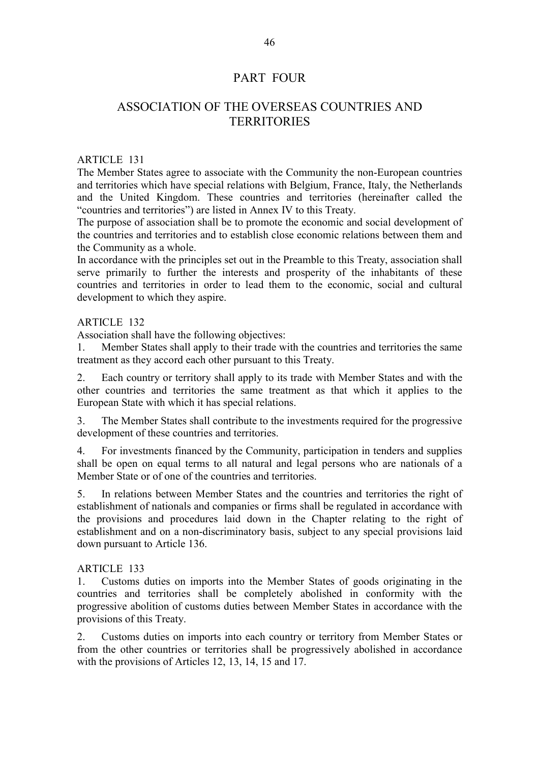# PART FOUR

# ASSOCIATION OF THE OVERSEAS COUNTRIES AND **TERRITORIES**

### ARTICLE 131

The Member States agree to associate with the Community the non-European countries and territories which have special relations with Belgium, France, Italy, the Netherlands and the United Kingdom. These countries and territories (hereinafter called the "countries and territories") are listed in Annex IV to this Treaty.

The purpose of association shall be to promote the economic and social development of the countries and territories and to establish close economic relations between them and the Community as a whole.

In accordance with the principles set out in the Preamble to this Treaty, association shall serve primarily to further the interests and prosperity of the inhabitants of these countries and territories in order to lead them to the economic, social and cultural development to which they aspire.

## ARTICLE 132

Association shall have the following objectives:

1. Member States shall apply to their trade with the countries and territories the same treatment as they accord each other pursuant to this Treaty.

2. Each country or territory shall apply to its trade with Member States and with the other countries and territories the same treatment as that which it applies to the European State with which it has special relations.

3. The Member States shall contribute to the investments required for the progressive development of these countries and territories.

4. For investments financed by the Community, participation in tenders and supplies shall be open on equal terms to all natural and legal persons who are nationals of a Member State or of one of the countries and territories.

5. In relations between Member States and the countries and territories the right of establishment of nationals and companies or firms shall be regulated in accordance with the provisions and procedures laid down in the Chapter relating to the right of establishment and on a non-discriminatory basis, subject to any special provisions laid down pursuant to Article 136.

#### ARTICLE 133

1. Customs duties on imports into the Member States of goods originating in the countries and territories shall be completely abolished in conformity with the progressive abolition of customs duties between Member States in accordance with the provisions of this Treaty.

2. Customs duties on imports into each country or territory from Member States or from the other countries or territories shall be progressively abolished in accordance with the provisions of Articles 12, 13, 14, 15 and 17.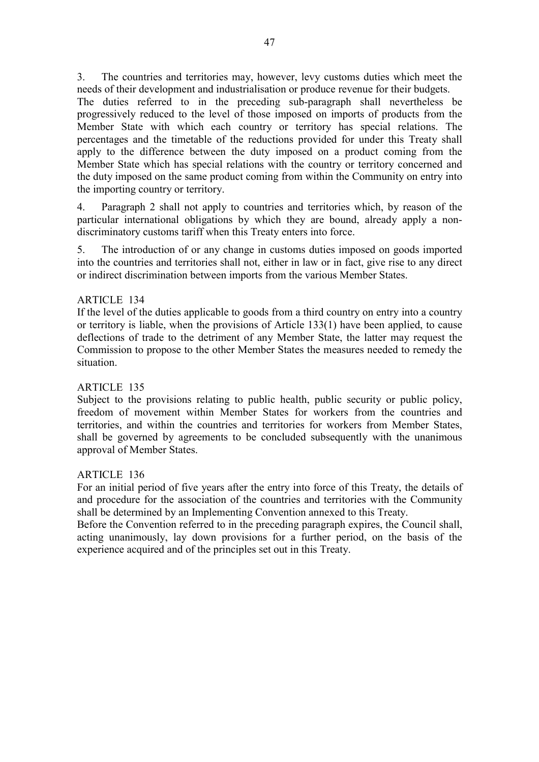3. The countries and territories may, however, levy customs duties which meet the needs of their development and industrialisation or produce revenue for their budgets.

The duties referred to in the preceding sub-paragraph shall nevertheless be progressively reduced to the level of those imposed on imports of products from the Member State with which each country or territory has special relations. The percentages and the timetable of the reductions provided for under this Treaty shall apply to the difference between the duty imposed on a product coming from the Member State which has special relations with the country or territory concerned and the duty imposed on the same product coming from within the Community on entry into the importing country or territory.

4. Paragraph 2 shall not apply to countries and territories which, by reason of the particular international obligations by which they are bound, already apply a nondiscriminatory customs tariff when this Treaty enters into force.

5. The introduction of or any change in customs duties imposed on goods imported into the countries and territories shall not, either in law or in fact, give rise to any direct or indirect discrimination between imports from the various Member States.

## ARTICLE 134

If the level of the duties applicable to goods from a third country on entry into a country or territory is liable, when the provisions of Article 133(1) have been applied, to cause deflections of trade to the detriment of any Member State, the latter may request the Commission to propose to the other Member States the measures needed to remedy the situation.

## ARTICLE 135

Subject to the provisions relating to public health, public security or public policy, freedom of movement within Member States for workers from the countries and territories, and within the countries and territories for workers from Member States, shall be governed by agreements to be concluded subsequently with the unanimous approval of Member States.

## ARTICLE 136

For an initial period of five years after the entry into force of this Treaty, the details of and procedure for the association of the countries and territories with the Community shall be determined by an Implementing Convention annexed to this Treaty.

Before the Convention referred to in the preceding paragraph expires, the Council shall, acting unanimously, lay down provisions for a further period, on the basis of the experience acquired and of the principles set out in this Treaty.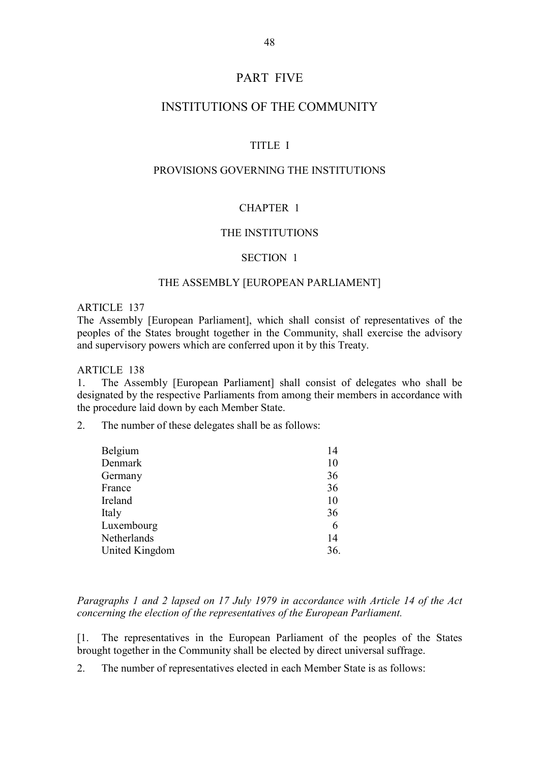# PART FIVE

## INSTITUTIONS OF THE COMMUNITY

## TITLE I

### PROVISIONS GOVERNING THE INSTITUTIONS

## CHAPTER 1

## THE INSTITUTIONS

## SECTION 1

## THE ASSEMBLY [EUROPEAN PARLIAMENT]

#### ARTICLE 137

The Assembly [European Parliament], which shall consist of representatives of the peoples of the States brought together in the Community, shall exercise the advisory and supervisory powers which are conferred upon it by this Treaty.

#### ARTICLE 138

1. The Assembly [European Parliament] shall consist of delegates who shall be designated by the respective Parliaments from among their members in accordance with the procedure laid down by each Member State.

2. The number of these delegates shall be as follows:

| 14  |
|-----|
| 10  |
| 36  |
| 36  |
| 10  |
| 36  |
| 6   |
| 14  |
| 36. |
|     |

*Paragraphs 1 and 2 lapsed on 17 July 1979 in accordance with Article 14 of the Act concerning the election of the representatives of the European Parliament.* 

[1. The representatives in the European Parliament of the peoples of the States brought together in the Community shall be elected by direct universal suffrage.

2. The number of representatives elected in each Member State is as follows: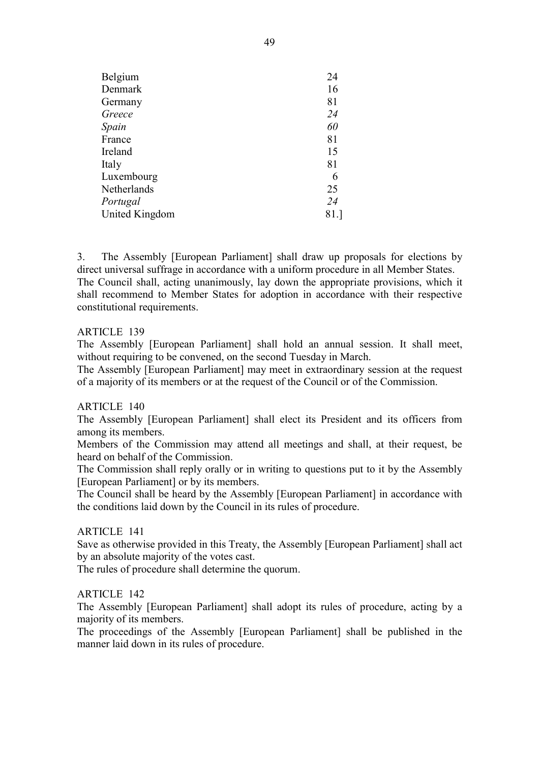| 24   |
|------|
| 16   |
| 81   |
| 24   |
| 60   |
| 81   |
| 15   |
| 81   |
| 6    |
| 25   |
| 24   |
| 81.1 |
|      |

3. The Assembly [European Parliament] shall draw up proposals for elections by direct universal suffrage in accordance with a uniform procedure in all Member States. The Council shall, acting unanimously, lay down the appropriate provisions, which it shall recommend to Member States for adoption in accordance with their respective constitutional requirements.

## ARTICLE 139

The Assembly [European Parliament] shall hold an annual session. It shall meet, without requiring to be convened, on the second Tuesday in March.

The Assembly [European Parliament] may meet in extraordinary session at the request of a majority of its members or at the request of the Council or of the Commission.

## ARTICLE 140

The Assembly [European Parliament] shall elect its President and its officers from among its members.

Members of the Commission may attend all meetings and shall, at their request, be heard on behalf of the Commission.

The Commission shall reply orally or in writing to questions put to it by the Assembly [European Parliament] or by its members.

The Council shall be heard by the Assembly [European Parliament] in accordance with the conditions laid down by the Council in its rules of procedure.

### ARTICLE 141

Save as otherwise provided in this Treaty, the Assembly [European Parliament] shall act by an absolute majority of the votes cast.

The rules of procedure shall determine the quorum.

#### ARTICLE 142

The Assembly [European Parliament] shall adopt its rules of procedure, acting by a majority of its members.

The proceedings of the Assembly [European Parliament] shall be published in the manner laid down in its rules of procedure.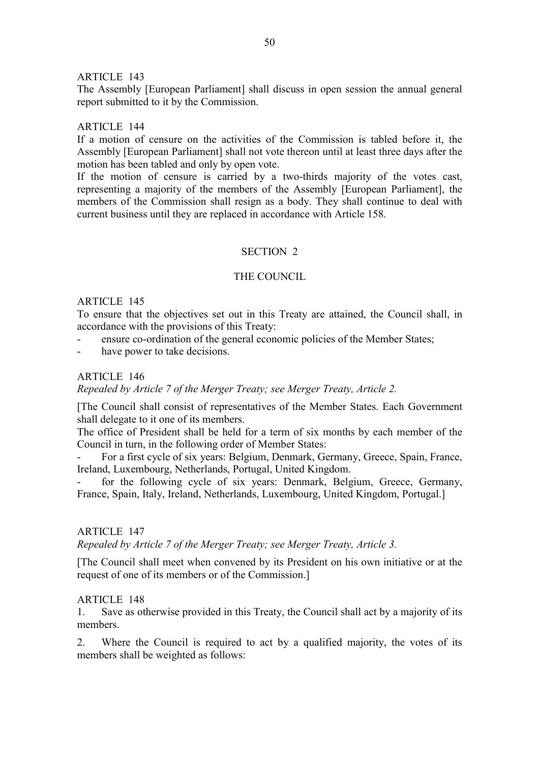### ARTICLE 143

The Assembly [European Parliament] shall discuss in open session the annual general report submitted to it by the Commission.

#### ARTICLE 144

If a motion of censure on the activities of the Commission is tabled before it, the Assembly [European Parliament] shall not vote thereon until at least three days after the motion has been tabled and only by open vote.

If the motion of censure is carried by a two-thirds majority of the votes cast, representing a majority of the members of the Assembly [European Parliament], the members of the Commission shall resign as a body. They shall continue to deal with current business until they are replaced in accordance with Article 158.

#### SECTION 2

#### THE COUNCIL

#### ARTICLE 145

To ensure that the objectives set out in this Treaty are attained, the Council shall, in accordance with the provisions of this Treaty:

- ensure co-ordination of the general economic policies of the Member States;
- have power to take decisions.

#### ARTICLE 146

*Repealed by Article 7 of the Merger Treaty; see Merger Treaty, Article 2.* 

[The Council shall consist of representatives of the Member States. Each Government shall delegate to it one of its members.

The office of President shall be held for a term of six months by each member of the Council in turn, in the following order of Member States:

- For a first cycle of six years: Belgium, Denmark, Germany, Greece, Spain, France, Ireland, Luxembourg, Netherlands, Portugal, United Kingdom.

for the following cycle of six years: Denmark, Belgium, Greece, Germany, France, Spain, Italy, Ireland, Netherlands, Luxembourg, United Kingdom, Portugal.]

#### ARTICLE 147

*Repealed by Article 7 of the Merger Treaty; see Merger Treaty, Article 3.* 

[The Council shall meet when convened by its President on his own initiative or at the request of one of its members or of the Commission.]

#### ARTICLE 148

1. Save as otherwise provided in this Treaty, the Council shall act by a majority of its members.

2. Where the Council is required to act by a qualified majority, the votes of its members shall be weighted as follows: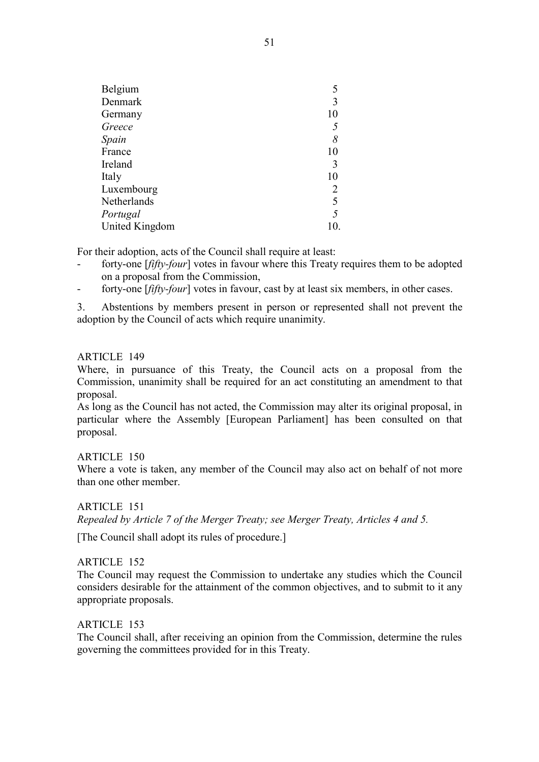| Belgium               |                |
|-----------------------|----------------|
| Denmark               | 3              |
| Germany               | 10             |
| Greece                |                |
| Spain                 | 8              |
| France                | 10             |
| Ireland               | 3              |
| Italy                 | 10             |
| Luxembourg            | $\overline{2}$ |
| Netherlands           | 5              |
| Portugal              | 5              |
| <b>United Kingdom</b> | 10.            |

For their adoption, acts of the Council shall require at least:

- forty-one [*fifty-four*] votes in favour where this Treaty requires them to be adopted on a proposal from the Commission,
- forty-one [*fifty-four*] votes in favour, cast by at least six members, in other cases.

3. Abstentions by members present in person or represented shall not prevent the adoption by the Council of acts which require unanimity.

## ARTICLE 149

Where, in pursuance of this Treaty, the Council acts on a proposal from the Commission, unanimity shall be required for an act constituting an amendment to that proposal.

As long as the Council has not acted, the Commission may alter its original proposal, in particular where the Assembly [European Parliament] has been consulted on that proposal.

## ARTICLE 150

Where a vote is taken, any member of the Council may also act on behalf of not more than one other member.

ARTICLE 151 *Repealed by Article 7 of the Merger Treaty; see Merger Treaty, Articles 4 and 5.* 

[The Council shall adopt its rules of procedure.]

## ARTICLE 152

The Council may request the Commission to undertake any studies which the Council considers desirable for the attainment of the common objectives, and to submit to it any appropriate proposals.

ARTICLE 153

The Council shall, after receiving an opinion from the Commission, determine the rules governing the committees provided for in this Treaty.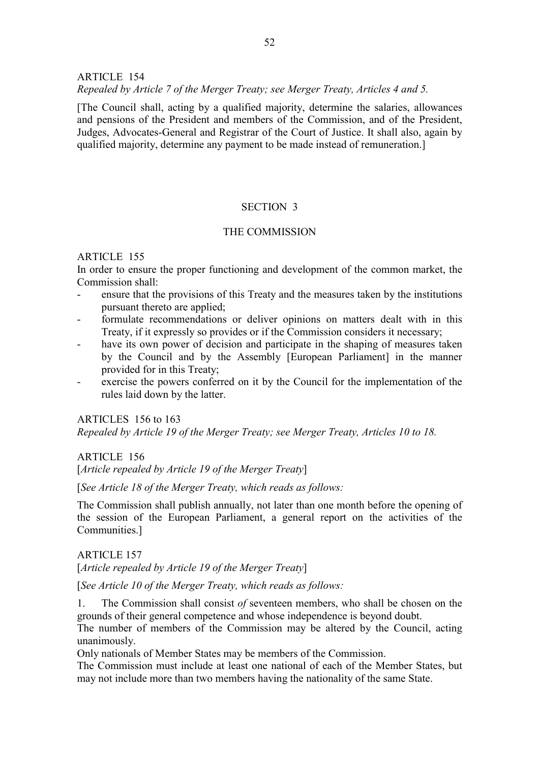ARTICLE 154 *Repealed by Article 7 of the Merger Treaty; see Merger Treaty, Articles 4 and 5.* 

[The Council shall, acting by a qualified majority, determine the salaries, allowances and pensions of the President and members of the Commission, and of the President, Judges, Advocates-General and Registrar of the Court of Justice. It shall also, again by qualified majority, determine any payment to be made instead of remuneration.]

## SECTION 3

### THE COMMISSION

### ARTICLE 155

In order to ensure the proper functioning and development of the common market, the Commission shall:

- ensure that the provisions of this Treaty and the measures taken by the institutions pursuant thereto are applied;
- formulate recommendations or deliver opinions on matters dealt with in this Treaty, if it expressly so provides or if the Commission considers it necessary;
- have its own power of decision and participate in the shaping of measures taken by the Council and by the Assembly [European Parliament] in the manner provided for in this Treaty;
- exercise the powers conferred on it by the Council for the implementation of the rules laid down by the latter.

ARTICLES 156 to 163

*Repealed by Article 19 of the Merger Treaty; see Merger Treaty, Articles 10 to 18.* 

ARTICLE 156

[*Article repealed by Article 19 of the Merger Treaty*]

[*See Article 18 of the Merger Treaty, which reads as follows:*

The Commission shall publish annually, not later than one month before the opening of the session of the European Parliament, a general report on the activities of the Communities.]

ARTICLE 157 [*Article repealed by Article 19 of the Merger Treaty*]

[*See Article 10 of the Merger Treaty, which reads as follows:*

1. The Commission shall consist *of* seventeen members, who shall be chosen on the grounds of their general competence and whose independence is beyond doubt.

The number of members of the Commission may be altered by the Council, acting unanimously.

Only nationals of Member States may be members of the Commission.

The Commission must include at least one national of each of the Member States, but may not include more than two members having the nationality of the same State.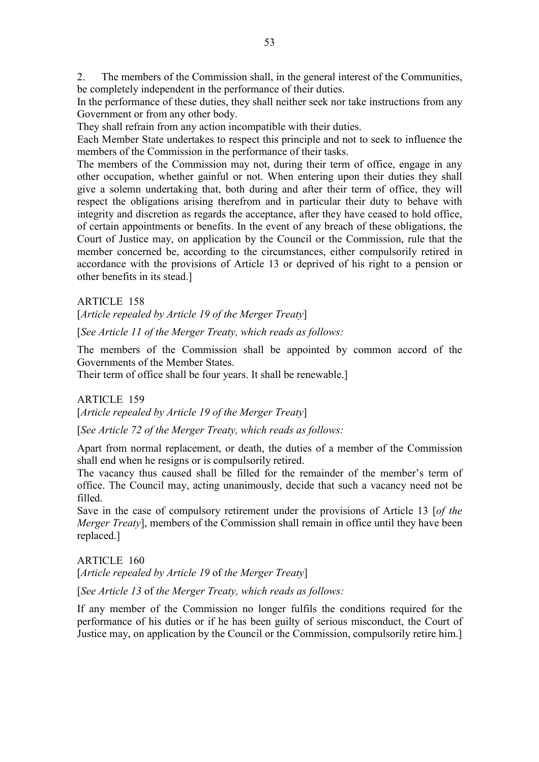2. The members of the Commission shall, in the general interest of the Communities, be completely independent in the performance of their duties.

In the performance of these duties, they shall neither seek nor take instructions from any Government or from any other body.

They shall refrain from any action incompatible with their duties.

Each Member State undertakes to respect this principle and not to seek to influence the members of the Commission in the performance of their tasks.

The members of the Commission may not, during their term of office, engage in any other occupation, whether gainful or not. When entering upon their duties they shall give a solemn undertaking that, both during and after their term of office, they will respect the obligations arising therefrom and in particular their duty to behave with integrity and discretion as regards the acceptance, after they have ceased to hold office, of certain appointments or benefits. In the event of any breach of these obligations, the Court of Justice may, on application by the Council or the Commission, rule that the member concerned be, according to the circumstances, either compulsorily retired in accordance with the provisions of Article 13 or deprived of his right to a pension or other benefits in its stead.]

ARTICLE 158

[*Article repealed by Article 19 of the Merger Treaty*]

[*See Article 11 of the Merger Treaty, which reads as follows:* 

The members of the Commission shall be appointed by common accord of the Governments of the Member States.

Their term of office shall be four years. It shall be renewable.]

ARTICLE 159

[*Article repealed by Article 19 of the Merger Treaty*]

[*See Article 72 of the Merger Treaty, which reads as follows:* 

Apart from normal replacement, or death, the duties of a member of the Commission shall end when he resigns or is compulsorily retired.

The vacancy thus caused shall be filled for the remainder of the member's term of office. The Council may, acting unanimously, decide that such a vacancy need not be filled.

Save in the case of compulsory retirement under the provisions of Article 13 [*of the Merger Treaty*], members of the Commission shall remain in office until they have been replaced.]

ARTICLE 160

[*Article repealed by Article 19* of *the Merger Treaty*]

[*See Article 13* of *the Merger Treaty, which reads as follows:* 

If any member of the Commission no longer fulfils the conditions required for the performance of his duties or if he has been guilty of serious misconduct, the Court of Justice may, on application by the Council or the Commission, compulsorily retire him.]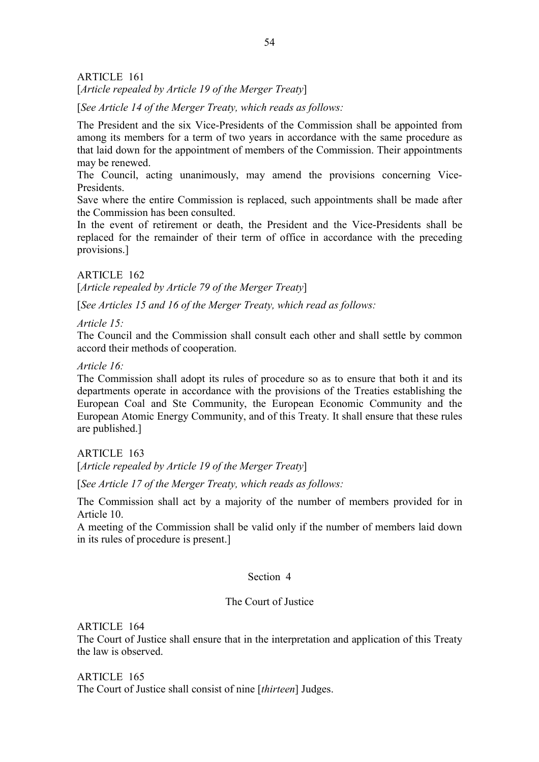#### ARTICLE 161

[*Article repealed by Article 19 of the Merger Treaty*]

[*See Article 14 of the Merger Treaty, which reads as follows:* 

The President and the six Vice-Presidents of the Commission shall be appointed from among its members for a term of two years in accordance with the same procedure as that laid down for the appointment of members of the Commission. Their appointments may be renewed.

The Council, acting unanimously, may amend the provisions concerning Vice-Presidents.

Save where the entire Commission is replaced, such appointments shall be made after the Commission has been consulted.

In the event of retirement or death, the President and the Vice-Presidents shall be replaced for the remainder of their term of office in accordance with the preceding provisions.]

#### ARTICLE 162

[*Article repealed by Article 79 of the Merger Treaty*]

[*See Articles 15 and 16 of the Merger Treaty, which read as follows:* 

*Article 15:* 

The Council and the Commission shall consult each other and shall settle by common accord their methods of cooperation.

#### *Article 16:*

The Commission shall adopt its rules of procedure so as to ensure that both it and its departments operate in accordance with the provisions of the Treaties establishing the European Coal and Ste Community, the European Economic Community and the European Atomic Energy Community, and of this Treaty. It shall ensure that these rules are published.]

#### ARTICLE 163

[*Article repealed by Article 19 of the Merger Treaty*]

[*See Article 17 of the Merger Treaty, which reads as follows:* 

The Commission shall act by a majority of the number of members provided for in Article 10.

A meeting of the Commission shall be valid only if the number of members laid down in its rules of procedure is present.]

#### Section 4

## The Court of Justice

ARTICLE 164

The Court of Justice shall ensure that in the interpretation and application of this Treaty the law is observed.

ARTICLE 165

The Court of Justice shall consist of nine [*thirteen*] Judges.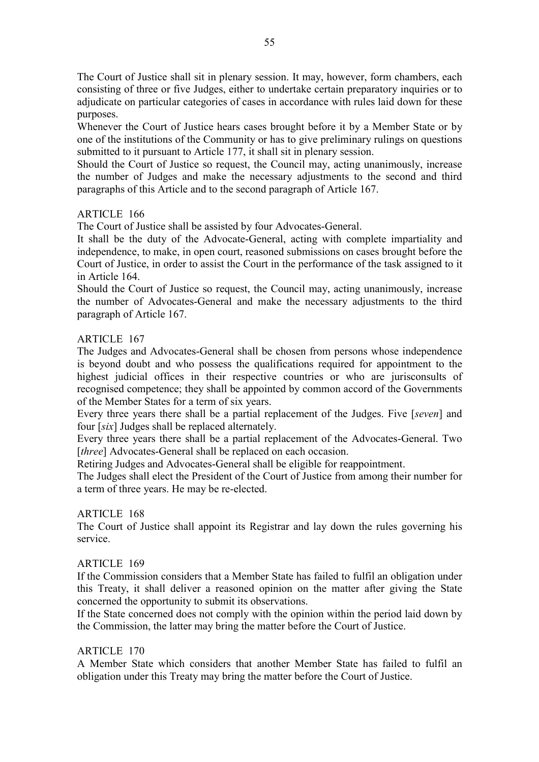The Court of Justice shall sit in plenary session. It may, however, form chambers, each consisting of three or five Judges, either to undertake certain preparatory inquiries or to adjudicate on particular categories of cases in accordance with rules laid down for these purposes.

Whenever the Court of Justice hears cases brought before it by a Member State or by one of the institutions of the Community or has to give preliminary rulings on questions submitted to it pursuant to Article 177, it shall sit in plenary session.

Should the Court of Justice so request, the Council may, acting unanimously, increase the number of Judges and make the necessary adjustments to the second and third paragraphs of this Article and to the second paragraph of Article 167.

## ARTICLE 166

The Court of Justice shall be assisted by four Advocates-General.

It shall be the duty of the Advocate-General, acting with complete impartiality and independence, to make, in open court, reasoned submissions on cases brought before the Court of Justice, in order to assist the Court in the performance of the task assigned to it in Article 164.

Should the Court of Justice so request, the Council may, acting unanimously, increase the number of Advocates-General and make the necessary adjustments to the third paragraph of Article 167.

## ARTICLE 167

The Judges and Advocates-General shall be chosen from persons whose independence is beyond doubt and who possess the qualifications required for appointment to the highest judicial offices in their respective countries or who are jurisconsults of recognised competence; they shall be appointed by common accord of the Governments of the Member States for a term of six years.

Every three years there shall be a partial replacement of the Judges. Five [*seven*] and four [*six*] Judges shall be replaced alternately.

Every three years there shall be a partial replacement of the Advocates-General. Two [*three*] Advocates-General shall be replaced on each occasion.

Retiring Judges and Advocates-General shall be eligible for reappointment.

The Judges shall elect the President of the Court of Justice from among their number for a term of three years. He may be re-elected.

## ARTICLE 168

The Court of Justice shall appoint its Registrar and lay down the rules governing his service.

## ARTICLE 169

If the Commission considers that a Member State has failed to fulfil an obligation under this Treaty, it shall deliver a reasoned opinion on the matter after giving the State concerned the opportunity to submit its observations.

If the State concerned does not comply with the opinion within the period laid down by the Commission, the latter may bring the matter before the Court of Justice.

## ARTICLE 170

A Member State which considers that another Member State has failed to fulfil an obligation under this Treaty may bring the matter before the Court of Justice.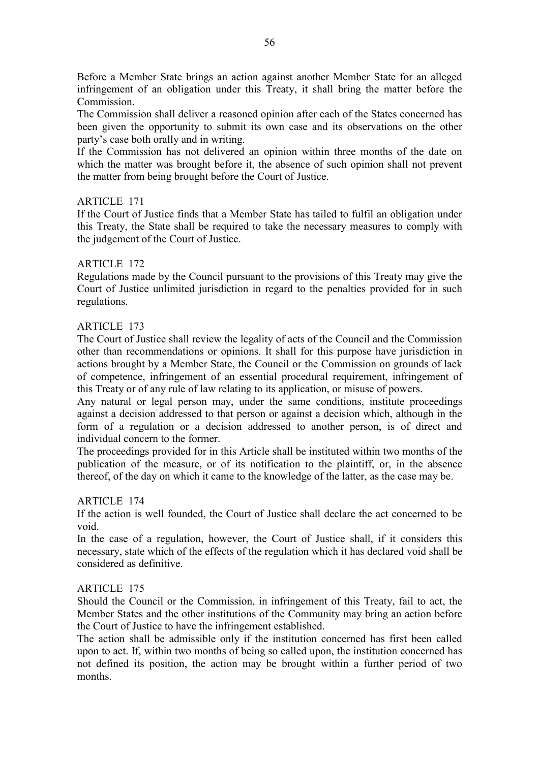Before a Member State brings an action against another Member State for an alleged infringement of an obligation under this Treaty, it shall bring the matter before the Commission.

The Commission shall deliver a reasoned opinion after each of the States concerned has been given the opportunity to submit its own case and its observations on the other party's case both orally and in writing.

If the Commission has not delivered an opinion within three months of the date on which the matter was brought before it, the absence of such opinion shall not prevent the matter from being brought before the Court of Justice.

## ARTICLE 171

If the Court of Justice finds that a Member State has tailed to fulfil an obligation under this Treaty, the State shall be required to take the necessary measures to comply with the judgement of the Court of Justice.

## ARTICLE 172

Regulations made by the Council pursuant to the provisions of this Treaty may give the Court of Justice unlimited jurisdiction in regard to the penalties provided for in such regulations.

## ARTICLE 173

The Court of Justice shall review the legality of acts of the Council and the Commission other than recommendations or opinions. It shall for this purpose have jurisdiction in actions brought by a Member State, the Council or the Commission on grounds of lack of competence, infringement of an essential procedural requirement, infringement of this Treaty or of any rule of law relating to its application, or misuse of powers.

Any natural or legal person may, under the same conditions, institute proceedings against a decision addressed to that person or against a decision which, although in the form of a regulation or a decision addressed to another person, is of direct and individual concern to the former.

The proceedings provided for in this Article shall be instituted within two months of the publication of the measure, or of its notification to the plaintiff, or, in the absence thereof, of the day on which it came to the knowledge of the latter, as the case may be.

## ARTICLE 174

If the action is well founded, the Court of Justice shall declare the act concerned to be void.

In the case of a regulation, however, the Court of Justice shall, if it considers this necessary, state which of the effects of the regulation which it has declared void shall be considered as definitive.

## ARTICLE 175

Should the Council or the Commission, in infringement of this Treaty, fail to act, the Member States and the other institutions of the Community may bring an action before the Court of Justice to have the infringement established.

The action shall be admissible only if the institution concerned has first been called upon to act. If, within two months of being so called upon, the institution concerned has not defined its position, the action may be brought within a further period of two months.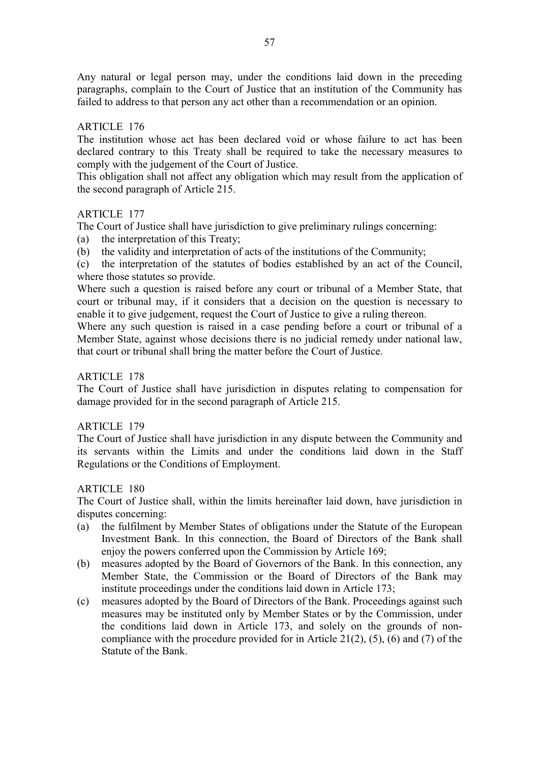Any natural or legal person may, under the conditions laid down in the preceding paragraphs, complain to the Court of Justice that an institution of the Community has failed to address to that person any act other than a recommendation or an opinion.

## ARTICLE 176

The institution whose act has been declared void or whose failure to act has been declared contrary to this Treaty shall be required to take the necessary measures to comply with the judgement of the Court of Justice.

This obligation shall not affect any obligation which may result from the application of the second paragraph of Article 215.

## ARTICLE 177

The Court of Justice shall have jurisdiction to give preliminary rulings concerning:

- (a) the interpretation of this Treaty;
- (b) the validity and interpretation of acts of the institutions of the Community;

(c) the interpretation of the statutes of bodies established by an act of the Council, where those statutes so provide.

Where such a question is raised before any court or tribunal of a Member State, that court or tribunal may, if it considers that a decision on the question is necessary to enable it to give judgement, request the Court of Justice to give a ruling thereon.

Where any such question is raised in a case pending before a court or tribunal of a Member State, against whose decisions there is no judicial remedy under national law, that court or tribunal shall bring the matter before the Court of Justice.

## ARTICLE 178

The Court of Justice shall have jurisdiction in disputes relating to compensation for damage provided for in the second paragraph of Article 215.

## ARTICLE 179

The Court of Justice shall have jurisdiction in any dispute between the Community and its servants within the Limits and under the conditions laid down in the Staff Regulations or the Conditions of Employment.

## ARTICLE 180

The Court of Justice shall, within the limits hereinafter laid down, have jurisdiction in disputes concerning:

- (a) the fulfilment by Member States of obligations under the Statute of the European Investment Bank. In this connection, the Board of Directors of the Bank shall enjoy the powers conferred upon the Commission by Article 169;
- (b) measures adopted by the Board of Governors of the Bank. In this connection, any Member State, the Commission or the Board of Directors of the Bank may institute proceedings under the conditions laid down in Article 173;
- (c) measures adopted by the Board of Directors of the Bank. Proceedings against such measures may be instituted only by Member States or by the Commission, under the conditions laid down in Article 173, and solely on the grounds of noncompliance with the procedure provided for in Article 21(2), (5), (6) and (7) of the Statute of the Bank.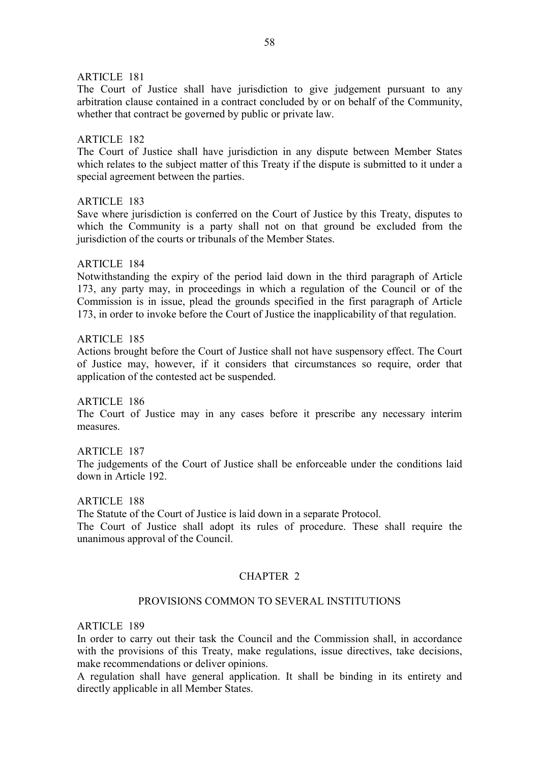#### ARTICLE 181

The Court of Justice shall have jurisdiction to give judgement pursuant to any arbitration clause contained in a contract concluded by or on behalf of the Community, whether that contract be governed by public or private law.

#### ARTICLE 182

The Court of Justice shall have jurisdiction in any dispute between Member States which relates to the subject matter of this Treaty if the dispute is submitted to it under a special agreement between the parties.

### ARTICLE 183

Save where jurisdiction is conferred on the Court of Justice by this Treaty, disputes to which the Community is a party shall not on that ground be excluded from the jurisdiction of the courts or tribunals of the Member States.

### ARTICLE 184

Notwithstanding the expiry of the period laid down in the third paragraph of Article 173, any party may, in proceedings in which a regulation of the Council or of the Commission is in issue, plead the grounds specified in the first paragraph of Article 173, in order to invoke before the Court of Justice the inapplicability of that regulation.

#### ARTICLE 185

Actions brought before the Court of Justice shall not have suspensory effect. The Court of Justice may, however, if it considers that circumstances so require, order that application of the contested act be suspended.

### ARTICLE 186

The Court of Justice may in any cases before it prescribe any necessary interim measures.

#### ARTICLE 187

The judgements of the Court of Justice shall be enforceable under the conditions laid down in Article 192.

#### ARTICLE 188

The Statute of the Court of Justice is laid down in a separate Protocol.

The Court of Justice shall adopt its rules of procedure. These shall require the unanimous approval of the Council.

## CHAPTER 2

### PROVISIONS COMMON TO SEVERAL INSTITUTIONS

#### ARTICLE 189

In order to carry out their task the Council and the Commission shall, in accordance with the provisions of this Treaty, make regulations, issue directives, take decisions, make recommendations or deliver opinions.

A regulation shall have general application. It shall be binding in its entirety and directly applicable in all Member States.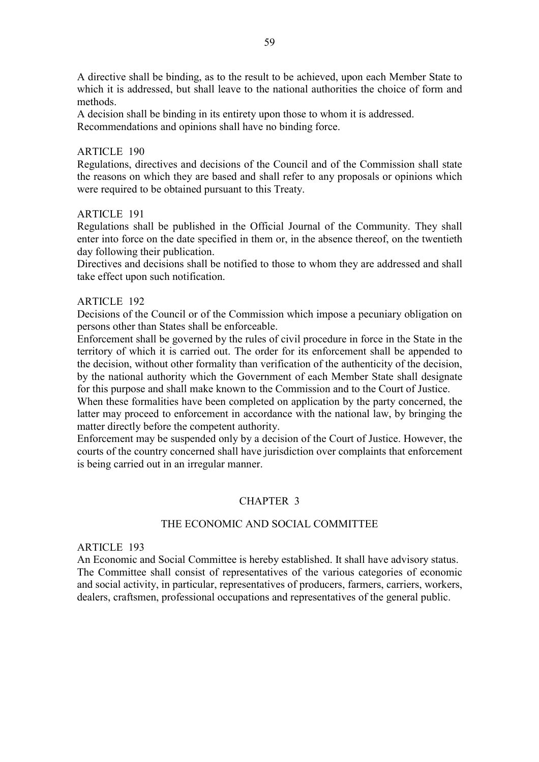A directive shall be binding, as to the result to be achieved, upon each Member State to which it is addressed, but shall leave to the national authorities the choice of form and methods.

A decision shall be binding in its entirety upon those to whom it is addressed. Recommendations and opinions shall have no binding force.

#### ARTICLE 190

Regulations, directives and decisions of the Council and of the Commission shall state the reasons on which they are based and shall refer to any proposals or opinions which were required to be obtained pursuant to this Treaty.

### ARTICLE 191

Regulations shall be published in the Official Journal of the Community. They shall enter into force on the date specified in them or, in the absence thereof, on the twentieth day following their publication.

Directives and decisions shall be notified to those to whom they are addressed and shall take effect upon such notification.

#### ARTICLE 192

Decisions of the Council or of the Commission which impose a pecuniary obligation on persons other than States shall be enforceable.

Enforcement shall be governed by the rules of civil procedure in force in the State in the territory of which it is carried out. The order for its enforcement shall be appended to the decision, without other formality than verification of the authenticity of the decision, by the national authority which the Government of each Member State shall designate for this purpose and shall make known to the Commission and to the Court of Justice.

When these formalities have been completed on application by the party concerned, the latter may proceed to enforcement in accordance with the national law, by bringing the matter directly before the competent authority.

Enforcement may be suspended only by a decision of the Court of Justice. However, the courts of the country concerned shall have jurisdiction over complaints that enforcement is being carried out in an irregular manner.

## CHAPTER 3

#### THE ECONOMIC AND SOCIAL COMMITTEE

#### ARTICLE 193

An Economic and Social Committee is hereby established. It shall have advisory status. The Committee shall consist of representatives of the various categories of economic and social activity, in particular, representatives of producers, farmers, carriers, workers, dealers, craftsmen, professional occupations and representatives of the general public.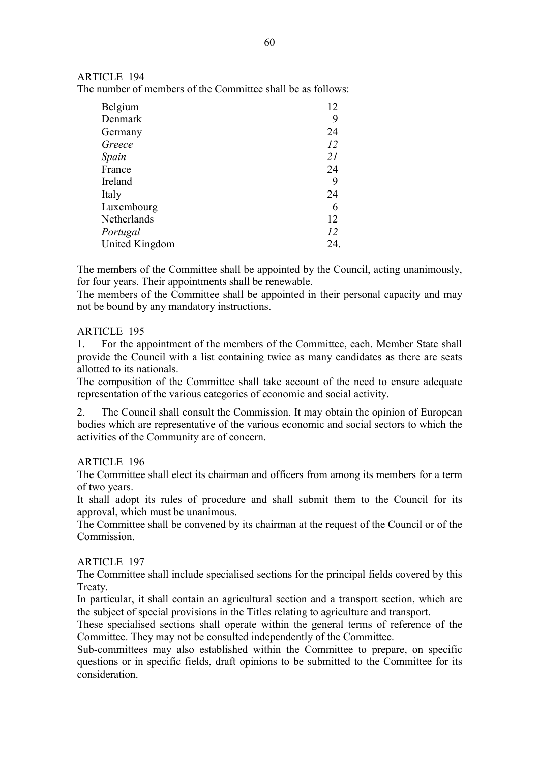## ARTICLE 194

The number of members of the Committee shall be as follows:

| Belgium        | 12  |
|----------------|-----|
| Denmark        | 9   |
| Germany        | 24  |
| Greece         | 12  |
| Spain          | 21  |
| France         | 24  |
| Ireland        |     |
| Italy          | 24  |
| Luxembourg     | 6   |
| Netherlands    | 12  |
| Portugal       | 12  |
| United Kingdom | 24. |

The members of the Committee shall be appointed by the Council, acting unanimously, for four years. Their appointments shall be renewable.

The members of the Committee shall be appointed in their personal capacity and may not be bound by any mandatory instructions.

## ARTICLE 195

1. For the appointment of the members of the Committee, each. Member State shall provide the Council with a list containing twice as many candidates as there are seats allotted to its nationals.

The composition of the Committee shall take account of the need to ensure adequate representation of the various categories of economic and social activity.

2. The Council shall consult the Commission. It may obtain the opinion of European bodies which are representative of the various economic and social sectors to which the activities of the Community are of concern.

## ARTICLE 196

The Committee shall elect its chairman and officers from among its members for a term of two years.

It shall adopt its rules of procedure and shall submit them to the Council for its approval, which must be unanimous.

The Committee shall be convened by its chairman at the request of the Council or of the Commission.

## ARTICLE 197

The Committee shall include specialised sections for the principal fields covered by this Treaty.

In particular, it shall contain an agricultural section and a transport section, which are the subject of special provisions in the Titles relating to agriculture and transport.

These specialised sections shall operate within the general terms of reference of the Committee. They may not be consulted independently of the Committee.

Sub-committees may also established within the Committee to prepare, on specific questions or in specific fields, draft opinions to be submitted to the Committee for its consideration.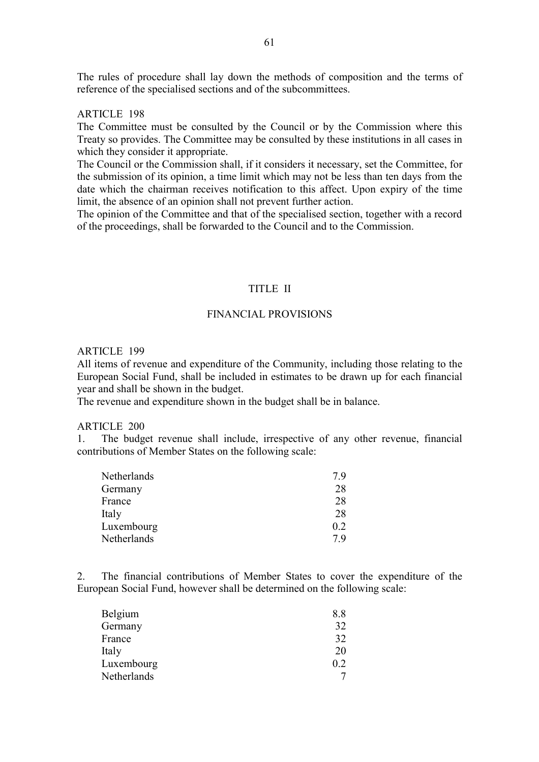The rules of procedure shall lay down the methods of composition and the terms of reference of the specialised sections and of the subcommittees.

### ARTICLE 198

The Committee must be consulted by the Council or by the Commission where this Treaty so provides. The Committee may be consulted by these institutions in all cases in which they consider it appropriate.

The Council or the Commission shall, if it considers it necessary, set the Committee, for the submission of its opinion, a time limit which may not be less than ten days from the date which the chairman receives notification to this affect. Upon expiry of the time limit, the absence of an opinion shall not prevent further action.

The opinion of the Committee and that of the specialised section, together with a record of the proceedings, shall be forwarded to the Council and to the Commission.

#### TITLE II

#### FINANCIAL PROVISIONS

#### ARTICLE 199

All items of revenue and expenditure of the Community, including those relating to the European Social Fund, shall be included in estimates to be drawn up for each financial year and shall be shown in the budget.

The revenue and expenditure shown in the budget shall be in balance.

#### ARTICLE 200

1. The budget revenue shall include, irrespective of any other revenue, financial contributions of Member States on the following scale:

| Netherlands | 79  |
|-------------|-----|
| Germany     | 28  |
| France      | 28  |
| Italy       | 28  |
| Luxembourg  | 02  |
| Netherlands | 7 Q |

2. The financial contributions of Member States to cover the expenditure of the European Social Fund, however shall be determined on the following scale:

| Belgium     | 8.8 |
|-------------|-----|
| Germany     | 32  |
| France      | 32  |
| Italy       | 20  |
| Luxembourg  | 0.2 |
| Netherlands |     |
|             |     |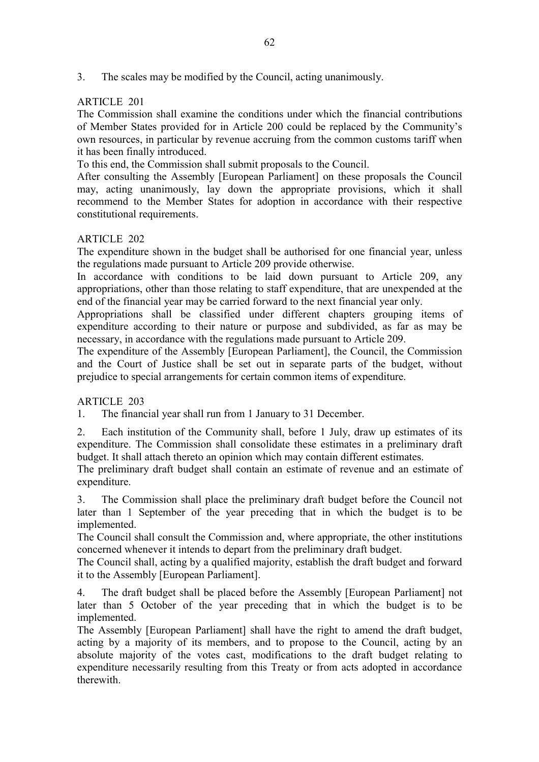3. The scales may be modified by the Council, acting unanimously.

# ARTICLE 201

The Commission shall examine the conditions under which the financial contributions of Member States provided for in Article 200 could be replaced by the Community's own resources, in particular by revenue accruing from the common customs tariff when it has been finally introduced.

To this end, the Commission shall submit proposals to the Council.

After consulting the Assembly [European Parliament] on these proposals the Council may, acting unanimously, lay down the appropriate provisions, which it shall recommend to the Member States for adoption in accordance with their respective constitutional requirements.

## ARTICLE 202

The expenditure shown in the budget shall be authorised for one financial year, unless the regulations made pursuant to Article 209 provide otherwise.

In accordance with conditions to be laid down pursuant to Article 209, any appropriations, other than those relating to staff expenditure, that are unexpended at the end of the financial year may be carried forward to the next financial year only.

Appropriations shall be classified under different chapters grouping items of expenditure according to their nature or purpose and subdivided, as far as may be necessary, in accordance with the regulations made pursuant to Article 209.

The expenditure of the Assembly [European Parliament], the Council, the Commission and the Court of Justice shall be set out in separate parts of the budget, without prejudice to special arrangements for certain common items of expenditure.

ARTICLE 203

1. The financial year shall run from 1 January to 31 December.

2. Each institution of the Community shall, before 1 July, draw up estimates of its expenditure. The Commission shall consolidate these estimates in a preliminary draft budget. It shall attach thereto an opinion which may contain different estimates.

The preliminary draft budget shall contain an estimate of revenue and an estimate of expenditure.

3. The Commission shall place the preliminary draft budget before the Council not later than 1 September of the year preceding that in which the budget is to be **implemented** 

The Council shall consult the Commission and, where appropriate, the other institutions concerned whenever it intends to depart from the preliminary draft budget.

The Council shall, acting by a qualified majority, establish the draft budget and forward it to the Assembly [European Parliament].

4. The draft budget shall be placed before the Assembly [European Parliament] not later than 5 October of the year preceding that in which the budget is to be implemented.

The Assembly [European Parliament] shall have the right to amend the draft budget, acting by a majority of its members, and to propose to the Council, acting by an absolute majority of the votes cast, modifications to the draft budget relating to expenditure necessarily resulting from this Treaty or from acts adopted in accordance therewith.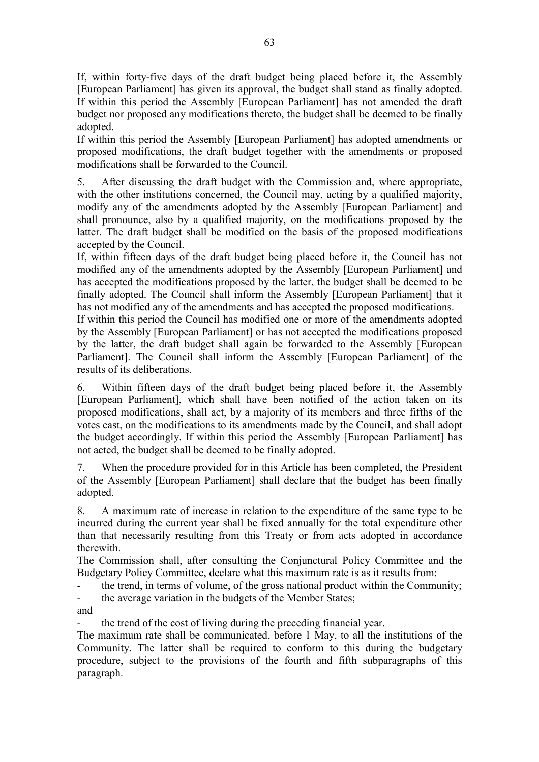If, within forty-five days of the draft budget being placed before it, the Assembly [European Parliament] has given its approval, the budget shall stand as finally adopted. If within this period the Assembly [European Parliament] has not amended the draft budget nor proposed any modifications thereto, the budget shall be deemed to be finally adopted.

If within this period the Assembly [European Parliament] has adopted amendments or proposed modifications, the draft budget together with the amendments or proposed modifications shall be forwarded to the Council.

5. After discussing the draft budget with the Commission and, where appropriate, with the other institutions concerned, the Council may, acting by a qualified majority, modify any of the amendments adopted by the Assembly [European Parliament] and shall pronounce, also by a qualified majority, on the modifications proposed by the latter. The draft budget shall be modified on the basis of the proposed modifications accepted by the Council.

If, within fifteen days of the draft budget being placed before it, the Council has not modified any of the amendments adopted by the Assembly [European Parliament] and has accepted the modifications proposed by the latter, the budget shall be deemed to be finally adopted. The Council shall inform the Assembly [European Parliament] that it has not modified any of the amendments and has accepted the proposed modifications.

If within this period the Council has modified one or more of the amendments adopted by the Assembly [European Parliament] or has not accepted the modifications proposed by the latter, the draft budget shall again be forwarded to the Assembly [European Parliament]. The Council shall inform the Assembly [European Parliament] of the results of its deliberations.

6. Within fifteen days of the draft budget being placed before it, the Assembly [European Parliament], which shall have been notified of the action taken on its proposed modifications, shall act, by a majority of its members and three fifths of the votes cast, on the modifications to its amendments made by the Council, and shall adopt the budget accordingly. If within this period the Assembly [European Parliament] has not acted, the budget shall be deemed to be finally adopted.

7. When the procedure provided for in this Article has been completed, the President of the Assembly [European Parliament] shall declare that the budget has been finally adopted.

8. A maximum rate of increase in relation to the expenditure of the same type to be incurred during the current year shall be fixed annually for the total expenditure other than that necessarily resulting from this Treaty or from acts adopted in accordance therewith.

The Commission shall, after consulting the Conjunctural Policy Committee and the Budgetary Policy Committee, declare what this maximum rate is as it results from:

- the trend, in terms of volume, of the gross national product within the Community;

- the average variation in the budgets of the Member States;

and

- the trend of the cost of living during the preceding financial year.

The maximum rate shall be communicated, before 1 May, to all the institutions of the Community. The latter shall be required to conform to this during the budgetary procedure, subject to the provisions of the fourth and fifth subparagraphs of this paragraph.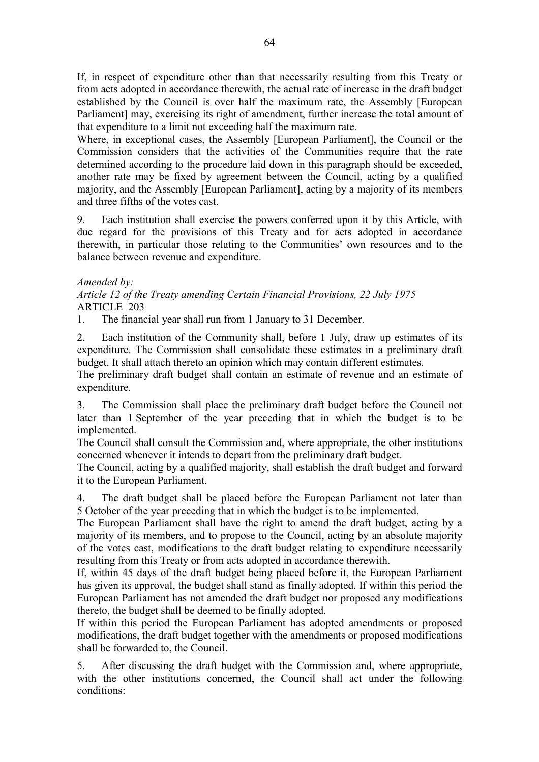If, in respect of expenditure other than that necessarily resulting from this Treaty or from acts adopted in accordance therewith, the actual rate of increase in the draft budget established by the Council is over half the maximum rate, the Assembly [European Parliament] may, exercising its right of amendment, further increase the total amount of that expenditure to a limit not exceeding half the maximum rate.

Where, in exceptional cases, the Assembly [European Parliament], the Council or the Commission considers that the activities of the Communities require that the rate determined according to the procedure laid down in this paragraph should be exceeded, another rate may be fixed by agreement between the Council, acting by a qualified majority, and the Assembly [European Parliament], acting by a majority of its members and three fifths of the votes cast.

9. Each institution shall exercise the powers conferred upon it by this Article, with due regard for the provisions of this Treaty and for acts adopted in accordance therewith, in particular those relating to the Communities' own resources and to the balance between revenue and expenditure.

## *Amended by:*

*Article 12 of the Treaty amending Certain Financial Provisions, 22 July 1975*  ARTICLE 203

1. The financial year shall run from 1 January to 31 December.

2. Each institution of the Community shall, before 1 July, draw up estimates of its expenditure. The Commission shall consolidate these estimates in a preliminary draft budget. It shall attach thereto an opinion which may contain different estimates.

The preliminary draft budget shall contain an estimate of revenue and an estimate of expenditure.

3. The Commission shall place the preliminary draft budget before the Council not later than 1 September of the year preceding that in which the budget is to be implemented.

The Council shall consult the Commission and, where appropriate, the other institutions concerned whenever it intends to depart from the preliminary draft budget.

The Council, acting by a qualified majority, shall establish the draft budget and forward it to the European Parliament.

4. The draft budget shall be placed before the European Parliament not later than 5 October of the year preceding that in which the budget is to be implemented.

The European Parliament shall have the right to amend the draft budget, acting by a majority of its members, and to propose to the Council, acting by an absolute majority of the votes cast, modifications to the draft budget relating to expenditure necessarily resulting from this Treaty or from acts adopted in accordance therewith.

If, within 45 days of the draft budget being placed before it, the European Parliament has given its approval, the budget shall stand as finally adopted. If within this period the European Parliament has not amended the draft budget nor proposed any modifications thereto, the budget shall be deemed to be finally adopted.

If within this period the European Parliament has adopted amendments or proposed modifications, the draft budget together with the amendments or proposed modifications shall be forwarded to, the Council.

5. After discussing the draft budget with the Commission and, where appropriate, with the other institutions concerned, the Council shall act under the following conditions: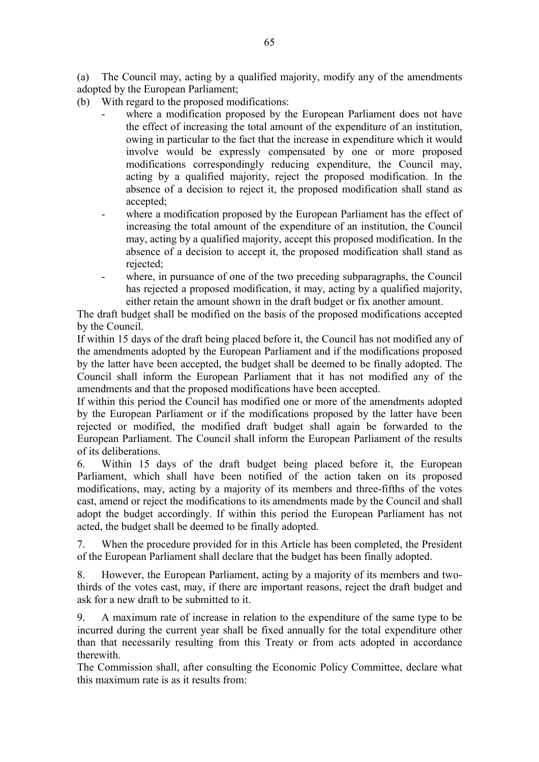(a) The Council may, acting by a qualified majority, modify any of the amendments adopted by the European Parliament;

- (b) With regard to the proposed modifications:
	- where a modification proposed by the European Parliament does not have the effect of increasing the total amount of the expenditure of an institution, owing in particular to the fact that the increase in expenditure which it would involve would be expressly compensated by one or more proposed modifications correspondingly reducing expenditure, the Council may, acting by a qualified majority, reject the proposed modification. In the absence of a decision to reject it, the proposed modification shall stand as accepted;
	- where a modification proposed by the European Parliament has the effect of increasing the total amount of the expenditure of an institution, the Council may, acting by a qualified majority, accept this proposed modification. In the absence of a decision to accept it, the proposed modification shall stand as rejected;
	- where, in pursuance of one of the two preceding subparagraphs, the Council has rejected a proposed modification, it may, acting by a qualified majority, either retain the amount shown in the draft budget or fix another amount.

The draft budget shall be modified on the basis of the proposed modifications accepted by the Council.

If within 15 days of the draft being placed before it, the Council has not modified any of the amendments adopted by the European Parliament and if the modifications proposed by the latter have been accepted, the budget shall be deemed to be finally adopted. The Council shall inform the European Parliament that it has not modified any of the amendments and that the proposed modifications have been accepted.

If within this period the Council has modified one or more of the amendments adopted by the European Parliament or if the modifications proposed by the latter have been rejected or modified, the modified draft budget shall again be forwarded to the European Parliament. The Council shall inform the European Parliament of the results of its deliberations.

6. Within 15 days of the draft budget being placed before it, the European Parliament, which shall have been notified of the action taken on its proposed modifications, may, acting by a majority of its members and three-fifths of the votes cast, amend or reject the modifications to its amendments made by the Council and shall adopt the budget accordingly. If within this period the European Parliament has not acted, the budget shall be deemed to be finally adopted.

7. When the procedure provided for in this Article has been completed, the President of the European Parliament shall declare that the budget has been finally adopted.

8. However, the European Parliament, acting by a majority of its members and twothirds of the votes cast, may, if there are important reasons, reject the draft budget and ask for a new draft to be submitted to it.

9. A maximum rate of increase in relation to the expenditure of the same type to be incurred during the current year shall be fixed annually for the total expenditure other than that necessarily resulting from this Treaty or from acts adopted in accordance therewith.

The Commission shall, after consulting the Economic Policy Committee, declare what this maximum rate is as it results from: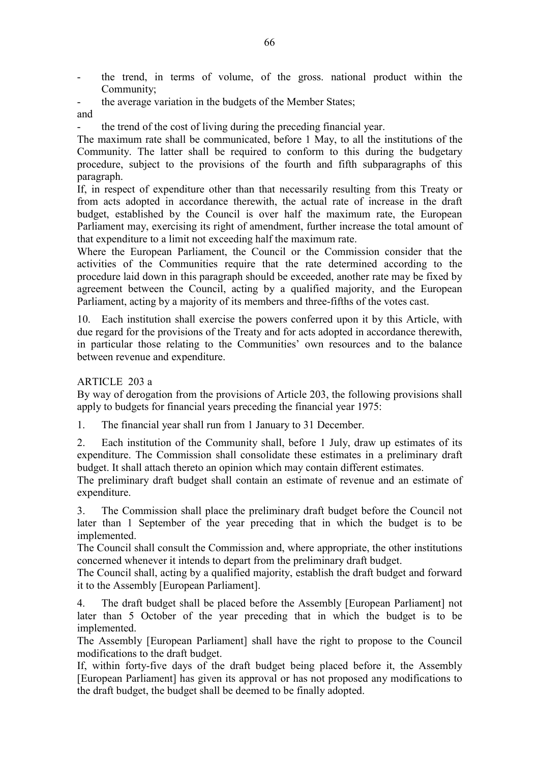- the trend, in terms of volume, of the gross, national product within the Community;
- the average variation in the budgets of the Member States;

## and

the trend of the cost of living during the preceding financial year.

The maximum rate shall be communicated, before 1 May, to all the institutions of the Community. The latter shall be required to conform to this during the budgetary procedure, subject to the provisions of the fourth and fifth subparagraphs of this paragraph.

If, in respect of expenditure other than that necessarily resulting from this Treaty or from acts adopted in accordance therewith, the actual rate of increase in the draft budget, established by the Council is over half the maximum rate, the European Parliament may, exercising its right of amendment, further increase the total amount of that expenditure to a limit not exceeding half the maximum rate.

Where the European Parliament, the Council or the Commission consider that the activities of the Communities require that the rate determined according to the procedure laid down in this paragraph should be exceeded, another rate may be fixed by agreement between the Council, acting by a qualified majority, and the European Parliament, acting by a majority of its members and three-fifths of the votes cast.

10. Each institution shall exercise the powers conferred upon it by this Article, with due regard for the provisions of the Treaty and for acts adopted in accordance therewith, in particular those relating to the Communities' own resources and to the balance between revenue and expenditure.

ARTICLE 203 a

By way of derogation from the provisions of Article 203, the following provisions shall apply to budgets for financial years preceding the financial year 1975:

1. The financial year shall run from 1 January to 31 December.

2. Each institution of the Community shall, before 1 July, draw up estimates of its expenditure. The Commission shall consolidate these estimates in a preliminary draft budget. It shall attach thereto an opinion which may contain different estimates.

The preliminary draft budget shall contain an estimate of revenue and an estimate of expenditure.

3. The Commission shall place the preliminary draft budget before the Council not later than 1 September of the year preceding that in which the budget is to be implemented.

The Council shall consult the Commission and, where appropriate, the other institutions concerned whenever it intends to depart from the preliminary draft budget.

The Council shall, acting by a qualified majority, establish the draft budget and forward it to the Assembly [European Parliament].

4. The draft budget shall be placed before the Assembly [European Parliament] not later than 5 October of the year preceding that in which the budget is to be implemented.

The Assembly [European Parliament] shall have the right to propose to the Council modifications to the draft budget.

If, within forty-five days of the draft budget being placed before it, the Assembly [European Parliament] has given its approval or has not proposed any modifications to the draft budget, the budget shall be deemed to be finally adopted.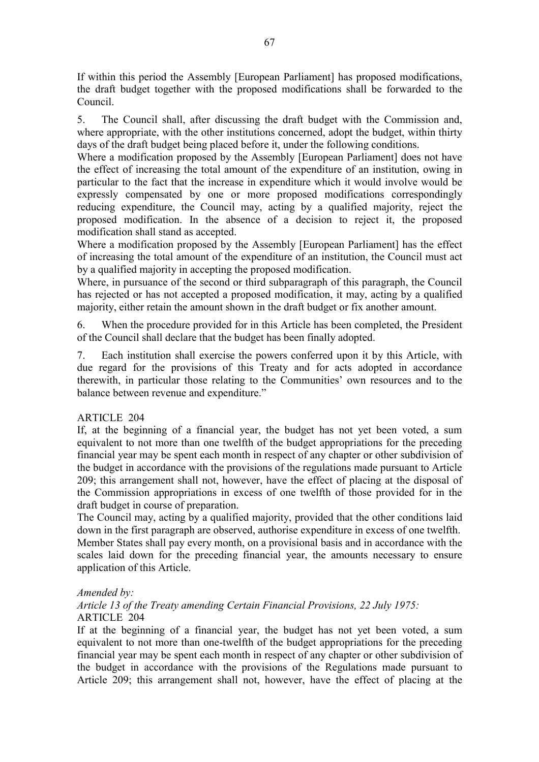If within this period the Assembly [European Parliament] has proposed modifications, the draft budget together with the proposed modifications shall be forwarded to the Council.

5. The Council shall, after discussing the draft budget with the Commission and, where appropriate, with the other institutions concerned, adopt the budget, within thirty days of the draft budget being placed before it, under the following conditions.

Where a modification proposed by the Assembly [European Parliament] does not have the effect of increasing the total amount of the expenditure of an institution, owing in particular to the fact that the increase in expenditure which it would involve would be expressly compensated by one or more proposed modifications correspondingly reducing expenditure, the Council may, acting by a qualified majority, reject the proposed modification. In the absence of a decision to reject it, the proposed modification shall stand as accepted.

Where a modification proposed by the Assembly [European Parliament] has the effect of increasing the total amount of the expenditure of an institution, the Council must act by a qualified majority in accepting the proposed modification.

Where, in pursuance of the second or third subparagraph of this paragraph, the Council has rejected or has not accepted a proposed modification, it may, acting by a qualified majority, either retain the amount shown in the draft budget or fix another amount.

6. When the procedure provided for in this Article has been completed, the President of the Council shall declare that the budget has been finally adopted.

7. Each institution shall exercise the powers conferred upon it by this Article, with due regard for the provisions of this Treaty and for acts adopted in accordance therewith, in particular those relating to the Communities' own resources and to the balance between revenue and expenditure."

## ARTICLE 204

If, at the beginning of a financial year, the budget has not yet been voted, a sum equivalent to not more than one twelfth of the budget appropriations for the preceding financial year may be spent each month in respect of any chapter or other subdivision of the budget in accordance with the provisions of the regulations made pursuant to Article 209; this arrangement shall not, however, have the effect of placing at the disposal of the Commission appropriations in excess of one twelfth of those provided for in the draft budget in course of preparation.

The Council may, acting by a qualified majority, provided that the other conditions laid down in the first paragraph are observed, authorise expenditure in excess of one twelfth.

Member States shall pay every month, on a provisional basis and in accordance with the scales laid down for the preceding financial year, the amounts necessary to ensure application of this Article.

## *Amended by:*

*Article 13 of the Treaty amending Certain Financial Provisions, 22 July 1975:*  ARTICLE 204

If at the beginning of a financial year, the budget has not yet been voted, a sum equivalent to not more than one-twelfth of the budget appropriations for the preceding financial year may be spent each month in respect of any chapter or other subdivision of the budget in accordance with the provisions of the Regulations made pursuant to Article 209; this arrangement shall not, however, have the effect of placing at the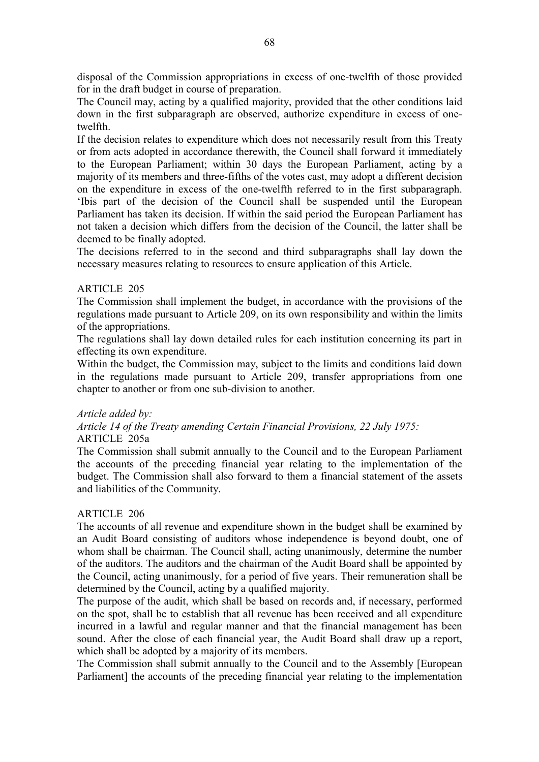disposal of the Commission appropriations in excess of one-twelfth of those provided for in the draft budget in course of preparation.

The Council may, acting by a qualified majority, provided that the other conditions laid down in the first subparagraph are observed, authorize expenditure in excess of onetwelfth.

If the decision relates to expenditure which does not necessarily result from this Treaty or from acts adopted in accordance therewith, the Council shall forward it immediately to the European Parliament; within 30 days the European Parliament, acting by a majority of its members and three-fifths of the votes cast, may adopt a different decision on the expenditure in excess of the one-twelfth referred to in the first subparagraph. 'Ibis part of the decision of the Council shall be suspended until the European Parliament has taken its decision. If within the said period the European Parliament has not taken a decision which differs from the decision of the Council, the latter shall be deemed to be finally adopted.

The decisions referred to in the second and third subparagraphs shall lay down the necessary measures relating to resources to ensure application of this Article.

### ARTICLE 205

The Commission shall implement the budget, in accordance with the provisions of the regulations made pursuant to Article 209, on its own responsibility and within the limits of the appropriations.

The regulations shall lay down detailed rules for each institution concerning its part in effecting its own expenditure.

Within the budget, the Commission may, subject to the limits and conditions laid down in the regulations made pursuant to Article 209, transfer appropriations from one chapter to another or from one sub-division to another.

#### *Article added by:*

*Article 14 of the Treaty amending Certain Financial Provisions, 22 July 1975:*  ARTICLE 205a

The Commission shall submit annually to the Council and to the European Parliament the accounts of the preceding financial year relating to the implementation of the budget. The Commission shall also forward to them a financial statement of the assets and liabilities of the Community.

#### ARTICLE 206

The accounts of all revenue and expenditure shown in the budget shall be examined by an Audit Board consisting of auditors whose independence is beyond doubt, one of whom shall be chairman. The Council shall, acting unanimously, determine the number of the auditors. The auditors and the chairman of the Audit Board shall be appointed by the Council, acting unanimously, for a period of five years. Their remuneration shall be determined by the Council, acting by a qualified majority.

The purpose of the audit, which shall be based on records and, if necessary, performed on the spot, shall be to establish that all revenue has been received and all expenditure incurred in a lawful and regular manner and that the financial management has been sound. After the close of each financial year, the Audit Board shall draw up a report, which shall be adopted by a majority of its members.

The Commission shall submit annually to the Council and to the Assembly [European Parliament] the accounts of the preceding financial year relating to the implementation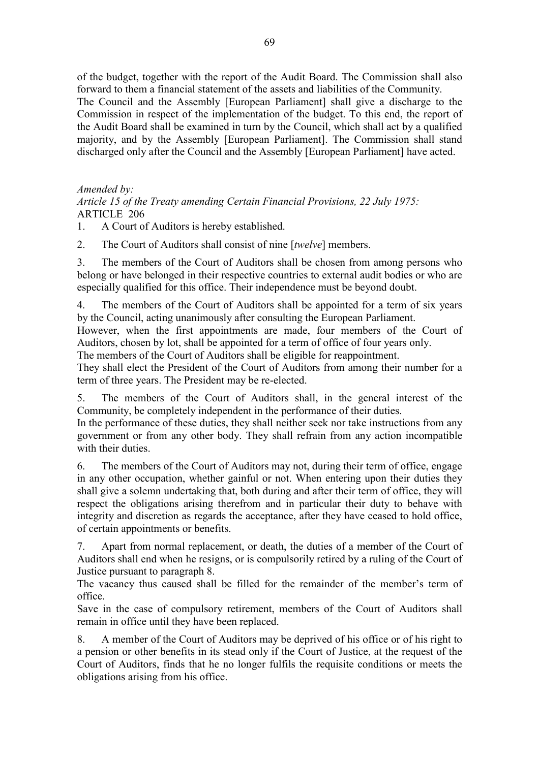of the budget, together with the report of the Audit Board. The Commission shall also forward to them a financial statement of the assets and liabilities of the Community.

The Council and the Assembly [European Parliament] shall give a discharge to the Commission in respect of the implementation of the budget. To this end, the report of the Audit Board shall be examined in turn by the Council, which shall act by a qualified majority, and by the Assembly [European Parliament]. The Commission shall stand discharged only after the Council and the Assembly [European Parliament] have acted.

## *Amended by:*

*Article 15 of the Treaty amending Certain Financial Provisions, 22 July 1975:*  ARTICLE 206

1. A Court of Auditors is hereby established.

2. The Court of Auditors shall consist of nine [*twelve*] members.

3. The members of the Court of Auditors shall be chosen from among persons who belong or have belonged in their respective countries to external audit bodies or who are especially qualified for this office. Their independence must be beyond doubt.

4. The members of the Court of Auditors shall be appointed for a term of six years by the Council, acting unanimously after consulting the European Parliament.

However, when the first appointments are made, four members of the Court of Auditors, chosen by lot, shall be appointed for a term of office of four years only.

The members of the Court of Auditors shall be eligible for reappointment.

They shall elect the President of the Court of Auditors from among their number for a term of three years. The President may be re-elected.

5. The members of the Court of Auditors shall, in the general interest of the Community, be completely independent in the performance of their duties.

In the performance of these duties, they shall neither seek nor take instructions from any government or from any other body. They shall refrain from any action incompatible with their duties.

6. The members of the Court of Auditors may not, during their term of office, engage in any other occupation, whether gainful or not. When entering upon their duties they shall give a solemn undertaking that, both during and after their term of office, they will respect the obligations arising therefrom and in particular their duty to behave with integrity and discretion as regards the acceptance, after they have ceased to hold office, of certain appointments or benefits.

7. Apart from normal replacement, or death, the duties of a member of the Court of Auditors shall end when he resigns, or is compulsorily retired by a ruling of the Court of Justice pursuant to paragraph 8.

The vacancy thus caused shall be filled for the remainder of the member's term of office.

Save in the case of compulsory retirement, members of the Court of Auditors shall remain in office until they have been replaced.

8. A member of the Court of Auditors may be deprived of his office or of his right to a pension or other benefits in its stead only if the Court of Justice, at the request of the Court of Auditors, finds that he no longer fulfils the requisite conditions or meets the obligations arising from his office.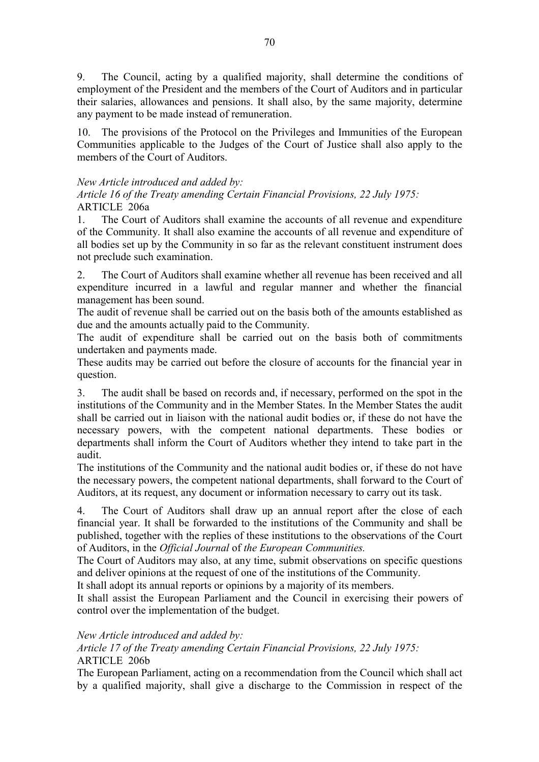9. The Council, acting by a qualified majority, shall determine the conditions of employment of the President and the members of the Court of Auditors and in particular their salaries, allowances and pensions. It shall also, by the same majority, determine any payment to be made instead of remuneration.

10. The provisions of the Protocol on the Privileges and Immunities of the European Communities applicable to the Judges of the Court of Justice shall also apply to the members of the Court of Auditors.

## *New Article introduced and added by:*

*Article 16 of the Treaty amending Certain Financial Provisions, 22 July 1975:*  ARTICLE 206a

1. The Court of Auditors shall examine the accounts of all revenue and expenditure of the Community. It shall also examine the accounts of all revenue and expenditure of all bodies set up by the Community in so far as the relevant constituent instrument does not preclude such examination.

2. The Court of Auditors shall examine whether all revenue has been received and all expenditure incurred in a lawful and regular manner and whether the financial management has been sound.

The audit of revenue shall be carried out on the basis both of the amounts established as due and the amounts actually paid to the Community.

The audit of expenditure shall be carried out on the basis both of commitments undertaken and payments made.

These audits may be carried out before the closure of accounts for the financial year in question.

3. The audit shall be based on records and, if necessary, performed on the spot in the institutions of the Community and in the Member States. In the Member States the audit shall be carried out in liaison with the national audit bodies or, if these do not have the necessary powers, with the competent national departments. These bodies or departments shall inform the Court of Auditors whether they intend to take part in the audit.

The institutions of the Community and the national audit bodies or, if these do not have the necessary powers, the competent national departments, shall forward to the Court of Auditors, at its request, any document or information necessary to carry out its task.

4. The Court of Auditors shall draw up an annual report after the close of each financial year. It shall be forwarded to the institutions of the Community and shall be published, together with the replies of these institutions to the observations of the Court of Auditors, in the *Official Journal* of *the European Communities.* 

The Court of Auditors may also, at any time, submit observations on specific questions and deliver opinions at the request of one of the institutions of the Community.

It shall adopt its annual reports or opinions by a majority of its members.

It shall assist the European Parliament and the Council in exercising their powers of control over the implementation of the budget.

## *New Article introduced and added by:*

*Article 17 of the Treaty amending Certain Financial Provisions, 22 July 1975:*  ARTICLE 206b

The European Parliament, acting on a recommendation from the Council which shall act by a qualified majority, shall give a discharge to the Commission in respect of the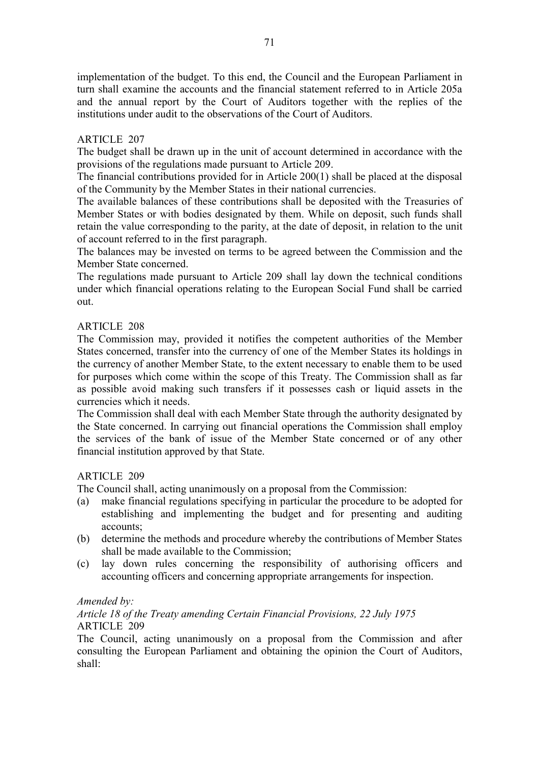implementation of the budget. To this end, the Council and the European Parliament in turn shall examine the accounts and the financial statement referred to in Article 205a and the annual report by the Court of Auditors together with the replies of the institutions under audit to the observations of the Court of Auditors.

## ARTICLE 207

The budget shall be drawn up in the unit of account determined in accordance with the provisions of the regulations made pursuant to Article 209.

The financial contributions provided for in Article 200(1) shall be placed at the disposal of the Community by the Member States in their national currencies.

The available balances of these contributions shall be deposited with the Treasuries of Member States or with bodies designated by them. While on deposit, such funds shall retain the value corresponding to the parity, at the date of deposit, in relation to the unit of account referred to in the first paragraph.

The balances may be invested on terms to be agreed between the Commission and the Member State concerned.

The regulations made pursuant to Article 209 shall lay down the technical conditions under which financial operations relating to the European Social Fund shall be carried out.

## ARTICLE 208

The Commission may, provided it notifies the competent authorities of the Member States concerned, transfer into the currency of one of the Member States its holdings in the currency of another Member State, to the extent necessary to enable them to be used for purposes which come within the scope of this Treaty. The Commission shall as far as possible avoid making such transfers if it possesses cash or liquid assets in the currencies which it needs.

The Commission shall deal with each Member State through the authority designated by the State concerned. In carrying out financial operations the Commission shall employ the services of the bank of issue of the Member State concerned or of any other financial institution approved by that State.

## ARTICLE 209

The Council shall, acting unanimously on a proposal from the Commission:

- (a) make financial regulations specifying in particular the procedure to be adopted for establishing and implementing the budget and for presenting and auditing accounts;
- (b) determine the methods and procedure whereby the contributions of Member States shall be made available to the Commission;
- (c) lay down rules concerning the responsibility of authorising officers and accounting officers and concerning appropriate arrangements for inspection.

## *Amended by:*

*Article 18 of the Treaty amending Certain Financial Provisions, 22 July 1975*  ARTICLE 209

The Council, acting unanimously on a proposal from the Commission and after consulting the European Parliament and obtaining the opinion the Court of Auditors, shall: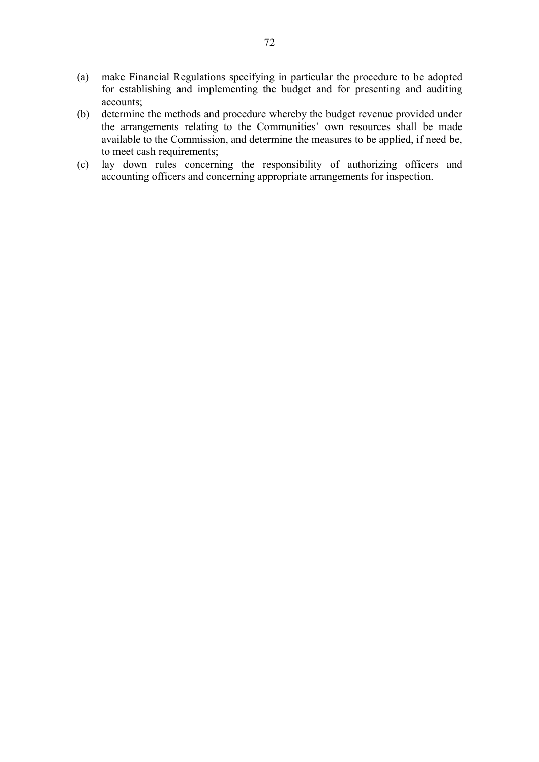- (a) make Financial Regulations specifying in particular the procedure to be adopted for establishing and implementing the budget and for presenting and auditing accounts;
- (b) determine the methods and procedure whereby the budget revenue provided under the arrangements relating to the Communities' own resources shall be made available to the Commission, and determine the measures to be applied, if need be, to meet cash requirements;
- (c) lay down rules concerning the responsibility of authorizing officers and accounting officers and concerning appropriate arrangements for inspection.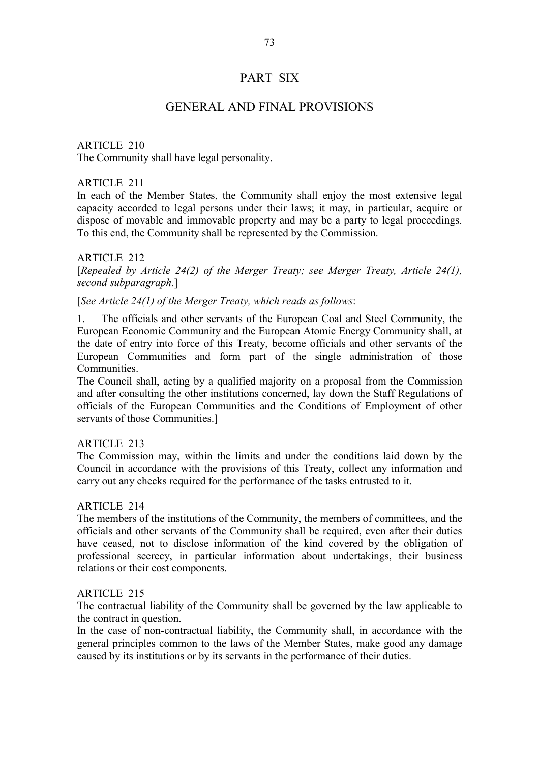# PART SIX

# GENERAL AND FINAL PROVISIONS

# ARTICLE 210 The Community shall have legal personality.

#### ARTICLE 211

In each of the Member States, the Community shall enjoy the most extensive legal capacity accorded to legal persons under their laws; it may, in particular, acquire or dispose of movable and immovable property and may be a party to legal proceedings. To this end, the Community shall be represented by the Commission.

### ARTICLE 212

[*Repealed by Article 24(2) of the Merger Treaty; see Merger Treaty, Article 24(1), second subparagraph.*]

### [*See Article 24(1) of the Merger Treaty, which reads as follows*:

1. The officials and other servants of the European Coal and Steel Community, the European Economic Community and the European Atomic Energy Community shall, at the date of entry into force of this Treaty, become officials and other servants of the European Communities and form part of the single administration of those **Communities** 

The Council shall, acting by a qualified majority on a proposal from the Commission and after consulting the other institutions concerned, lay down the Staff Regulations of officials of the European Communities and the Conditions of Employment of other servants of those Communities.]

# ARTICLE 213

The Commission may, within the limits and under the conditions laid down by the Council in accordance with the provisions of this Treaty, collect any information and carry out any checks required for the performance of the tasks entrusted to it.

# ARTICLE 214

The members of the institutions of the Community, the members of committees, and the officials and other servants of the Community shall be required, even after their duties have ceased, not to disclose information of the kind covered by the obligation of professional secrecy, in particular information about undertakings, their business relations or their cost components.

# ARTICLE 215

The contractual liability of the Community shall be governed by the law applicable to the contract in question.

In the case of non-contractual liability, the Community shall, in accordance with the general principles common to the laws of the Member States, make good any damage caused by its institutions or by its servants in the performance of their duties.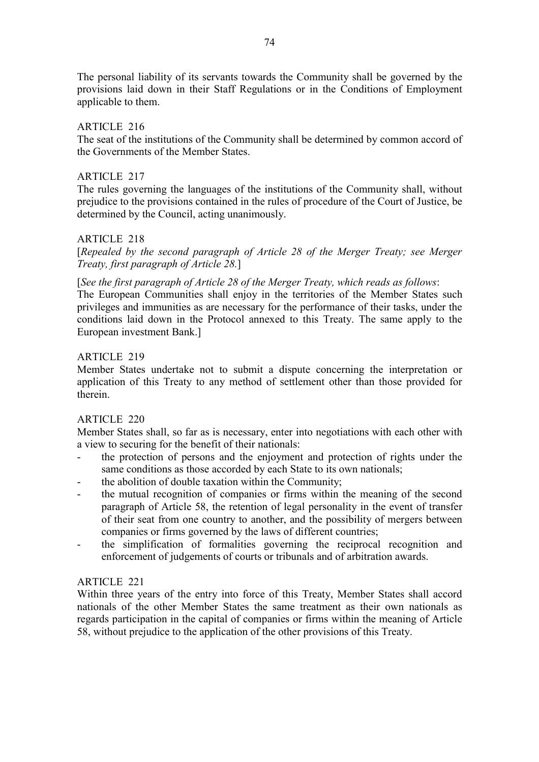The personal liability of its servants towards the Community shall be governed by the provisions laid down in their Staff Regulations or in the Conditions of Employment applicable to them.

### ARTICLE 216

The seat of the institutions of the Community shall be determined by common accord of the Governments of the Member States.

### ARTICLE 217

The rules governing the languages of the institutions of the Community shall, without prejudice to the provisions contained in the rules of procedure of the Court of Justice, be determined by the Council, acting unanimously.

# ARTICLE 218

[*Repealed by the second paragraph of Article 28 of the Merger Treaty; see Merger Treaty, first paragraph of Article 28.*]

### [*See the first paragraph of Article 28 of the Merger Treaty, which reads as follows*:

The European Communities shall enjoy in the territories of the Member States such privileges and immunities as are necessary for the performance of their tasks, under the conditions laid down in the Protocol annexed to this Treaty. The same apply to the European investment Bank.]

### ARTICLE 219

Member States undertake not to submit a dispute concerning the interpretation or application of this Treaty to any method of settlement other than those provided for therein.

# ARTICLE 220

Member States shall, so far as is necessary, enter into negotiations with each other with a view to securing for the benefit of their nationals:

- the protection of persons and the enjoyment and protection of rights under the same conditions as those accorded by each State to its own nationals;
- the abolition of double taxation within the Community;
- the mutual recognition of companies or firms within the meaning of the second paragraph of Article 58, the retention of legal personality in the event of transfer of their seat from one country to another, and the possibility of mergers between companies or firms governed by the laws of different countries;
- the simplification of formalities governing the reciprocal recognition and enforcement of judgements of courts or tribunals and of arbitration awards.

# ARTICLE 221

Within three years of the entry into force of this Treaty, Member States shall accord nationals of the other Member States the same treatment as their own nationals as regards participation in the capital of companies or firms within the meaning of Article 58, without prejudice to the application of the other provisions of this Treaty.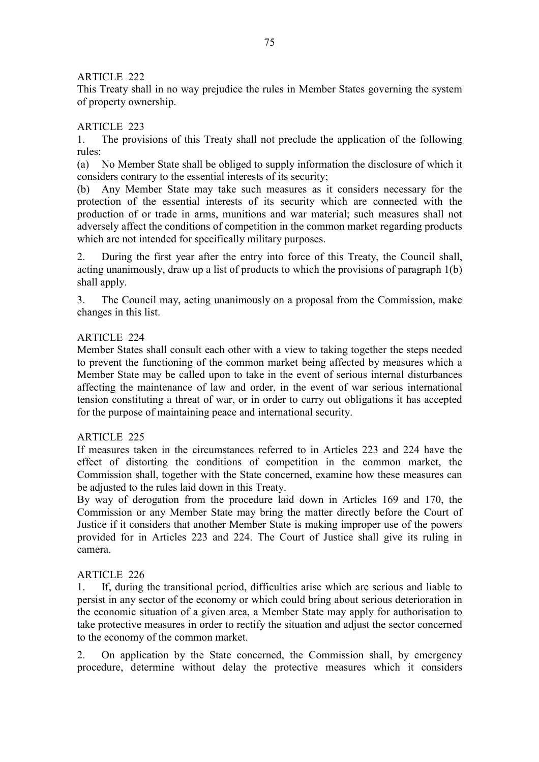# ARTICLE 222

This Treaty shall in no way prejudice the rules in Member States governing the system of property ownership.

# ARTICLE 223

1. The provisions of this Treaty shall not preclude the application of the following rules:

(a) No Member State shall be obliged to supply information the disclosure of which it considers contrary to the essential interests of its security;

(b) Any Member State may take such measures as it considers necessary for the protection of the essential interests of its security which are connected with the production of or trade in arms, munitions and war material; such measures shall not adversely affect the conditions of competition in the common market regarding products which are not intended for specifically military purposes.

2. During the first year after the entry into force of this Treaty, the Council shall, acting unanimously, draw up a list of products to which the provisions of paragraph 1(b) shall apply.

3. The Council may, acting unanimously on a proposal from the Commission, make changes in this list.

# ARTICLE 224

Member States shall consult each other with a view to taking together the steps needed to prevent the functioning of the common market being affected by measures which a Member State may be called upon to take in the event of serious internal disturbances affecting the maintenance of law and order, in the event of war serious international tension constituting a threat of war, or in order to carry out obligations it has accepted for the purpose of maintaining peace and international security.

# ARTICLE 225

If measures taken in the circumstances referred to in Articles 223 and 224 have the effect of distorting the conditions of competition in the common market, the Commission shall, together with the State concerned, examine how these measures can be adjusted to the rules laid down in this Treaty.

By way of derogation from the procedure laid down in Articles 169 and 170, the Commission or any Member State may bring the matter directly before the Court of Justice if it considers that another Member State is making improper use of the powers provided for in Articles 223 and 224. The Court of Justice shall give its ruling in camera.

# ARTICLE 226

1. If, during the transitional period, difficulties arise which are serious and liable to persist in any sector of the economy or which could bring about serious deterioration in the economic situation of a given area, a Member State may apply for authorisation to take protective measures in order to rectify the situation and adjust the sector concerned to the economy of the common market.

2. On application by the State concerned, the Commission shall, by emergency procedure, determine without delay the protective measures which it considers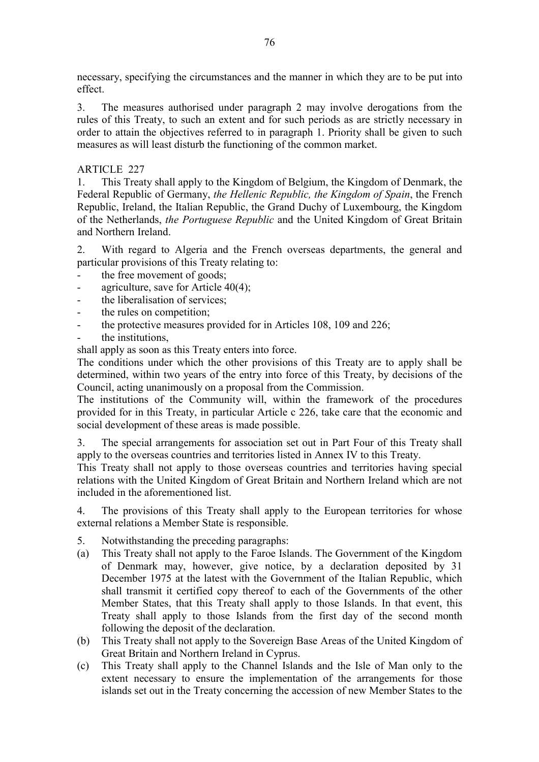necessary, specifying the circumstances and the manner in which they are to be put into effect.

3. The measures authorised under paragraph 2 may involve derogations from the rules of this Treaty, to such an extent and for such periods as are strictly necessary in order to attain the objectives referred to in paragraph 1. Priority shall be given to such measures as will least disturb the functioning of the common market.

# ARTICLE 227

1. This Treaty shall apply to the Kingdom of Belgium, the Kingdom of Denmark, the Federal Republic of Germany, *the Hellenic Republic, the Kingdom of Spain*, the French Republic, Ireland, the Italian Republic, the Grand Duchy of Luxembourg, the Kingdom of the Netherlands, *the Portuguese Republic* and the United Kingdom of Great Britain and Northern Ireland.

2. With regard to Algeria and the French overseas departments, the general and particular provisions of this Treaty relating to:

- the free movement of goods;
- agriculture, save for Article  $40(4)$ ;
- the liberalisation of services;
- the rules on competition:
- the protective measures provided for in Articles 108, 109 and 226;
- the institutions.

shall apply as soon as this Treaty enters into force.

The conditions under which the other provisions of this Treaty are to apply shall be determined, within two years of the entry into force of this Treaty, by decisions of the Council, acting unanimously on a proposal from the Commission.

The institutions of the Community will, within the framework of the procedures provided for in this Treaty, in particular Article c 226, take care that the economic and social development of these areas is made possible.

3. The special arrangements for association set out in Part Four of this Treaty shall apply to the overseas countries and territories listed in Annex IV to this Treaty.

This Treaty shall not apply to those overseas countries and territories having special relations with the United Kingdom of Great Britain and Northern Ireland which are not included in the aforementioned list.

4. The provisions of this Treaty shall apply to the European territories for whose external relations a Member State is responsible.

- 5. Notwithstanding the preceding paragraphs:
- (a) This Treaty shall not apply to the Faroe Islands. The Government of the Kingdom of Denmark may, however, give notice, by a declaration deposited by 31 December 1975 at the latest with the Government of the Italian Republic, which shall transmit it certified copy thereof to each of the Governments of the other Member States, that this Treaty shall apply to those Islands. In that event, this Treaty shall apply to those Islands from the first day of the second month following the deposit of the declaration.
- (b) This Treaty shall not apply to the Sovereign Base Areas of the United Kingdom of Great Britain and Northern Ireland in Cyprus.
- (c) This Treaty shall apply to the Channel Islands and the Isle of Man only to the extent necessary to ensure the implementation of the arrangements for those islands set out in the Treaty concerning the accession of new Member States to the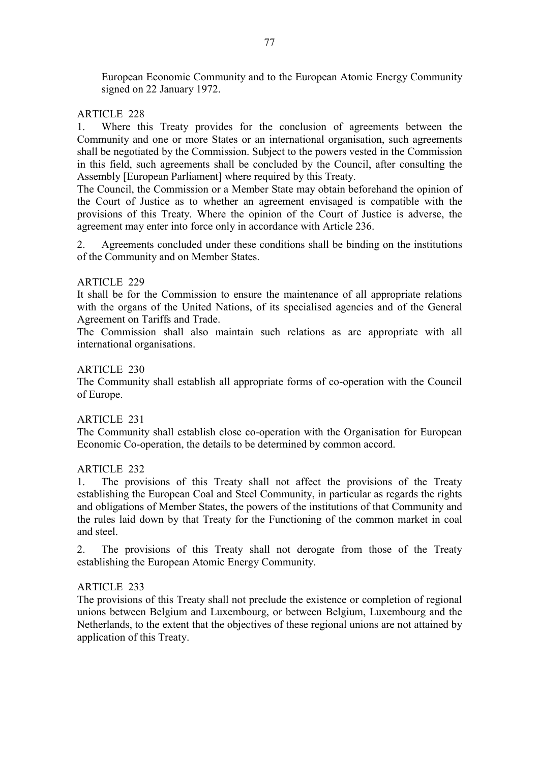European Economic Community and to the European Atomic Energy Community signed on 22 January 1972.

# ARTICLE 228

1. Where this Treaty provides for the conclusion of agreements between the Community and one or more States or an international organisation, such agreements shall be negotiated by the Commission. Subject to the powers vested in the Commission in this field, such agreements shall be concluded by the Council, after consulting the Assembly [European Parliament] where required by this Treaty.

The Council, the Commission or a Member State may obtain beforehand the opinion of the Court of Justice as to whether an agreement envisaged is compatible with the provisions of this Treaty. Where the opinion of the Court of Justice is adverse, the agreement may enter into force only in accordance with Article 236.

2. Agreements concluded under these conditions shall be binding on the institutions of the Community and on Member States.

# ARTICLE 229

It shall be for the Commission to ensure the maintenance of all appropriate relations with the organs of the United Nations, of its specialised agencies and of the General Agreement on Tariffs and Trade.

The Commission shall also maintain such relations as are appropriate with all international organisations.

# ARTICLE 230

The Community shall establish all appropriate forms of co-operation with the Council of Europe.

# ARTICLE 231

The Community shall establish close co-operation with the Organisation for European Economic Co-operation, the details to be determined by common accord.

# ARTICLE 232

1. The provisions of this Treaty shall not affect the provisions of the Treaty establishing the European Coal and Steel Community, in particular as regards the rights and obligations of Member States, the powers of the institutions of that Community and the rules laid down by that Treaty for the Functioning of the common market in coal and steel.

2. The provisions of this Treaty shall not derogate from those of the Treaty establishing the European Atomic Energy Community.

# ARTICLE 233

The provisions of this Treaty shall not preclude the existence or completion of regional unions between Belgium and Luxembourg, or between Belgium, Luxembourg and the Netherlands, to the extent that the objectives of these regional unions are not attained by application of this Treaty.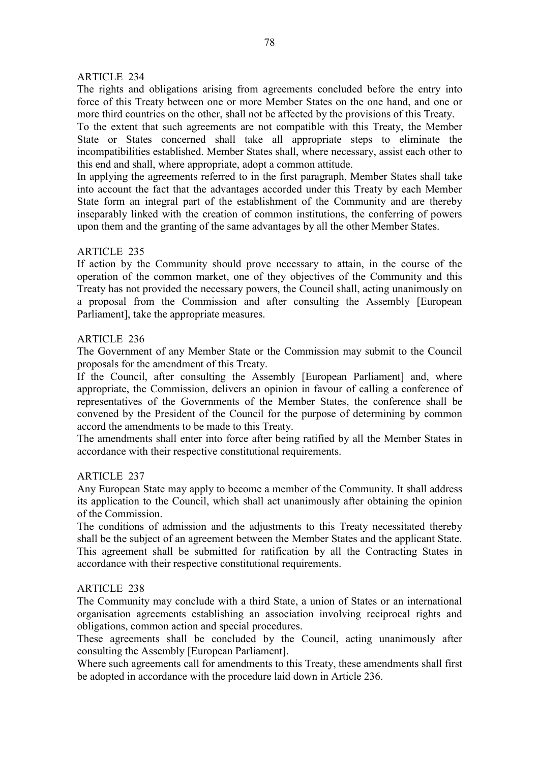# ARTICLE 234

The rights and obligations arising from agreements concluded before the entry into force of this Treaty between one or more Member States on the one hand, and one or more third countries on the other, shall not be affected by the provisions of this Treaty.

To the extent that such agreements are not compatible with this Treaty, the Member State or States concerned shall take all appropriate steps to eliminate the incompatibilities established. Member States shall, where necessary, assist each other to this end and shall, where appropriate, adopt a common attitude.

In applying the agreements referred to in the first paragraph, Member States shall take into account the fact that the advantages accorded under this Treaty by each Member State form an integral part of the establishment of the Community and are thereby inseparably linked with the creation of common institutions, the conferring of powers upon them and the granting of the same advantages by all the other Member States.

# ARTICLE 235

If action by the Community should prove necessary to attain, in the course of the operation of the common market, one of they objectives of the Community and this Treaty has not provided the necessary powers, the Council shall, acting unanimously on a proposal from the Commission and after consulting the Assembly [European Parliament], take the appropriate measures.

# ARTICLE 236

The Government of any Member State or the Commission may submit to the Council proposals for the amendment of this Treaty.

If the Council, after consulting the Assembly [European Parliament] and, where appropriate, the Commission, delivers an opinion in favour of calling a conference of representatives of the Governments of the Member States, the conference shall be convened by the President of the Council for the purpose of determining by common accord the amendments to be made to this Treaty.

The amendments shall enter into force after being ratified by all the Member States in accordance with their respective constitutional requirements.

# ARTICLE 237

Any European State may apply to become a member of the Community. It shall address its application to the Council, which shall act unanimously after obtaining the opinion of the Commission.

The conditions of admission and the adjustments to this Treaty necessitated thereby shall be the subject of an agreement between the Member States and the applicant State. This agreement shall be submitted for ratification by all the Contracting States in accordance with their respective constitutional requirements.

# ARTICLE 238

The Community may conclude with a third State, a union of States or an international organisation agreements establishing an association involving reciprocal rights and obligations, common action and special procedures.

These agreements shall be concluded by the Council, acting unanimously after consulting the Assembly [European Parliament].

Where such agreements call for amendments to this Treaty, these amendments shall first be adopted in accordance with the procedure laid down in Article 236.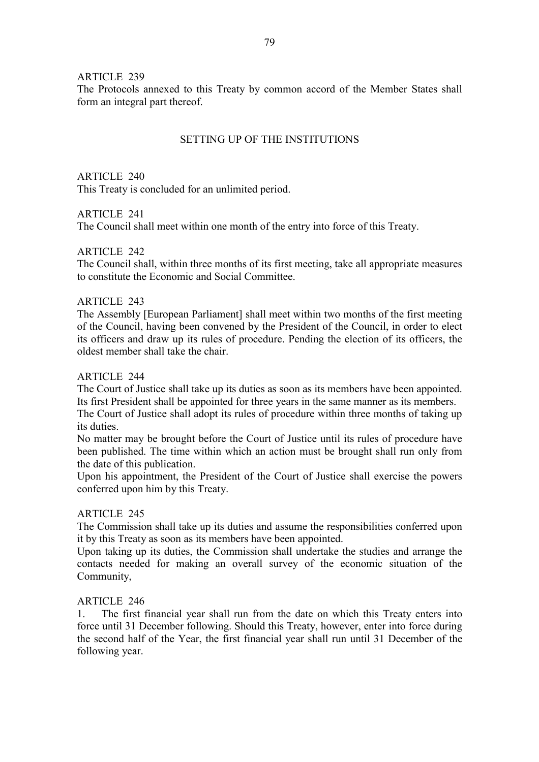### ARTICLE 239

The Protocols annexed to this Treaty by common accord of the Member States shall form an integral part thereof.

### SETTING UP OF THE INSTITUTIONS

ARTICLE 240 This Treaty is concluded for an unlimited period.

ARTICLE 241

The Council shall meet within one month of the entry into force of this Treaty.

#### ARTICLE 242

The Council shall, within three months of its first meeting, take all appropriate measures to constitute the Economic and Social Committee.

### ARTICLE 243

The Assembly [European Parliament] shall meet within two months of the first meeting of the Council, having been convened by the President of the Council, in order to elect its officers and draw up its rules of procedure. Pending the election of its officers, the oldest member shall take the chair.

#### ARTICLE 244

The Court of Justice shall take up its duties as soon as its members have been appointed. Its first President shall be appointed for three years in the same manner as its members.

The Court of Justice shall adopt its rules of procedure within three months of taking up its duties.

No matter may be brought before the Court of Justice until its rules of procedure have been published. The time within which an action must be brought shall run only from the date of this publication.

Upon his appointment, the President of the Court of Justice shall exercise the powers conferred upon him by this Treaty.

#### ARTICLE 245

The Commission shall take up its duties and assume the responsibilities conferred upon it by this Treaty as soon as its members have been appointed.

Upon taking up its duties, the Commission shall undertake the studies and arrange the contacts needed for making an overall survey of the economic situation of the Community,

### ARTICLE 246

1. The first financial year shall run from the date on which this Treaty enters into force until 31 December following. Should this Treaty, however, enter into force during the second half of the Year, the first financial year shall run until 31 December of the following year.